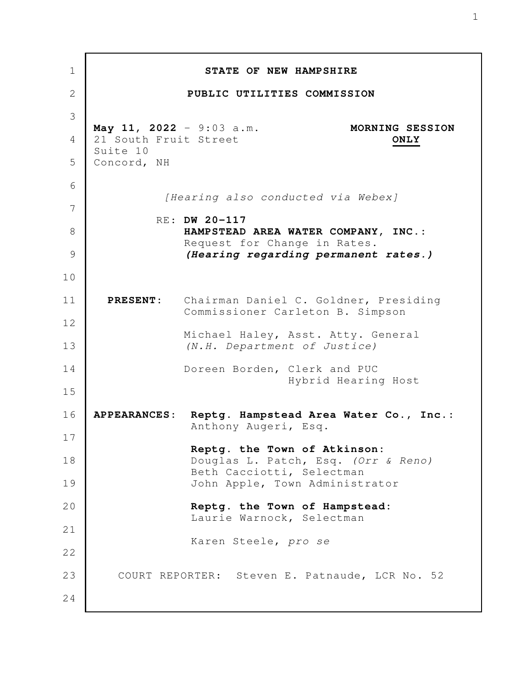| 1            |                                                               | STATE OF NEW HAMPSHIRE                                                             |
|--------------|---------------------------------------------------------------|------------------------------------------------------------------------------------|
| $\mathbf{2}$ |                                                               | PUBLIC UTILITIES COMMISSION                                                        |
| 3            |                                                               |                                                                                    |
| 4            | May 11, 2022 - 9:03 a.m.<br>21 South Fruit Street<br>Suite 10 | MORNING SESSION<br>ONLY                                                            |
| 5            | Concord, NH                                                   |                                                                                    |
| 6            |                                                               | [Hearing also conducted via Webex]                                                 |
| 7            |                                                               | RE: DW 20-117                                                                      |
| 8            |                                                               | HAMPSTEAD AREA WATER COMPANY, INC.:<br>Request for Change in Rates.                |
| 9            |                                                               | (Hearing regarding permanent rates.)                                               |
| 10           |                                                               |                                                                                    |
| 11           |                                                               | PRESENT: Chairman Daniel C. Goldner, Presiding<br>Commissioner Carleton B. Simpson |
| 12<br>13     |                                                               | Michael Haley, Asst. Atty. General<br>(N.H. Department of Justice)                 |
| 14           |                                                               | Doreen Borden, Clerk and PUC<br>Hybrid Hearing Host                                |
| 15           |                                                               |                                                                                    |
| 16           | <b>APPEARANCES:</b>                                           | Reptg. Hampstead Area Water Co., Inc.:<br>Anthony Augeri, Esq.                     |
| 17           |                                                               | Reptg. the Town of Atkinson:                                                       |
| 18           |                                                               | Douglas L. Patch, Esq. (Orr & Reno)<br>Beth Cacciotti, Selectman                   |
| 19           |                                                               | John Apple, Town Administrator                                                     |
| 20           |                                                               | Reptg. the Town of Hampstead:<br>Laurie Warnock, Selectman                         |
| 21           |                                                               | Karen Steele, pro se                                                               |
| 22           |                                                               |                                                                                    |
| 23           |                                                               | COURT REPORTER: Steven E. Patnaude, LCR No. 52                                     |
| 24           |                                                               |                                                                                    |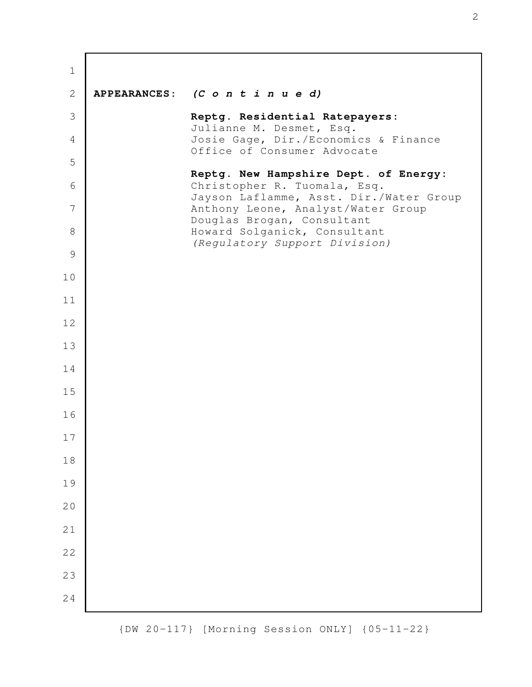| $\mathbf 1$    |                     |                                                                         |
|----------------|---------------------|-------------------------------------------------------------------------|
| $\mathbf{2}$   | <b>APPEARANCES:</b> | $(C \circ n \ t \ i \ n \ u \ e \ d)$                                   |
| 3              |                     | Reptg. Residential Ratepayers:<br>Julianne M. Desmet, Esq.              |
| $\overline{4}$ |                     | Josie Gage, Dir./Economics & Finance<br>Office of Consumer Advocate     |
| 5              |                     | Reptg. New Hampshire Dept. of Energy:                                   |
| 6              |                     | Christopher R. Tuomala, Esq.<br>Jayson Laflamme, Asst. Dir./Water Group |
| 7              |                     | Anthony Leone, Analyst/Water Group<br>Douglas Brogan, Consultant        |
| 8              |                     | Howard Solganick, Consultant<br>(Regulatory Support Division)           |
| $\mathcal{G}$  |                     |                                                                         |
| 10             |                     |                                                                         |
| 11             |                     |                                                                         |
| 12             |                     |                                                                         |
| 13             |                     |                                                                         |
| 14             |                     |                                                                         |
| 15<br>16       |                     |                                                                         |
| $17$           |                     |                                                                         |
| 18             |                     |                                                                         |
| 19             |                     |                                                                         |
| 20             |                     |                                                                         |
| 21             |                     |                                                                         |
| 22             |                     |                                                                         |
| 23             |                     |                                                                         |
| 24             |                     |                                                                         |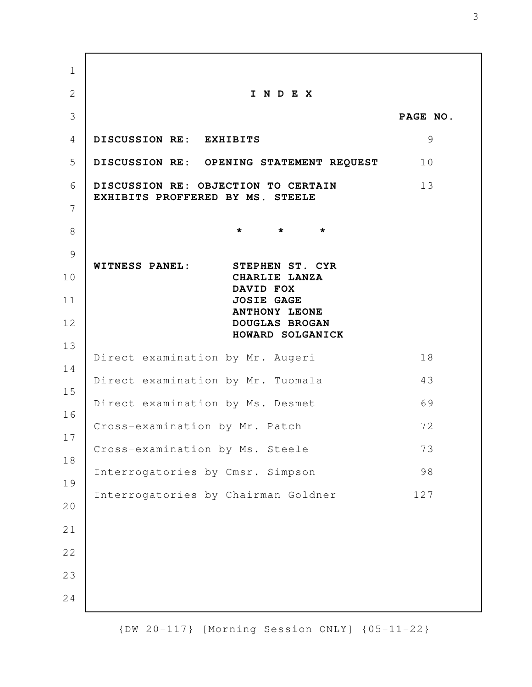**I N D E X PAGE NO. DISCUSSION RE: EXHIBITS** 9 **DISCUSSION RE: OPENING STATEMENT REQUEST** 10 **DISCUSSION RE: OBJECTION TO CERTAIN** 13 **EXHIBITS PROFFERED BY MS. STEELE \* \* \* WITNESS PANEL: STEPHEN ST. CYR CHARLIE LANZA DAVID FOX JOSIE GAGE ANTHONY LEONE DOUGLAS BROGAN HOWARD SOLGANICK** Direct examination by Mr. Augeri 18 Direct examination by Mr. Tuomala 43 Direct examination by Ms. Desmet 69 Cross-examination by Mr. Patch 72 Cross-examination by Ms. Steele 73 Interrogatories by Cmsr. Simpson 98 Interrogatories by Chairman Goldner 127 1 2 3 4 5 6 7 8 9 10 11 12 13 14 15 16 17 18 19 20 21 22 23 24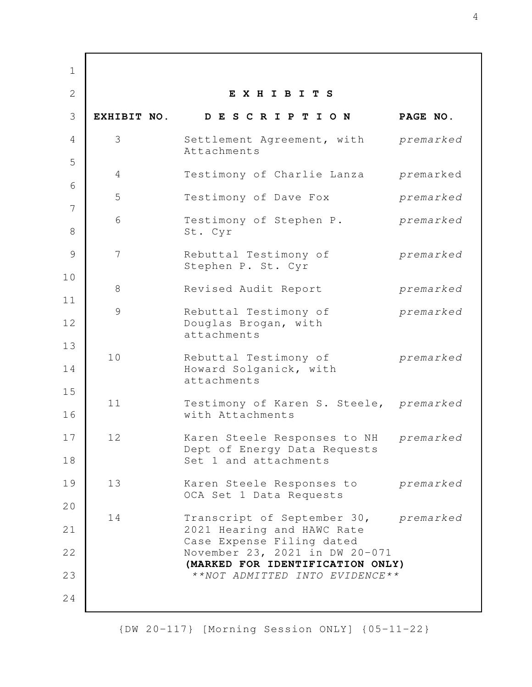**E X H I B I T S EXHIBIT NO. D E S C R I P T I O N PAGE NO.** 3 Settlement Agreement, with *premarked* Attachments 4 Testimony of Charlie Lanza *pre*marked 5 Testimony of Dave Fox *premarked* 6 Testimony of Stephen P. *premarked* St. Cyr 7 Rebuttal Testimony of *premarked* Stephen P. St. Cyr 8 Revised Audit Report *premarked* 9 Rebuttal Testimony of *premarked* Douglas Brogan, with attachments 10 Rebuttal Testimony of *premarked* Howard Solganick, with attachments 11 Testimony of Karen S. Steele, *premarked* with Attachments 12 Karen Steele Responses to NH *premarked* Dept of Energy Data Requests Set 1 and attachments 13 Karen Steele Responses to *premarked* OCA Set 1 Data Requests 14 Transcript of September 30, *premarked* 2021 Hearing and HAWC Rate Case Expense Filing dated November 23, 2021 in DW 20-071 **(MARKED FOR IDENTIFICATION ONLY)** *\*\*NOT ADMITTED INTO EVIDENCE\*\** 1 2 3 4 5 6 7 8 9 10 11 12 13 14 15 16 17 18 19 20 21 22 23 24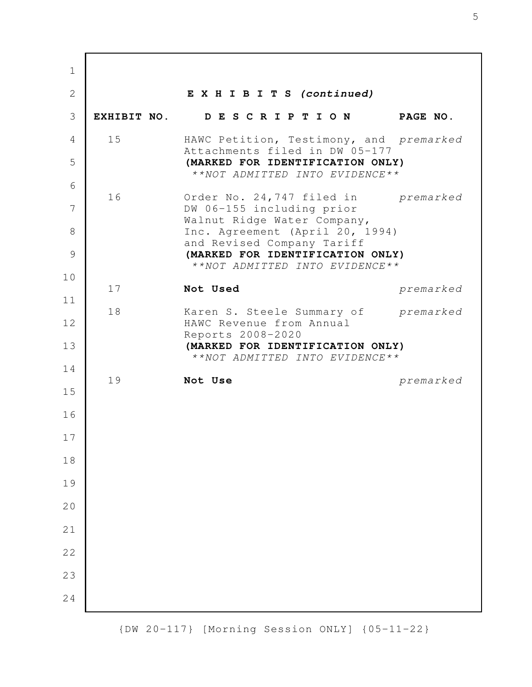**E X H I B I T S (continued) EXHIBIT NO. D E S C R I P T I O N PAGE NO.** 15 HAWC Petition, Testimony, and *premarked* Attachments filed in DW 05-177 **(MARKED FOR IDENTIFICATION ONLY)** *\*\*NOT ADMITTED INTO EVIDENCE\*\** 16 Order No. 24,747 filed in *premarked* DW 06-155 including prior Walnut Ridge Water Company, Inc. Agreement (April 20, 1994) and Revised Company Tariff **(MARKED FOR IDENTIFICATION ONLY)** *\*\*NOT ADMITTED INTO EVIDENCE\*\** 17 **Not Used** *premarked* 18 Karen S. Steele Summary of *premarked* HAWC Revenue from Annual Reports 2008-2020 **(MARKED FOR IDENTIFICATION ONLY)** *\*\*NOT ADMITTED INTO EVIDENCE\*\** 19 **Not Use** *premarked* 1 2 3 4 5 6 7 8 9 10 11 12 13 14 15 16 17 18 19 20 21 22 23 24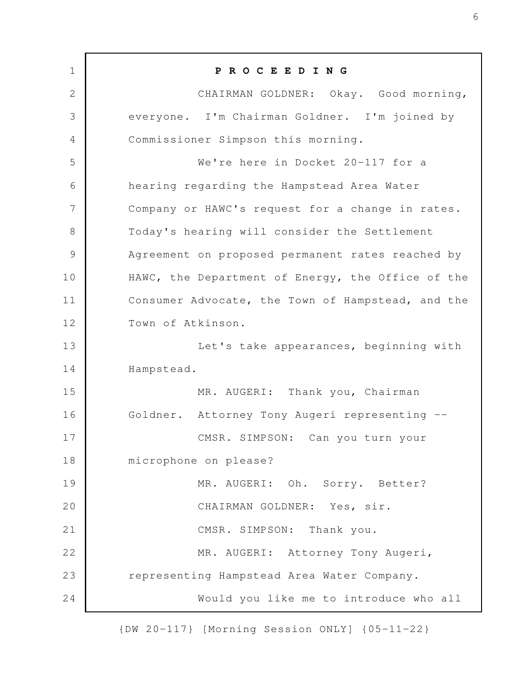**P R O C E E D I N G** CHAIRMAN GOLDNER: Okay. Good morning, everyone. I'm Chairman Goldner. I'm joined by Commissioner Simpson this morning. We're here in Docket 20-117 for a hearing regarding the Hampstead Area Water Company or HAWC's request for a change in rates. Today's hearing will consider the Settlement Agreement on proposed permanent rates reached by HAWC, the Department of Energy, the Office of the Consumer Advocate, the Town of Hampstead, and the Town of Atkinson. Let's take appearances, beginning with Hampstead. MR. AUGERI: Thank you, Chairman Goldner. Attorney Tony Augeri representing -- CMSR. SIMPSON: Can you turn your microphone on please? MR. AUGERI: Oh. Sorry. Better? CHAIRMAN GOLDNER: Yes, sir. CMSR. SIMPSON: Thank you. MR. AUGERI: Attorney Tony Augeri, representing Hampstead Area Water Company. Would you like me to introduce who all 1 2 3 4 5 6 7 8 9 10 11 12 13 14 15 16 17 18 19 20 21 22 23 24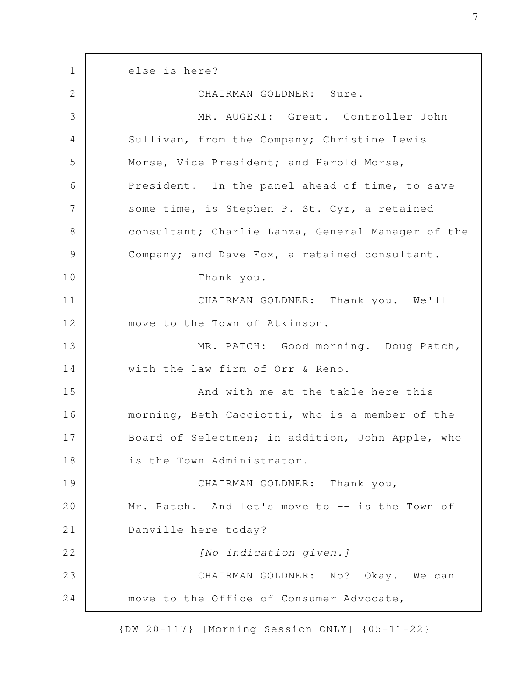else is here? CHAIRMAN GOLDNER: Sure. MR. AUGERI: Great. Controller John Sullivan, from the Company; Christine Lewis Morse, Vice President; and Harold Morse, President. In the panel ahead of time, to save some time, is Stephen P. St. Cyr, a retained consultant; Charlie Lanza, General Manager of the Company; and Dave Fox, a retained consultant. Thank you. CHAIRMAN GOLDNER: Thank you. We'll move to the Town of Atkinson. MR. PATCH: Good morning. Doug Patch, with the law firm of Orr & Reno. And with me at the table here this morning, Beth Cacciotti, who is a member of the Board of Selectmen; in addition, John Apple, who is the Town Administrator. CHAIRMAN GOLDNER: Thank you, Mr. Patch. And let's move to -- is the Town of Danville here today? *[No indication given.]* CHAIRMAN GOLDNER: No? Okay. We can move to the Office of Consumer Advocate, 1 2 3 4 5 6 7 8 9 10 11 12 13 14 15 16 17 18 19 20 21 22 23 24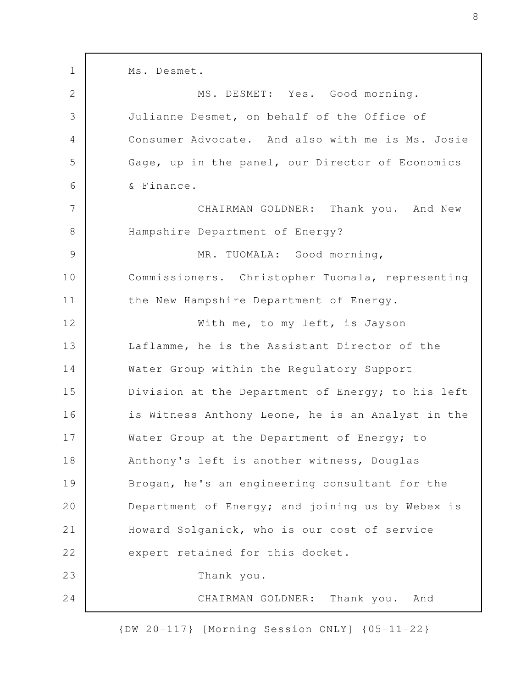Ms. Desmet. MS. DESMET: Yes. Good morning. Julianne Desmet, on behalf of the Office of Consumer Advocate. And also with me is Ms. Josie Gage, up in the panel, our Director of Economics & Finance. CHAIRMAN GOLDNER: Thank you. And New Hampshire Department of Energy? MR. TUOMALA: Good morning, Commissioners. Christopher Tuomala, representing the New Hampshire Department of Energy. With me, to my left, is Jayson Laflamme, he is the Assistant Director of the Water Group within the Regulatory Support Division at the Department of Energy; to his left is Witness Anthony Leone, he is an Analyst in the Water Group at the Department of Energy; to Anthony's left is another witness, Douglas Brogan, he's an engineering consultant for the Department of Energy; and joining us by Webex is Howard Solganick, who is our cost of service expert retained for this docket. Thank you. CHAIRMAN GOLDNER: Thank you. And 1 2 3 4 5 6 7 8 9 10 11 12 13 14 15 16 17 18 19 20 21 22 23 24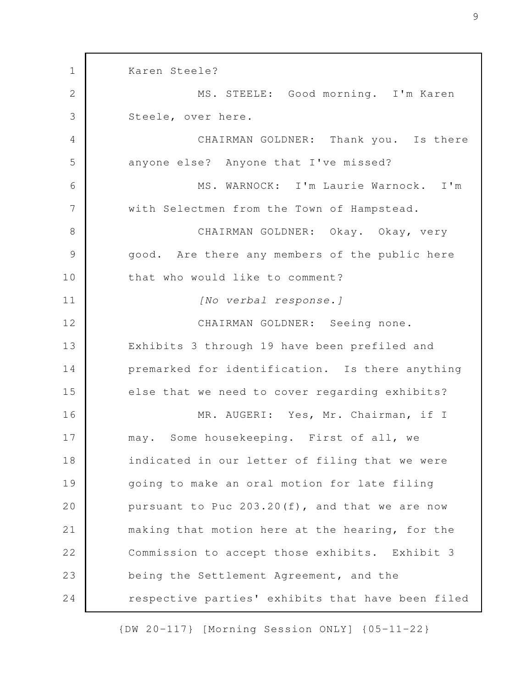Karen Steele? MS. STEELE: Good morning. I'm Karen Steele, over here. CHAIRMAN GOLDNER: Thank you. Is there anyone else? Anyone that I've missed? MS. WARNOCK: I'm Laurie Warnock. I'm with Selectmen from the Town of Hampstead. CHAIRMAN GOLDNER: Okay. Okay, very good. Are there any members of the public here that who would like to comment? *[No verbal response.]* CHAIRMAN GOLDNER: Seeing none. Exhibits 3 through 19 have been prefiled and premarked for identification. Is there anything else that we need to cover regarding exhibits? MR. AUGERI: Yes, Mr. Chairman, if I may. Some housekeeping. First of all, we indicated in our letter of filing that we were going to make an oral motion for late filing pursuant to Puc 203.20(f), and that we are now making that motion here at the hearing, for the Commission to accept those exhibits. Exhibit 3 being the Settlement Agreement, and the respective parties' exhibits that have been filed 1 2 3 4 5 6 7 8 9 10 11 12 13 14 15 16 17 18 19 20 21 22 23 24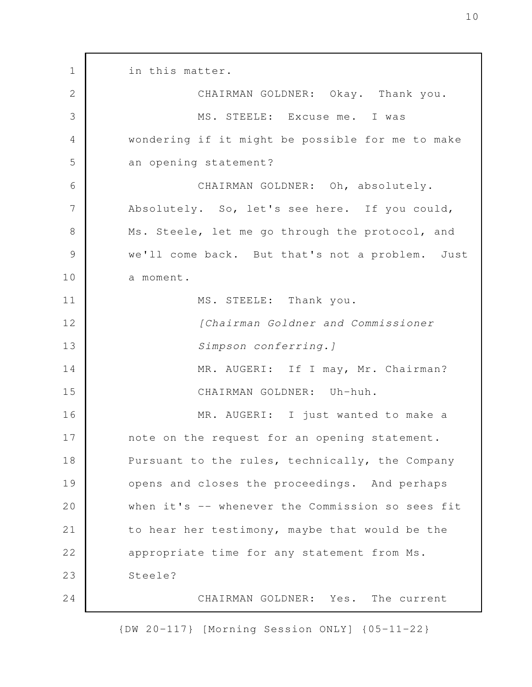in this matter. CHAIRMAN GOLDNER: Okay. Thank you. MS. STEELE: Excuse me. I was wondering if it might be possible for me to make an opening statement? CHAIRMAN GOLDNER: Oh, absolutely. Absolutely. So, let's see here. If you could, Ms. Steele, let me go through the protocol, and we'll come back. But that's not a problem. Just a moment. MS. STEELE: Thank you. *[Chairman Goldner and Commissioner Simpson conferring.]* MR. AUGERI: If I may, Mr. Chairman? CHAIRMAN GOLDNER: Uh-huh. MR. AUGERI: I just wanted to make a note on the request for an opening statement. Pursuant to the rules, technically, the Company opens and closes the proceedings. And perhaps when it's -- whenever the Commission so sees fit to hear her testimony, maybe that would be the appropriate time for any statement from Ms. Steele? CHAIRMAN GOLDNER: Yes. The current 1 2 3 4 5 6 7 8 9 10 11 12 13 14 15 16 17 18 19 20 21 22 23 24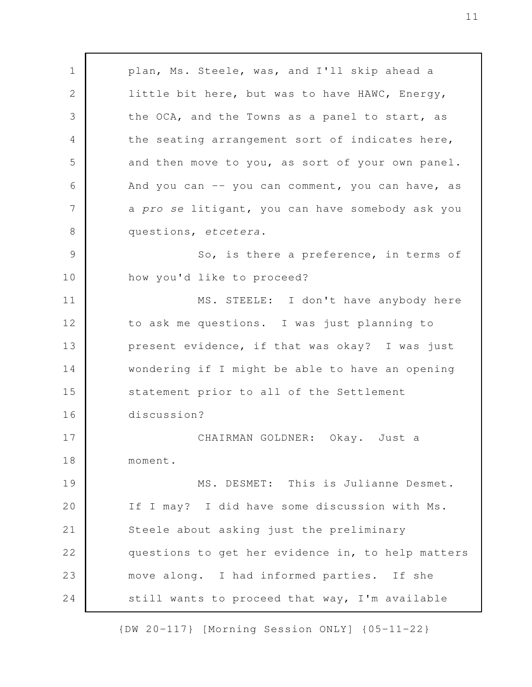plan, Ms. Steele, was, and I'll skip ahead a little bit here, but was to have HAWC, Energy, the OCA, and the Towns as a panel to start, as the seating arrangement sort of indicates here, and then move to you, as sort of your own panel. And you can -- you can comment, you can have, as a *pro se* litigant, you can have somebody ask you questions, *etcetera*. So, is there a preference, in terms of how you'd like to proceed? MS. STEELE: I don't have anybody here to ask me questions. I was just planning to present evidence, if that was okay? I was just wondering if I might be able to have an opening statement prior to all of the Settlement discussion? CHAIRMAN GOLDNER: Okay. Just a moment. MS. DESMET: This is Julianne Desmet. If I may? I did have some discussion with Ms. Steele about asking just the preliminary questions to get her evidence in, to help matters move along. I had informed parties. If she still wants to proceed that way, I'm available 1 2 3 4 5 6 7 8 9 10 11 12 13 14 15 16 17 18 19 20 21 22 23 24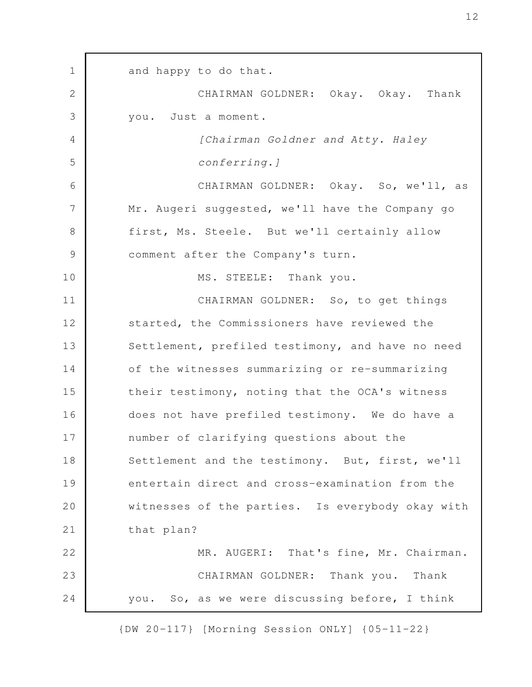and happy to do that. CHAIRMAN GOLDNER: Okay. Okay. Thank you. Just a moment. *[Chairman Goldner and Atty. Haley conferring.]* CHAIRMAN GOLDNER: Okay. So, we'll, as Mr. Augeri suggested, we'll have the Company go first, Ms. Steele. But we'll certainly allow comment after the Company's turn. MS. STEELE: Thank you. CHAIRMAN GOLDNER: So, to get things started, the Commissioners have reviewed the Settlement, prefiled testimony, and have no need of the witnesses summarizing or re-summarizing their testimony, noting that the OCA's witness does not have prefiled testimony. We do have a number of clarifying questions about the Settlement and the testimony. But, first, we'll entertain direct and cross-examination from the witnesses of the parties. Is everybody okay with that plan? MR. AUGERI: That's fine, Mr. Chairman. CHAIRMAN GOLDNER: Thank you. Thank you. So, as we were discussing before, I think 1 2 3 4 5 6 7 8 9 10 11 12 13 14 15 16 17 18 19 20 21 22 23 24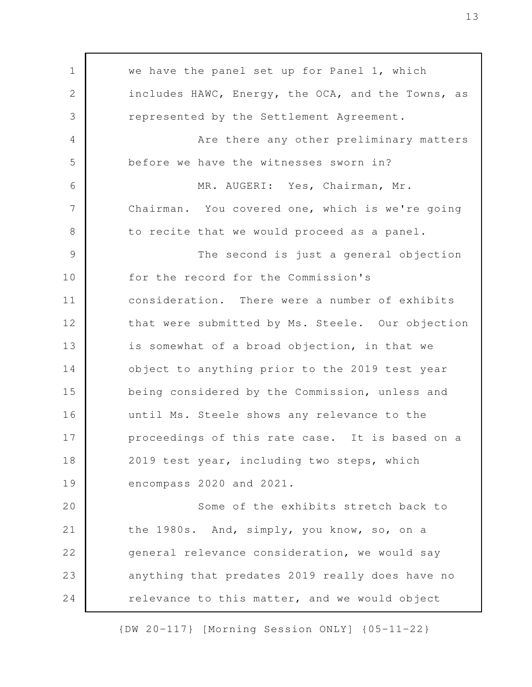we have the panel set up for Panel 1, which includes HAWC, Energy, the OCA, and the Towns, as represented by the Settlement Agreement. Are there any other preliminary matters before we have the witnesses sworn in? MR. AUGERI: Yes, Chairman, Mr. Chairman. You covered one, which is we're going to recite that we would proceed as a panel. The second is just a general objection for the record for the Commission's consideration. There were a number of exhibits that were submitted by Ms. Steele. Our objection is somewhat of a broad objection, in that we object to anything prior to the 2019 test year being considered by the Commission, unless and until Ms. Steele shows any relevance to the proceedings of this rate case. It is based on a 2019 test year, including two steps, which encompass 2020 and 2021. Some of the exhibits stretch back to the 1980s. And, simply, you know, so, on a general relevance consideration, we would say anything that predates 2019 really does have no relevance to this matter, and we would object 1 2 3 4 5 6 7 8 9 10 11 12 13 14 15 16 17 18 19 20 21 22 23 24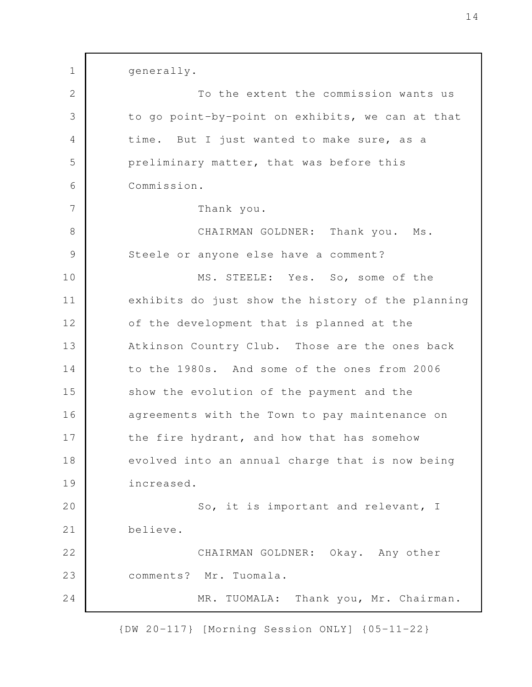generally. To the extent the commission wants us to go point-by-point on exhibits, we can at that time. But I just wanted to make sure, as a preliminary matter, that was before this Commission. Thank you. CHAIRMAN GOLDNER: Thank you. Ms. Steele or anyone else have a comment? MS. STEELE: Yes. So, some of the exhibits do just show the history of the planning of the development that is planned at the Atkinson Country Club. Those are the ones back to the 1980s. And some of the ones from 2006 show the evolution of the payment and the agreements with the Town to pay maintenance on the fire hydrant, and how that has somehow evolved into an annual charge that is now being increased. So, it is important and relevant, I believe. CHAIRMAN GOLDNER: Okay. Any other comments? Mr. Tuomala. MR. TUOMALA: Thank you, Mr. Chairman. 1 2 3 4 5 6 7 8 9 10 11 12 13 14 15 16 17 18 19 20 21 22 23 24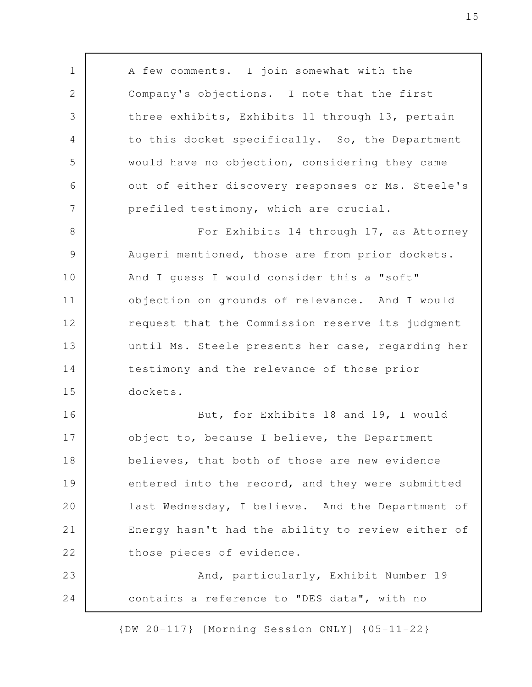A few comments. I join somewhat with the Company's objections. I note that the first three exhibits, Exhibits 11 through 13, pertain to this docket specifically. So, the Department would have no objection, considering they came out of either discovery responses or Ms. Steele's prefiled testimony, which are crucial. For Exhibits 14 through 17, as Attorney Augeri mentioned, those are from prior dockets. And I guess I would consider this a "soft" objection on grounds of relevance. And I would request that the Commission reserve its judgment until Ms. Steele presents her case, regarding her testimony and the relevance of those prior dockets. But, for Exhibits 18 and 19, I would object to, because I believe, the Department believes, that both of those are new evidence entered into the record, and they were submitted last Wednesday, I believe. And the Department of Energy hasn't had the ability to review either of those pieces of evidence. And, particularly, Exhibit Number 19 contains a reference to "DES data", with no 1 2 3 4 5 6 7 8 9 10 11 12 13 14 15 16 17 18 19 20 21 22 23 24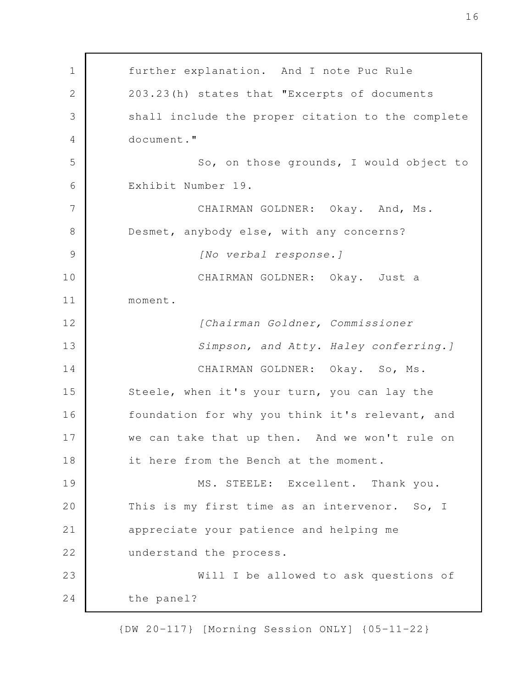further explanation. And I note Puc Rule 203.23(h) states that "Excerpts of documents shall include the proper citation to the complete document." So, on those grounds, I would object to Exhibit Number 19. CHAIRMAN GOLDNER: Okay. And, Ms. Desmet, anybody else, with any concerns? *[No verbal response.]* CHAIRMAN GOLDNER: Okay. Just a moment. *[Chairman Goldner, Commissioner Simpson, and Atty. Haley conferring.]* CHAIRMAN GOLDNER: Okay. So, Ms. Steele, when it's your turn, you can lay the foundation for why you think it's relevant, and we can take that up then. And we won't rule on it here from the Bench at the moment. MS. STEELE: Excellent. Thank you. This is my first time as an intervenor. So, I appreciate your patience and helping me understand the process. Will I be allowed to ask questions of the panel? 1 2 3 4 5 6 7 8 9 10 11 12 13 14 15 16 17 18 19 20 21 22 23 24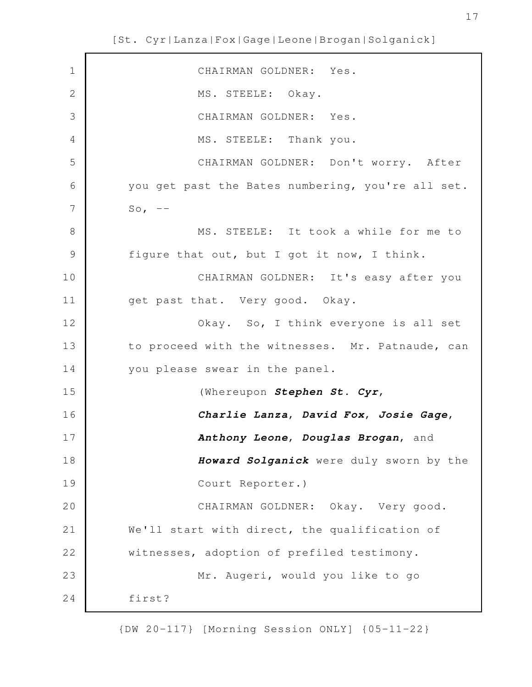| $\mathbf 1$    | CHAIRMAN GOLDNER: Yes.                            |
|----------------|---------------------------------------------------|
| $\overline{2}$ | MS. STEELE: Okay.                                 |
| 3              | CHAIRMAN GOLDNER: Yes.                            |
| 4              | MS. STEELE: Thank you.                            |
| 5              | CHAIRMAN GOLDNER: Don't worry. After              |
| 6              | you get past the Bates numbering, you're all set. |
| 7              | So, $--$                                          |
| 8              | MS. STEELE: It took a while for me to             |
| $\mathcal{G}$  | figure that out, but I got it now, I think.       |
| 10             | CHAIRMAN GOLDNER: It's easy after you             |
| 11             | get past that. Very good. Okay.                   |
| 12             | Okay. So, I think everyone is all set             |
| 13             | to proceed with the witnesses. Mr. Patnaude, can  |
| 14             | you please swear in the panel.                    |
| 15             | (Whereupon Stephen St. Cyr,                       |
| 16             | Charlie Lanza, David Fox, Josie Gage,             |
| 17             | Anthony Leone, Douglas Brogan, and                |
| 18             | Howard Solganick were duly sworn by the           |
| 19             | Court Reporter.)                                  |
| 20             | CHAIRMAN GOLDNER: Okay. Very good.                |
| 21             | We'll start with direct, the qualification of     |
| 22             | witnesses, adoption of prefiled testimony.        |
| 23             | Mr. Augeri, would you like to go                  |
| 24             | first?                                            |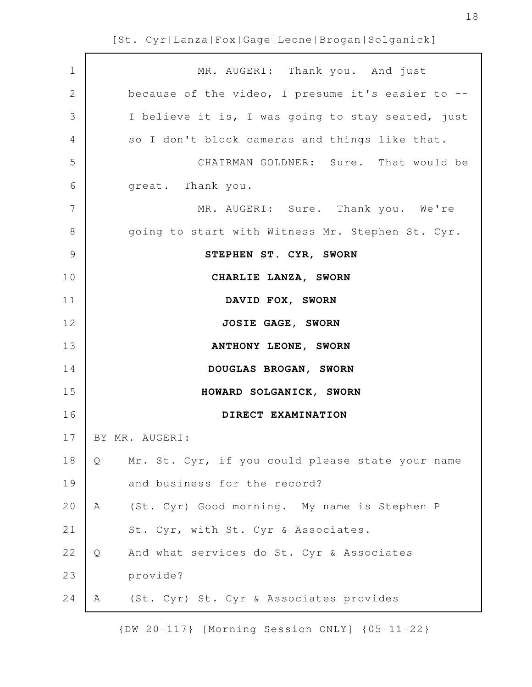| $\mathbf 1$    | MR. AUGERI: Thank you. And just                       |
|----------------|-------------------------------------------------------|
| $\mathbf{2}$   | because of the video, I presume it's easier to --     |
| 3              | I believe it is, I was going to stay seated, just     |
| $\overline{4}$ | so I don't block cameras and things like that.        |
| 5              | CHAIRMAN GOLDNER: Sure. That would be                 |
| 6              | great. Thank you.                                     |
| 7              | MR. AUGERI: Sure. Thank you. We're                    |
| 8              | going to start with Witness Mr. Stephen St. Cyr.      |
| $\mathcal{G}$  | STEPHEN ST. CYR, SWORN                                |
| 10             | CHARLIE LANZA, SWORN                                  |
| 11             | DAVID FOX, SWORN                                      |
| 12             | JOSIE GAGE, SWORN                                     |
| 13             | ANTHONY LEONE, SWORN                                  |
| 14             | DOUGLAS BROGAN, SWORN                                 |
| 15             | HOWARD SOLGANICK, SWORN                               |
| 16             | DIRECT EXAMINATION                                    |
| 17             | BY MR. AUGERI:                                        |
| 18             | Mr. St. Cyr, if you could please state your name<br>Q |
| 19             | and business for the record?                          |
| 20             | (St. Cyr) Good morning. My name is Stephen P<br>Α     |
| $2\,1$         | St. Cyr, with St. Cyr & Associates.                   |
| 22             | And what services do St. Cyr & Associates<br>Q        |
| 23             | provide?                                              |
| 24             | (St. Cyr) St. Cyr & Associates provides<br>Α          |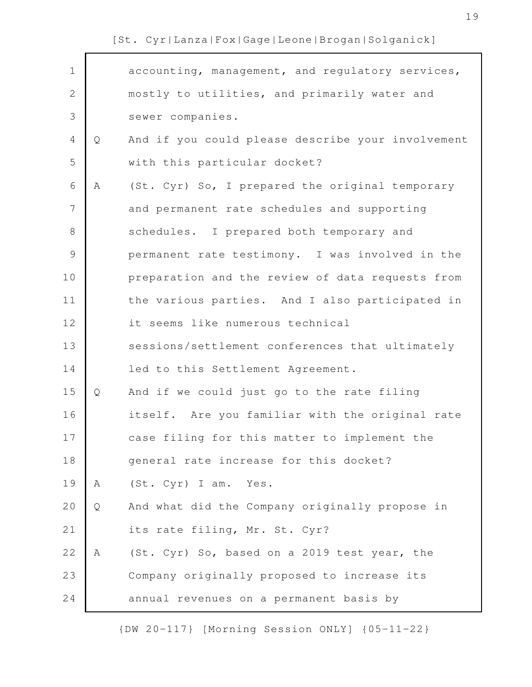| $\mathbf 1$    |   | accounting, management, and regulatory services,  |
|----------------|---|---------------------------------------------------|
| $\overline{2}$ |   | mostly to utilities, and primarily water and      |
| 3              |   | sewer companies.                                  |
| $\overline{4}$ | Q | And if you could please describe your involvement |
| 5              |   | with this particular docket?                      |
| 6              | A | (St. Cyr) So, I prepared the original temporary   |
| 7              |   | and permanent rate schedules and supporting       |
| $8\,$          |   | schedules. I prepared both temporary and          |
| $\mathcal{G}$  |   | permanent rate testimony. I was involved in the   |
| 10             |   | preparation and the review of data requests from  |
| 11             |   | the various parties. And I also participated in   |
| 12             |   | it seems like numerous technical                  |
| 13             |   | sessions/settlement conferences that ultimately   |
| 14             |   | led to this Settlement Agreement.                 |
| 15             | Q | And if we could just go to the rate filing        |
| 16             |   | itself. Are you familiar with the original rate   |
| 17             |   | case filing for this matter to implement the      |
| 18             |   | general rate increase for this docket?            |
| 19             | A | (St. Cyr) I am. Yes.                              |
| 20             | Q | And what did the Company originally propose in    |
| 21             |   | its rate filing, Mr. St. Cyr?                     |
| 22             | A | (St. Cyr) So, based on a 2019 test year, the      |
| 23             |   | Company originally proposed to increase its       |
| 24             |   | annual revenues on a permanent basis by           |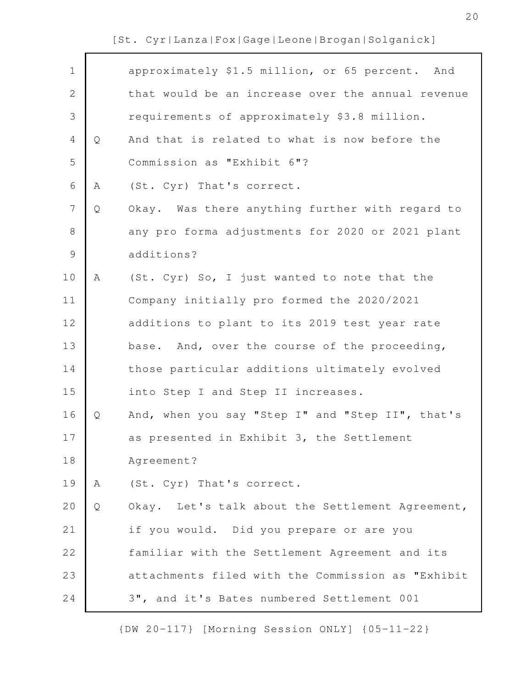| $\mathbf 1$    |   | approximately \$1.5 million, or 65 percent. And   |
|----------------|---|---------------------------------------------------|
| $\mathbf{2}$   |   | that would be an increase over the annual revenue |
| 3              |   | requirements of approximately \$3.8 million.      |
| 4              | Q | And that is related to what is now before the     |
| 5              |   | Commission as "Exhibit 6"?                        |
| 6              | A | (St. Cyr) That's correct.                         |
| $\overline{7}$ | Q | Okay. Was there anything further with regard to   |
| $8\,$          |   | any pro forma adjustments for 2020 or 2021 plant  |
| $\mathcal{G}$  |   | additions?                                        |
| 10             | Α | (St. Cyr) So, I just wanted to note that the      |
| 11             |   | Company initially pro formed the 2020/2021        |
| 12             |   | additions to plant to its 2019 test year rate     |
| 13             |   | base. And, over the course of the proceeding,     |
| 14             |   | those particular additions ultimately evolved     |
| 15             |   | into Step I and Step II increases.                |
| 16             | Q | And, when you say "Step I" and "Step II", that's  |
| 17             |   | as presented in Exhibit 3, the Settlement         |
| 18             |   | Agreement?                                        |
| 19             | Α | (St. Cyr) That's correct.                         |
| 20             | Q | Okay. Let's talk about the Settlement Agreement,  |
| 21             |   | if you would. Did you prepare or are you          |
| 22             |   | familiar with the Settlement Agreement and its    |
| 23             |   | attachments filed with the Commission as "Exhibit |
| 24             |   | 3", and it's Bates numbered Settlement 001        |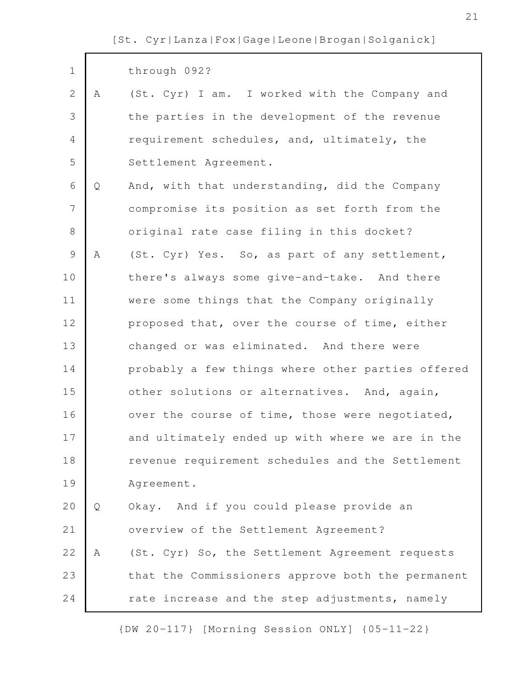$\mathsf{r}$ 

| $\mathbf 1$    |   | through 092?                                      |
|----------------|---|---------------------------------------------------|
| $\overline{2}$ | A | (St. Cyr) I am. I worked with the Company and     |
| 3              |   | the parties in the development of the revenue     |
| $\overline{4}$ |   | requirement schedules, and, ultimately, the       |
| 5              |   | Settlement Agreement.                             |
| $\sqrt{6}$     | Q | And, with that understanding, did the Company     |
| $\overline{7}$ |   | compromise its position as set forth from the     |
| $\,8\,$        |   | original rate case filing in this docket?         |
| $\mathcal{G}$  | Α | (St. Cyr) Yes. So, as part of any settlement,     |
| 10             |   | there's always some give-and-take. And there      |
| 11             |   | were some things that the Company originally      |
| 12             |   | proposed that, over the course of time, either    |
| 13             |   | changed or was eliminated. And there were         |
| 14             |   | probably a few things where other parties offered |
| 15             |   | other solutions or alternatives. And, again,      |
| 16             |   | over the course of time, those were negotiated,   |
| 17             |   | and ultimately ended up with where we are in the  |
| 18             |   | revenue requirement schedules and the Settlement  |
| 19             |   | Agreement.                                        |
| 20             | Q | Okay. And if you could please provide an          |
| 21             |   | overview of the Settlement Agreement?             |
| 22             | Α | (St. Cyr) So, the Settlement Agreement requests   |
| 23             |   | that the Commissioners approve both the permanent |
| 24             |   | rate increase and the step adjustments, namely    |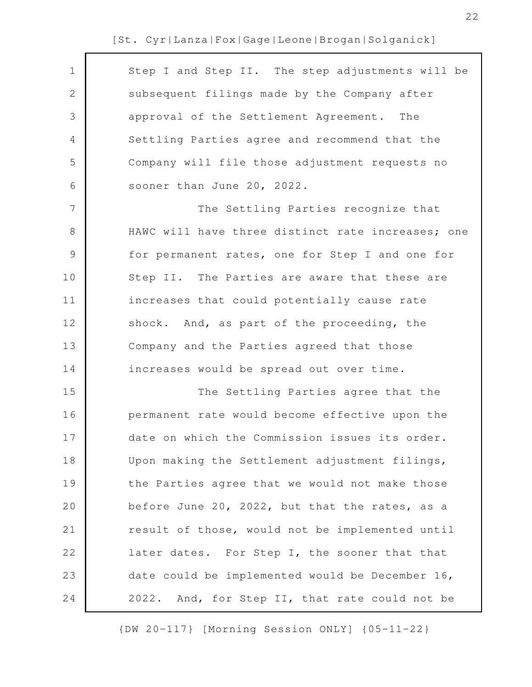| $\mathbf 1$   | Step I and Step II. The step adjustments will be  |
|---------------|---------------------------------------------------|
| $\mathbf{2}$  | subsequent filings made by the Company after      |
| 3             | approval of the Settlement Agreement. The         |
| 4             | Settling Parties agree and recommend that the     |
| 5             | Company will file those adjustment requests no    |
| 6             | sooner than June 20, 2022.                        |
| 7             | The Settling Parties recognize that               |
| $8\,$         | HAWC will have three distinct rate increases; one |
| $\mathcal{G}$ | for permanent rates, one for Step I and one for   |
| 10            | Step II. The Parties are aware that these are     |
| 11            | increases that could potentially cause rate       |
| 12            | shock. And, as part of the proceeding, the        |
| 13            | Company and the Parties agreed that those         |
| 14            | increases would be spread out over time.          |
| 15            | The Settling Parties agree that the               |
| 16            | permanent rate would become effective upon the    |
| 17            | date on which the Commission issues its order.    |
| 18            | Upon making the Settlement adjustment filings,    |
| 19            | the Parties agree that we would not make those    |
| 20            | before June 20, 2022, but that the rates, as a    |
| 21            | result of those, would not be implemented until   |
| 22            | later dates. For Step I, the sooner that that     |
| 23            | date could be implemented would be December 16,   |
| 24            | 2022. And, for Step II, that rate could not be    |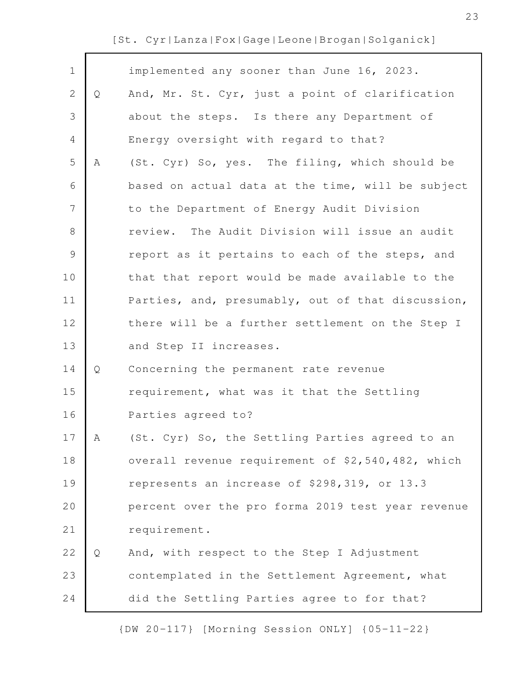| $\mathbf 1$    |   | implemented any sooner than June 16, 2023.        |
|----------------|---|---------------------------------------------------|
| $\mathbf{2}$   | Q | And, Mr. St. Cyr, just a point of clarification   |
| 3              |   | about the steps. Is there any Department of       |
| 4              |   | Energy oversight with regard to that?             |
| 5              | Α | (St. Cyr) So, yes. The filing, which should be    |
| 6              |   | based on actual data at the time, will be subject |
| $\overline{7}$ |   | to the Department of Energy Audit Division        |
| 8              |   | review. The Audit Division will issue an audit    |
| $\mathcal{G}$  |   | report as it pertains to each of the steps, and   |
| 10             |   | that that report would be made available to the   |
| 11             |   | Parties, and, presumably, out of that discussion, |
| 12             |   | there will be a further settlement on the Step I  |
| 13             |   | and Step II increases.                            |
| 14             | Q | Concerning the permanent rate revenue             |
| 15             |   | requirement, what was it that the Settling        |
| 16             |   | Parties agreed to?                                |
| 17             | A | (St. Cyr) So, the Settling Parties agreed to an   |
| 18             |   | overall revenue requirement of \$2,540,482, which |
| 19             |   | represents an increase of \$298,319, or 13.3      |
| 20             |   | percent over the pro forma 2019 test year revenue |
| 21             |   | requirement.                                      |
| 22             | Q | And, with respect to the Step I Adjustment        |
| 23             |   | contemplated in the Settlement Agreement, what    |
| 24             |   | did the Settling Parties agree to for that?       |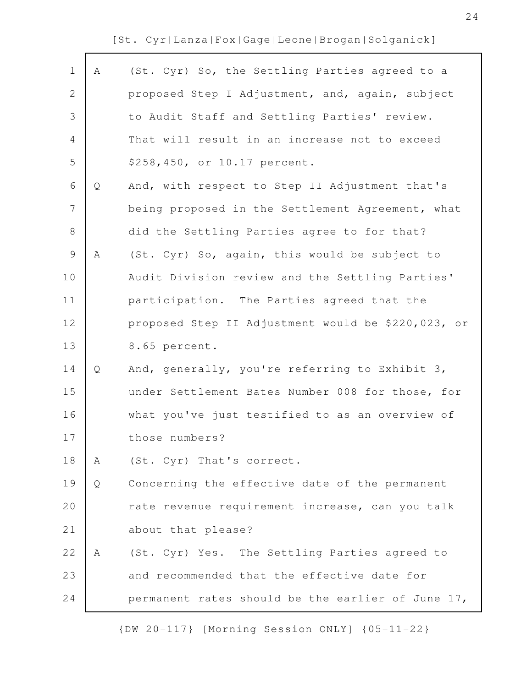| $\mathbf 1$    | Α | (St. Cyr) So, the Settling Parties agreed to a     |
|----------------|---|----------------------------------------------------|
| 2              |   | proposed Step I Adjustment, and, again, subject    |
| 3              |   | to Audit Staff and Settling Parties' review.       |
| $\overline{4}$ |   | That will result in an increase not to exceed      |
| 5              |   | \$258,450, or 10.17 percent.                       |
| 6              | Q | And, with respect to Step II Adjustment that's     |
| 7              |   | being proposed in the Settlement Agreement, what   |
| $\,8\,$        |   | did the Settling Parties agree to for that?        |
| $\mathcal{G}$  | Α | (St. Cyr) So, again, this would be subject to      |
| 10             |   | Audit Division review and the Settling Parties'    |
| 11             |   | participation. The Parties agreed that the         |
| 12             |   | proposed Step II Adjustment would be \$220,023, or |
| 13             |   | 8.65 percent.                                      |
| 14             | Q | And, generally, you're referring to Exhibit 3,     |
| 15             |   | under Settlement Bates Number 008 for those, for   |
| 16             |   | what you've just testified to as an overview of    |
| 17             |   | those numbers?                                     |
| 18             | Α | (St. Cyr) That's correct.                          |
| 19             | Q | Concerning the effective date of the permanent     |
| 20             |   | rate revenue requirement increase, can you talk    |
| 21             |   | about that please?                                 |
| 22             | Α | (St. Cyr) Yes. The Settling Parties agreed to      |
| 23             |   | and recommended that the effective date for        |
| 24             |   | permanent rates should be the earlier of June 17,  |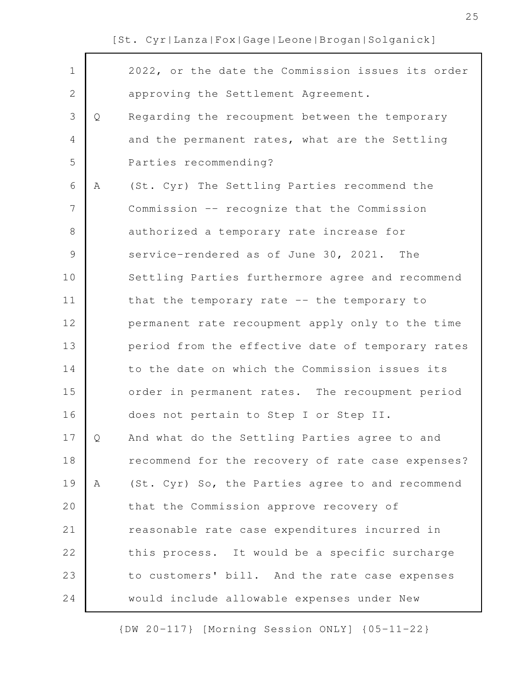$\mathsf{r}$ 

| $\mathbf 1$   |   | 2022, or the date the Commission issues its order |
|---------------|---|---------------------------------------------------|
| $\mathbf{2}$  |   | approving the Settlement Agreement.               |
| 3             | Q | Regarding the recoupment between the temporary    |
| 4             |   | and the permanent rates, what are the Settling    |
| 5             |   | Parties recommending?                             |
| 6             | Α | (St. Cyr) The Settling Parties recommend the      |
| 7             |   | Commission -- recognize that the Commission       |
| 8             |   | authorized a temporary rate increase for          |
| $\mathcal{G}$ |   | service-rendered as of June 30, 2021. The         |
| 10            |   | Settling Parties furthermore agree and recommend  |
| 11            |   | that the temporary rate -- the temporary to       |
| 12            |   | permanent rate recoupment apply only to the time  |
| 13            |   | period from the effective date of temporary rates |
| 14            |   | to the date on which the Commission issues its    |
| 15            |   | order in permanent rates. The recoupment period   |
| 16            |   | does not pertain to Step I or Step II.            |
| 17            | Q | And what do the Settling Parties agree to and     |
| 18            |   | recommend for the recovery of rate case expenses? |
| 19            | A | (St. Cyr) So, the Parties agree to and recommend  |
| 20            |   | that the Commission approve recovery of           |
| 21            |   | reasonable rate case expenditures incurred in     |
| 22            |   | this process. It would be a specific surcharge    |
| 23            |   | to customers' bill. And the rate case expenses    |
| 24            |   | would include allowable expenses under New        |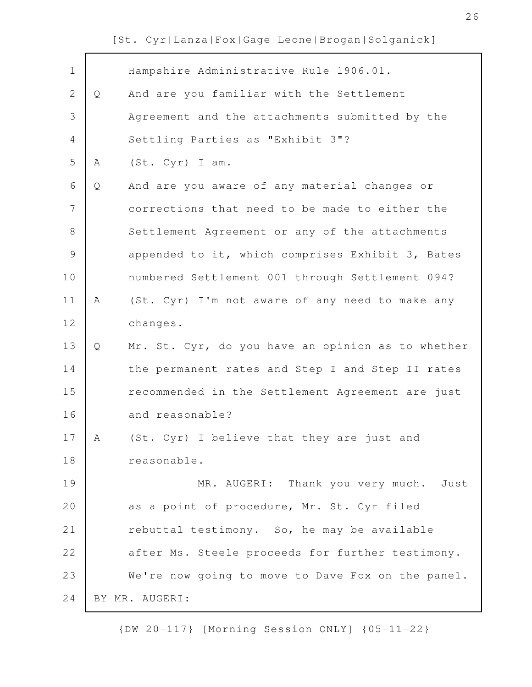| $\mathbf 1$    |   | Hampshire Administrative Rule 1906.01.            |
|----------------|---|---------------------------------------------------|
| $\overline{2}$ | Q | And are you familiar with the Settlement          |
| 3              |   | Agreement and the attachments submitted by the    |
| 4              |   | Settling Parties as "Exhibit 3"?                  |
| 5              | Α | (St. Cyr) I am.                                   |
| 6              | Q | And are you aware of any material changes or      |
| 7              |   | corrections that need to be made to either the    |
| 8              |   | Settlement Agreement or any of the attachments    |
| $\mathcal{G}$  |   | appended to it, which comprises Exhibit 3, Bates  |
| 10             |   | numbered Settlement 001 through Settlement 094?   |
| 11             | Α | (St. Cyr) I'm not aware of any need to make any   |
| 12             |   | changes.                                          |
| 13             | Q | Mr. St. Cyr, do you have an opinion as to whether |
| 14             |   | the permanent rates and Step I and Step II rates  |
| 15             |   | recommended in the Settlement Agreement are just  |
| 16             |   | and reasonable?                                   |
| 17             | Α | (St. Cyr) I believe that they are just and        |
| 18             |   | reasonable.                                       |
| 19             |   | MR. AUGERI: Thank you very much. Just             |
| 20             |   | as a point of procedure, Mr. St. Cyr filed        |
| 21             |   | rebuttal testimony. So, he may be available       |
| 22             |   | after Ms. Steele proceeds for further testimony.  |
| 23             |   | We're now going to move to Dave Fox on the panel. |
| 24             |   | BY MR. AUGERI:                                    |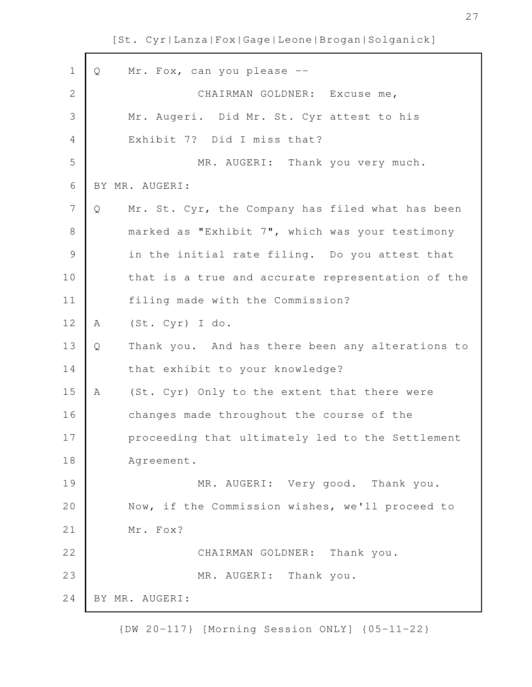| $\mathbf 1$  | Q | Mr. Fox, can you please --                        |
|--------------|---|---------------------------------------------------|
| $\mathbf{2}$ |   | CHAIRMAN GOLDNER: Excuse me,                      |
| 3            |   | Mr. Augeri. Did Mr. St. Cyr attest to his         |
| 4            |   | Exhibit 7? Did I miss that?                       |
| 5            |   | MR. AUGERI: Thank you very much.                  |
| 6            |   | BY MR. AUGERI:                                    |
| 7            | Q | Mr. St. Cyr, the Company has filed what has been  |
| 8            |   | marked as "Exhibit 7", which was your testimony   |
| 9            |   | in the initial rate filing. Do you attest that    |
| 10           |   | that is a true and accurate representation of the |
| 11           |   | filing made with the Commission?                  |
| 12           | Α | (St. Cyr) I do.                                   |
| 13           | Q | Thank you. And has there been any alterations to  |
| 14           |   | that exhibit to your knowledge?                   |
| 15           | Α | (St. Cyr) Only to the extent that there were      |
| 16           |   | changes made throughout the course of the         |
| 17           |   | proceeding that ultimately led to the Settlement  |
| 18           |   | Agreement.                                        |
| 19           |   | MR. AUGERI: Very good. Thank you.                 |
| 20           |   | Now, if the Commission wishes, we'll proceed to   |
| 21           |   | Mr. Fox?                                          |
| 22           |   | Thank you.<br>CHAIRMAN GOLDNER:                   |
| 23           |   | MR. AUGERI: Thank you.                            |
| 24           |   | BY MR. AUGERI:                                    |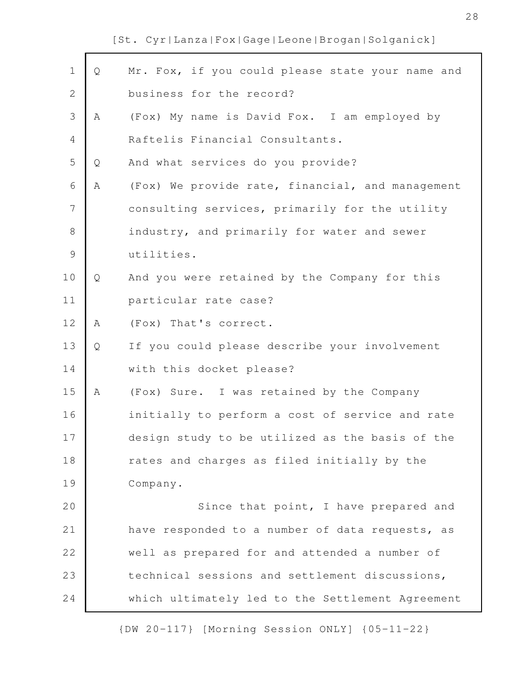| $\mathbf 1$    | Q | Mr. Fox, if you could please state your name and |
|----------------|---|--------------------------------------------------|
| $\mathbf{2}$   |   | business for the record?                         |
| 3              | Α | (Fox) My name is David Fox. I am employed by     |
| $\overline{4}$ |   | Raftelis Financial Consultants.                  |
| 5              | Q | And what services do you provide?                |
| 6              | Α | (Fox) We provide rate, financial, and management |
| 7              |   | consulting services, primarily for the utility   |
| $\,8\,$        |   | industry, and primarily for water and sewer      |
| $\mathcal{G}$  |   | utilities.                                       |
| 10             | Q | And you were retained by the Company for this    |
| 11             |   | particular rate case?                            |
| 12             | Α | (Fox) That's correct.                            |
| 13             | Q | If you could please describe your involvement    |
| 14             |   | with this docket please?                         |
| 15             | Α | (Fox) Sure. I was retained by the Company        |
| 16             |   | initially to perform a cost of service and rate  |
| 17             |   | design study to be utilized as the basis of the  |
| 18             |   | rates and charges as filed initially by the      |
| 19             |   | Company.                                         |
| 20             |   | Since that point, I have prepared and            |
| 21             |   | have responded to a number of data requests, as  |
| 22             |   | well as prepared for and attended a number of    |
| 23             |   | technical sessions and settlement discussions,   |
| 24             |   | which ultimately led to the Settlement Agreement |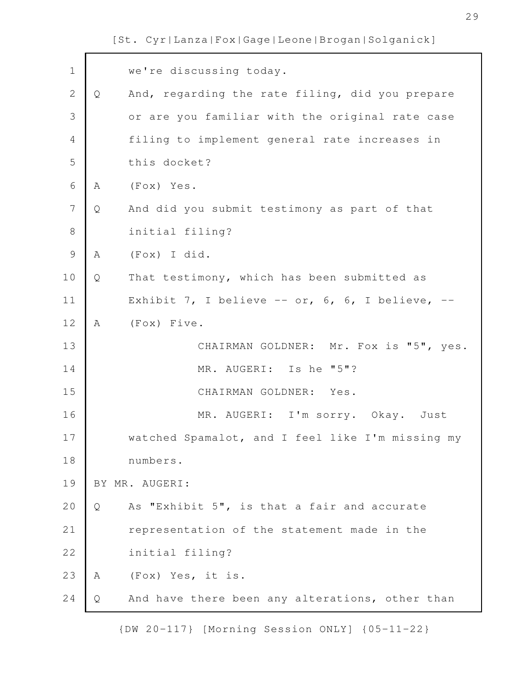| $\mathbf 1$    |   | we're discussing today.                          |
|----------------|---|--------------------------------------------------|
| $\overline{2}$ | Q | And, regarding the rate filing, did you prepare  |
| 3              |   | or are you familiar with the original rate case  |
| 4              |   | filing to implement general rate increases in    |
| 5              |   | this docket?                                     |
| $\sqrt{6}$     | A | (Fox) Yes.                                       |
| 7              | Q | And did you submit testimony as part of that     |
| $8\,$          |   | initial filing?                                  |
| $\mathcal{G}$  | Α | (Fox) I did.                                     |
| 10             | Q | That testimony, which has been submitted as      |
| 11             |   | Exhibit 7, I believe -- or, 6, 6, I believe, --  |
| 12             | A | (Fox) Five.                                      |
| 13             |   | CHAIRMAN GOLDNER: Mr. Fox is "5", yes.           |
| 14             |   | MR. AUGERI: Is he "5"?                           |
| 15             |   | CHAIRMAN GOLDNER: Yes.                           |
| 16             |   | MR. AUGERI: I'm sorry. Okay. Just                |
| 17             |   | watched Spamalot, and I feel like I'm missing my |
| 18             |   | numbers.                                         |
| 19             |   | BY MR. AUGERI:                                   |
| 20             | Q | As "Exhibit 5", is that a fair and accurate      |
| 21             |   | representation of the statement made in the      |
| 22             |   | initial filing?                                  |
| 23             | A | (Fox) Yes, it is.                                |
| 24             | Q | And have there been any alterations, other than  |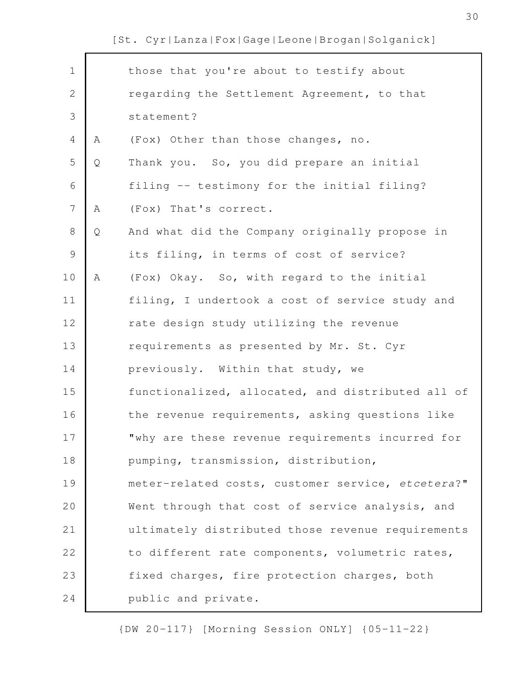| $\mathbf 1$    |   | those that you're about to testify about          |
|----------------|---|---------------------------------------------------|
| $\overline{2}$ |   | regarding the Settlement Agreement, to that       |
| 3              |   | statement?                                        |
| $\overline{4}$ | Α | (Fox) Other than those changes, no.               |
| 5              | Q | Thank you. So, you did prepare an initial         |
| 6              |   | filing -- testimony for the initial filing?       |
| $\overline{7}$ | Α | (Fox) That's correct.                             |
| 8              | Q | And what did the Company originally propose in    |
| $\mathsf 9$    |   | its filing, in terms of cost of service?          |
| 10             | Α | (Fox) Okay. So, with regard to the initial        |
| 11             |   | filing, I undertook a cost of service study and   |
| 12             |   | rate design study utilizing the revenue           |
| 13             |   | requirements as presented by Mr. St. Cyr          |
| 14             |   | previously. Within that study, we                 |
| 15             |   | functionalized, allocated, and distributed all of |
| 16             |   | the revenue requirements, asking questions like   |
| 17             |   | "why are these revenue requirements incurred for  |
| 18             |   | pumping, transmission, distribution,              |
| 19             |   | meter-related costs, customer service, etcetera?" |
| 20             |   | Went through that cost of service analysis, and   |
| 21             |   | ultimately distributed those revenue requirements |
| 22             |   | to different rate components, volumetric rates,   |
| 23             |   | fixed charges, fire protection charges, both      |
| 24             |   | public and private.                               |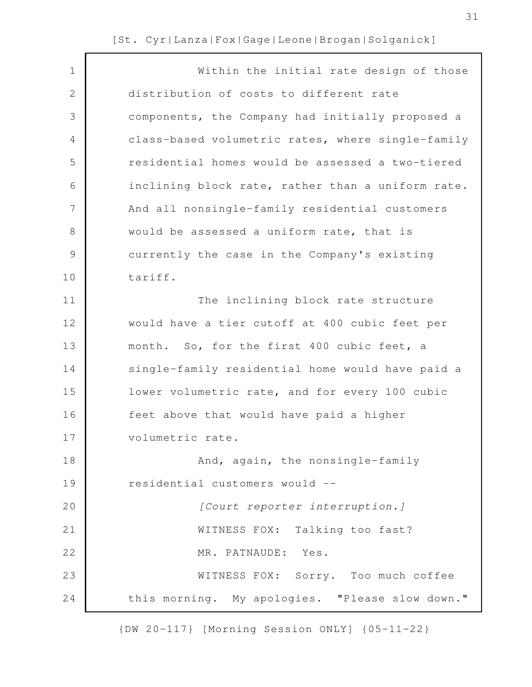| $\mathbf 1$   | Within the initial rate design of those           |
|---------------|---------------------------------------------------|
| 2             | distribution of costs to different rate           |
| 3             | components, the Company had initially proposed a  |
| 4             | class-based volumetric rates, where single-family |
| 5             | residential homes would be assessed a two-tiered  |
| 6             | inclining block rate, rather than a uniform rate. |
| 7             | And all nonsingle-family residential customers    |
| 8             | would be assessed a uniform rate, that is         |
| $\mathcal{G}$ | currently the case in the Company's existing      |
| 10            | tariff.                                           |
| 11            | The inclining block rate structure                |
| 12            | would have a tier cutoff at 400 cubic feet per    |
| 13            | month. So, for the first 400 cubic feet, a        |
| 14            | single-family residential home would have paid a  |
| 15            | lower volumetric rate, and for every 100 cubic    |
| 16            | feet above that would have paid a higher          |
| 17            | volumetric rate.                                  |
| 18            | And, again, the nonsingle-family                  |
| 19            | residential customers would --                    |
| 20            | [Court reporter interruption.]                    |
| 21            | WITNESS FOX: Talking too fast?                    |
| 22            | MR. PATNAUDE: Yes.                                |
| 23            | WITNESS FOX: Sorry. Too much coffee               |
| 24            | this morning. My apologies. "Please slow down."   |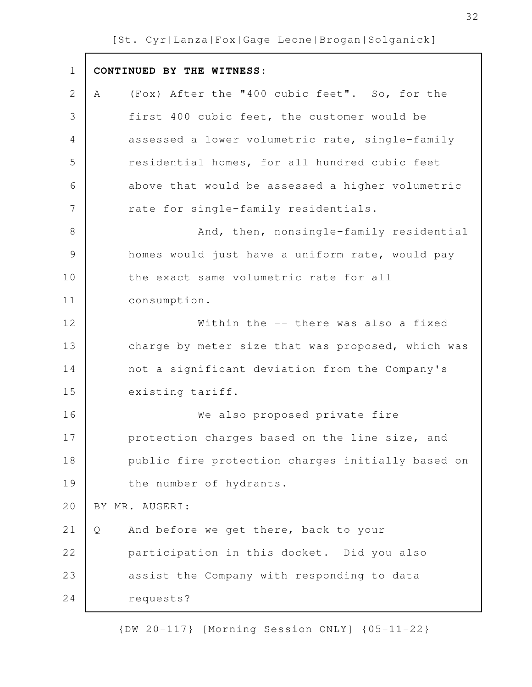$\mathsf{r}$ 

| $\mathbf 1$   | CONTINUED BY THE WITNESS:                          |
|---------------|----------------------------------------------------|
| $\mathbf{2}$  | (Fox) After the "400 cubic feet". So, for the<br>Α |
| 3             | first 400 cubic feet, the customer would be        |
| 4             | assessed a lower volumetric rate, single-family    |
| 5             | residential homes, for all hundred cubic feet      |
| 6             | above that would be assessed a higher volumetric   |
| 7             | rate for single-family residentials.               |
| $8\,$         | And, then, nonsingle-family residential            |
| $\mathcal{G}$ | homes would just have a uniform rate, would pay    |
| 10            | the exact same volumetric rate for all             |
| 11            | consumption.                                       |
| 12            | Within the -- there was also a fixed               |
| 13            | charge by meter size that was proposed, which was  |
| 14            | not a significant deviation from the Company's     |
| 15            | existing tariff.                                   |
| 16            | We also proposed private fire                      |
| 17            | protection charges based on the line size, and     |
| 18            | public fire protection charges initially based on  |
| 19            | the number of hydrants.                            |
| 20            | BY MR. AUGERI:                                     |
| 21            | And before we get there, back to your<br>Q         |
| 22            | participation in this docket. Did you also         |
| 23            | assist the Company with responding to data         |
| 24            | requests?                                          |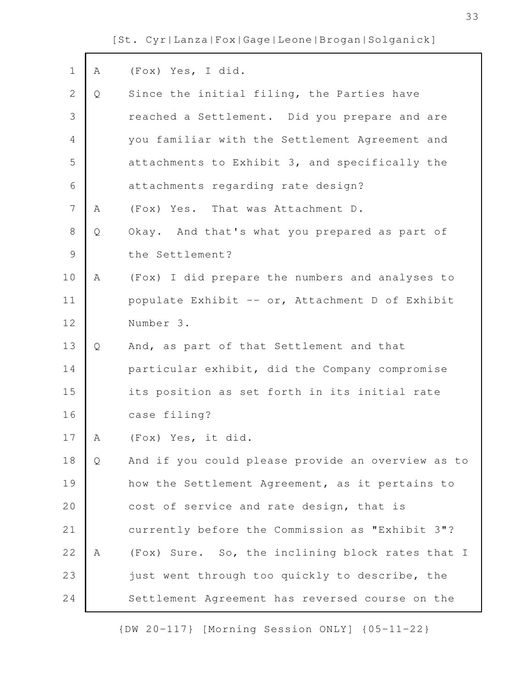$\mathbf{r}$ 

| $\mathbf 1$    | Α | (Fox) Yes, I did.                                 |
|----------------|---|---------------------------------------------------|
| $\mathbf{2}$   | Q | Since the initial filing, the Parties have        |
| 3              |   | reached a Settlement. Did you prepare and are     |
| 4              |   | you familiar with the Settlement Agreement and    |
| 5              |   | attachments to Exhibit 3, and specifically the    |
| $\sqrt{6}$     |   | attachments regarding rate design?                |
| $\overline{7}$ | A | (Fox) Yes. That was Attachment D.                 |
| $\,8\,$        | Q | Okay. And that's what you prepared as part of     |
| $\mathcal{G}$  |   | the Settlement?                                   |
| 10             | Α | (Fox) I did prepare the numbers and analyses to   |
| 11             |   | populate Exhibit -- or, Attachment D of Exhibit   |
| 12             |   | Number 3.                                         |
| 13             | Q | And, as part of that Settlement and that          |
| 14             |   | particular exhibit, did the Company compromise    |
| 15             |   | its position as set forth in its initial rate     |
| 16             |   | case filing?                                      |
| 17             | Α | (Fox) Yes, it did.                                |
| 18             | Q | And if you could please provide an overview as to |
| 19             |   | how the Settlement Agreement, as it pertains to   |
| 20             |   | cost of service and rate design, that is          |
| 21             |   | currently before the Commission as "Exhibit 3"?   |
| 22             | Α | (Fox) Sure. So, the inclining block rates that I  |
| 23             |   | just went through too quickly to describe, the    |
| 24             |   | Settlement Agreement has reversed course on the   |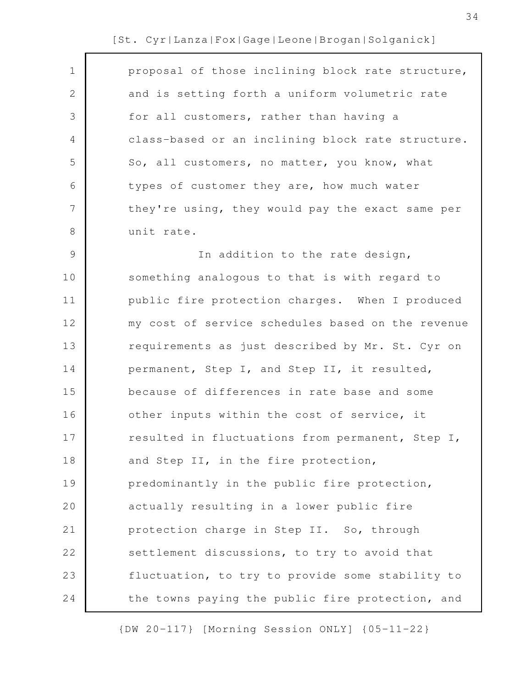| $\mathbf 1$ | proposal of those inclining block rate structure, |
|-------------|---------------------------------------------------|
| 2           | and is setting forth a uniform volumetric rate    |
| 3           | for all customers, rather than having a           |
| 4           | class-based or an inclining block rate structure. |
| 5           | So, all customers, no matter, you know, what      |
| 6           | types of customer they are, how much water        |
| 7           | they're using, they would pay the exact same per  |
| 8           | unit rate.                                        |
| 9           | In addition to the rate design,                   |
| 10          | something analogous to that is with regard to     |
| 11          | public fire protection charges. When I produced   |
| 12          | my cost of service schedules based on the revenue |
| 13          | requirements as just described by Mr. St. Cyr on  |
| 14          | permanent, Step I, and Step II, it resulted,      |
| 15          | because of differences in rate base and some      |
| 16          | other inputs within the cost of service, it       |
| 17          | resulted in fluctuations from permanent, Step I,  |
| 18          | and Step II, in the fire protection,              |
| 19          | predominantly in the public fire protection,      |
| 20          | actually resulting in a lower public fire         |
| 21          | protection charge in Step II. So, through         |
| 22          | settlement discussions, to try to avoid that      |
| 23          | fluctuation, to try to provide some stability to  |
| 24          | the towns paying the public fire protection, and  |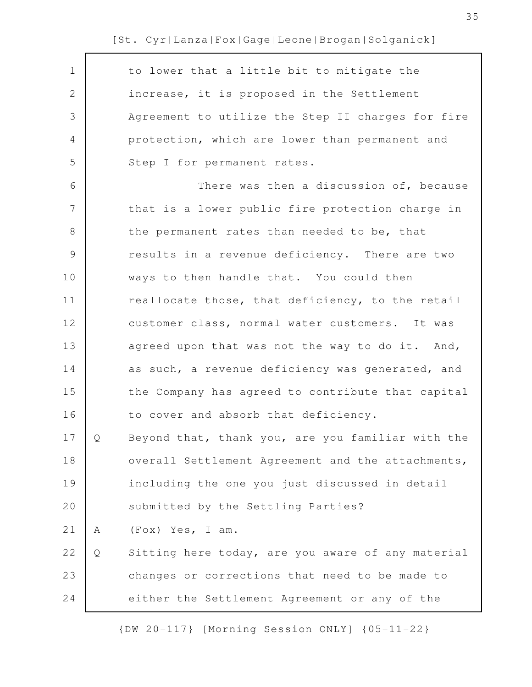| $\mathbf 1$    |   | to lower that a little bit to mitigate the        |
|----------------|---|---------------------------------------------------|
| 2              |   | increase, it is proposed in the Settlement        |
| 3              |   | Agreement to utilize the Step II charges for fire |
| 4              |   | protection, which are lower than permanent and    |
| 5              |   | Step I for permanent rates.                       |
| 6              |   | There was then a discussion of, because           |
| $\overline{7}$ |   | that is a lower public fire protection charge in  |
| $8\,$          |   | the permanent rates than needed to be, that       |
| 9              |   | results in a revenue deficiency. There are two    |
| 10             |   | ways to then handle that. You could then          |
| 11             |   | reallocate those, that deficiency, to the retail  |
| 12             |   | customer class, normal water customers. It was    |
| 13             |   | agreed upon that was not the way to do it. And,   |
| 14             |   | as such, a revenue deficiency was generated, and  |
| 15             |   | the Company has agreed to contribute that capital |
| 16             |   | to cover and absorb that deficiency.              |
| 17             | Ő | Beyond that, thank you, are you familiar with the |
| 18             |   | overall Settlement Agreement and the attachments, |
| 19             |   | including the one you just discussed in detail    |
| 20             |   | submitted by the Settling Parties?                |
| 21             | Α | (Fox) Yes, I am.                                  |
| 22             | Q | Sitting here today, are you aware of any material |
| 23             |   | changes or corrections that need to be made to    |
| 24             |   | either the Settlement Agreement or any of the     |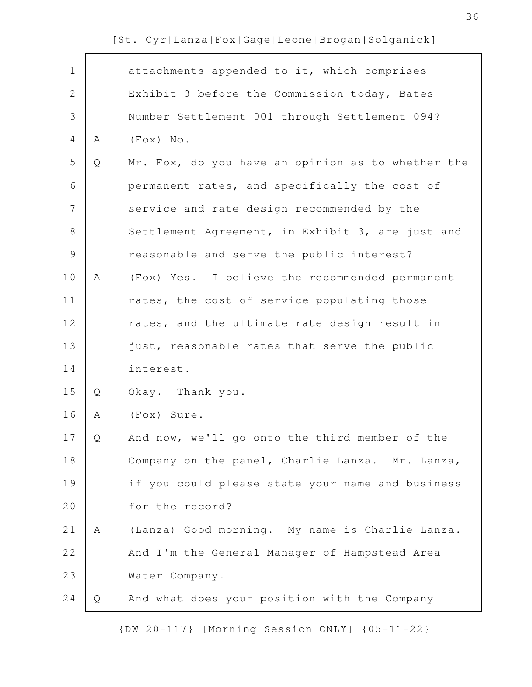| $\mathbf 1$    |   | attachments appended to it, which comprises       |
|----------------|---|---------------------------------------------------|
| $\mathbf{2}$   |   | Exhibit 3 before the Commission today, Bates      |
| 3              |   | Number Settlement 001 through Settlement 094?     |
| $\overline{4}$ | Α | $(F \circ x)$ No.                                 |
| 5              | Q | Mr. Fox, do you have an opinion as to whether the |
| 6              |   | permanent rates, and specifically the cost of     |
| $\overline{7}$ |   | service and rate design recommended by the        |
| $\,8\,$        |   | Settlement Agreement, in Exhibit 3, are just and  |
| $\mathcal{G}$  |   | reasonable and serve the public interest?         |
| 10             | Α | (Fox) Yes. I believe the recommended permanent    |
| 11             |   | rates, the cost of service populating those       |
| 12             |   | rates, and the ultimate rate design result in     |
| 13             |   | just, reasonable rates that serve the public      |
| 14             |   | interest.                                         |
| 15             | Q | Okay. Thank you.                                  |
| 16             | Α | (Fox) Sure.                                       |
| 17             | Q | And now, we'll go onto the third member of the    |
| 18             |   | Company on the panel, Charlie Lanza. Mr. Lanza,   |
| 19             |   | if you could please state your name and business  |
| 20             |   | for the record?                                   |
| 21             | Α | (Lanza) Good morning. My name is Charlie Lanza.   |
| 22             |   | And I'm the General Manager of Hampstead Area     |
| 23             |   | Water Company.                                    |
| 24             | Q | And what does your position with the Company      |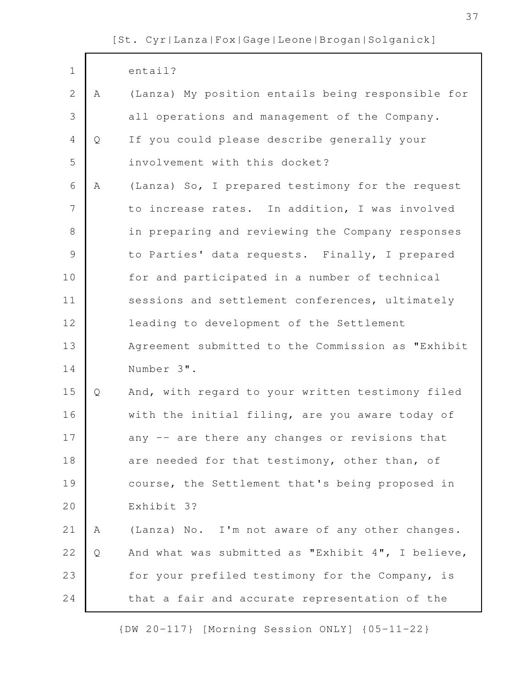$\mathsf{r}$ 

| $\mathbf 1$   |   | entail?                                           |
|---------------|---|---------------------------------------------------|
| $\mathbf{2}$  | A | (Lanza) My position entails being responsible for |
| 3             |   | all operations and management of the Company.     |
| 4             | Q | If you could please describe generally your       |
| 5             |   | involvement with this docket?                     |
| 6             | Α | (Lanza) So, I prepared testimony for the request  |
| 7             |   | to increase rates. In addition, I was involved    |
| $8\,$         |   | in preparing and reviewing the Company responses  |
| $\mathcal{G}$ |   | to Parties' data requests. Finally, I prepared    |
| 10            |   | for and participated in a number of technical     |
| 11            |   | sessions and settlement conferences, ultimately   |
| 12            |   | leading to development of the Settlement          |
|               |   |                                                   |
| 13            |   | Agreement submitted to the Commission as "Exhibit |
| 14            |   | Number 3".                                        |
| 15            | Q | And, with regard to your written testimony filed  |
| 16            |   | with the initial filing, are you aware today of   |
| 17            |   | any -- are there any changes or revisions that    |
| 18            |   | are needed for that testimony, other than, of     |
| 19            |   | course, the Settlement that's being proposed in   |
| 20            |   | Exhibit 3?                                        |
| 21            | A | (Lanza) No. I'm not aware of any other changes.   |
| 22            | Q | And what was submitted as "Exhibit 4", I believe, |
| 23            |   | for your prefiled testimony for the Company, is   |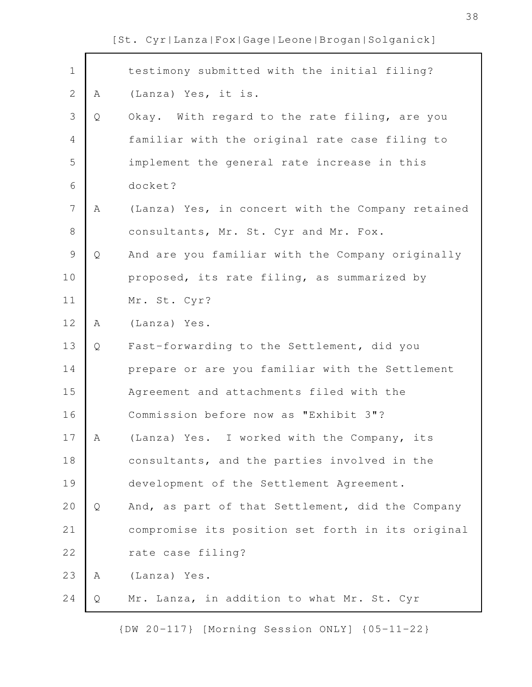| $\mathbf 1$    |   | testimony submitted with the initial filing?      |
|----------------|---|---------------------------------------------------|
| $\mathbf{2}$   | A | (Lanza) Yes, it is.                               |
| 3              | Q | Okay. With regard to the rate filing, are you     |
| $\overline{4}$ |   | familiar with the original rate case filing to    |
| 5              |   | implement the general rate increase in this       |
| 6              |   | docket?                                           |
| $\overline{7}$ | A | (Lanza) Yes, in concert with the Company retained |
| $\,8\,$        |   | consultants, Mr. St. Cyr and Mr. Fox.             |
| $\mathsf 9$    | Q | And are you familiar with the Company originally  |
| 10             |   | proposed, its rate filing, as summarized by       |
| 11             |   | Mr. St. Cyr?                                      |
| 12             | Α | (Lanza) Yes.                                      |
| 13             | Q | Fast-forwarding to the Settlement, did you        |
| 14             |   | prepare or are you familiar with the Settlement   |
| 15             |   | Agreement and attachments filed with the          |
| 16             |   | Commission before now as "Exhibit 3"?             |
| 17             | Α | (Lanza) Yes. I worked with the Company, its       |
| 18             |   | consultants, and the parties involved in the      |
| 19             |   | development of the Settlement Agreement.          |
| 20             | Q | And, as part of that Settlement, did the Company  |
| 21             |   | compromise its position set forth in its original |
| 22             |   | rate case filing?                                 |
| 23             | Α | (Lanza) Yes.                                      |
| 24             | Q | Mr. Lanza, in addition to what Mr. St. Cyr        |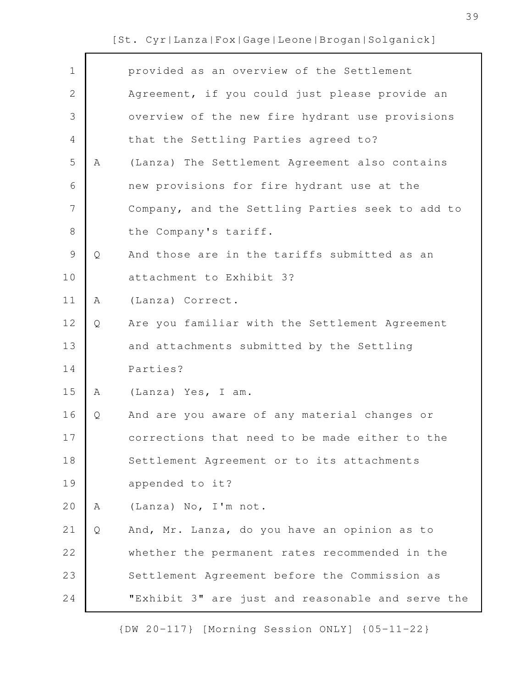$\Gamma$ 

| $\mathbf 1$    |   | provided as an overview of the Settlement         |
|----------------|---|---------------------------------------------------|
| $\overline{2}$ |   | Agreement, if you could just please provide an    |
| 3              |   | overview of the new fire hydrant use provisions   |
| $\overline{4}$ |   | that the Settling Parties agreed to?              |
| 5              | Α | (Lanza) The Settlement Agreement also contains    |
| 6              |   | new provisions for fire hydrant use at the        |
| 7              |   | Company, and the Settling Parties seek to add to  |
| 8              |   | the Company's tariff.                             |
| $\mathcal{G}$  | Q | And those are in the tariffs submitted as an      |
| 10             |   | attachment to Exhibit 3?                          |
| 11             | Α | (Lanza) Correct.                                  |
| 12             | Q | Are you familiar with the Settlement Agreement    |
| 13             |   | and attachments submitted by the Settling         |
| 14             |   | Parties?                                          |
| 15             | Α | (Lanza) Yes, I am.                                |
| 16             | Q | And are you aware of any material changes or      |
| 17             |   | corrections that need to be made either to the    |
| 18             |   | Settlement Agreement or to its attachments        |
| 19             |   | appended to it?                                   |
| 20             | Α | (Lanza) No, I'm not.                              |
| 21             | Q | And, Mr. Lanza, do you have an opinion as to      |
| 22             |   | whether the permanent rates recommended in the    |
| 23             |   | Settlement Agreement before the Commission as     |
| 24             |   | "Exhibit 3" are just and reasonable and serve the |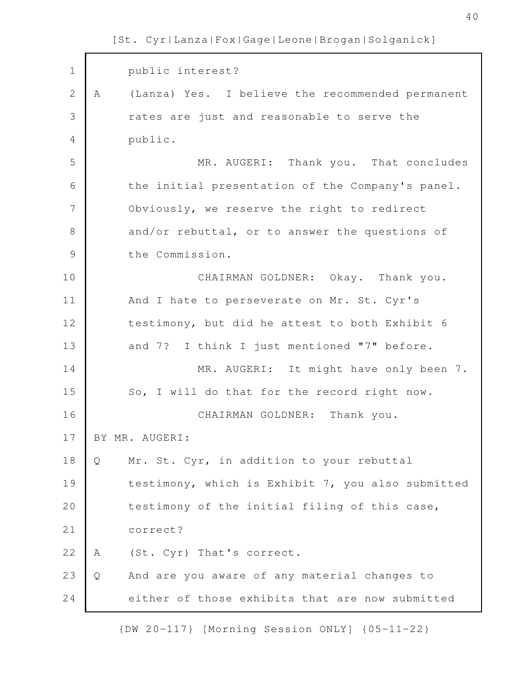public interest? A (Lanza) Yes. I believe the recommended permanent rates are just and reasonable to serve the public. MR. AUGERI: Thank you. That concludes the initial presentation of the Company's panel. Obviously, we reserve the right to redirect and/or rebuttal, or to answer the questions of the Commission. CHAIRMAN GOLDNER: Okay. Thank you. And I hate to perseverate on Mr. St. Cyr's testimony, but did he attest to both Exhibit 6 and 7? I think I just mentioned "7" before. MR. AUGERI: It might have only been 7. So, I will do that for the record right now. CHAIRMAN GOLDNER: Thank you. BY MR. AUGERI: Q Mr. St. Cyr, in addition to your rebuttal testimony, which is Exhibit 7, you also submitted testimony of the initial filing of this case, correct? A (St. Cyr) That's correct. Q And are you aware of any material changes to either of those exhibits that are now submitted 1 2 3 4 5 6 7 8 9 10 11 12 13 14 15 16 17 18 19 20 21 22 23 24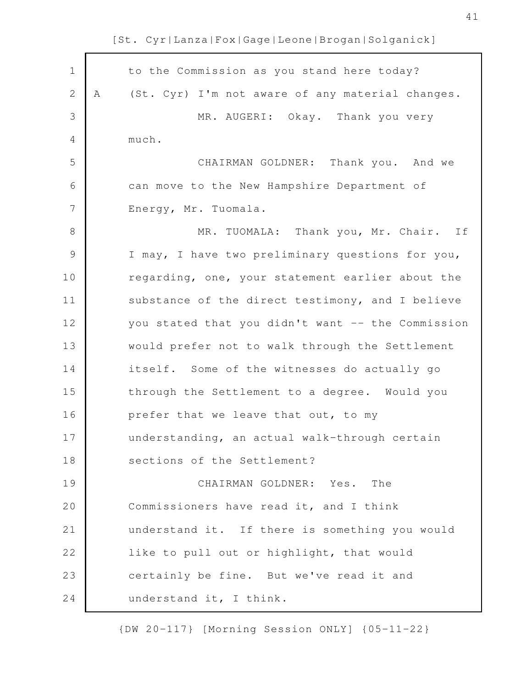| $\mathbf 1$   |   | to the Commission as you stand here today?        |
|---------------|---|---------------------------------------------------|
| 2             | Α | (St. Cyr) I'm not aware of any material changes.  |
| 3             |   | MR. AUGERI: Okay. Thank you very                  |
| 4             |   | much.                                             |
| 5             |   | CHAIRMAN GOLDNER: Thank you. And we               |
| 6             |   | can move to the New Hampshire Department of       |
| 7             |   | Energy, Mr. Tuomala.                              |
| 8             |   | MR. TUOMALA: Thank you, Mr. Chair. If             |
| $\mathcal{G}$ |   | I may, I have two preliminary questions for you,  |
| 10            |   | regarding, one, your statement earlier about the  |
| 11            |   | substance of the direct testimony, and I believe  |
| 12            |   | you stated that you didn't want -- the Commission |
| 13            |   | would prefer not to walk through the Settlement   |
| 14            |   | itself. Some of the witnesses do actually go      |
| 15            |   | through the Settlement to a degree. Would you     |
| 16            |   | prefer that we leave that out, to my              |
| 17            |   | understanding, an actual walk-through certain     |
| 18            |   | sections of the Settlement?                       |
| 19            |   | CHAIRMAN GOLDNER: Yes. The                        |
| 20            |   | Commissioners have read it, and I think           |
| 21            |   | understand it. If there is something you would    |
| 22            |   | like to pull out or highlight, that would         |
| 23            |   | certainly be fine. But we've read it and          |
| 24            |   | understand it, I think.                           |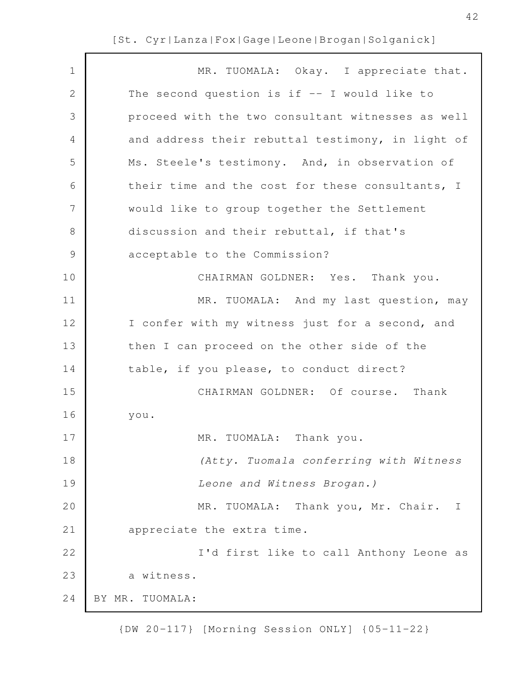| 1<br>$\mathbf 2$<br>3 | MR. TUOMALA: Okay. I appreciate that.<br>The second question is if $-$ I would like to |
|-----------------------|----------------------------------------------------------------------------------------|
|                       |                                                                                        |
|                       |                                                                                        |
|                       | proceed with the two consultant witnesses as well                                      |
| 4                     | and address their rebuttal testimony, in light of                                      |
| 5                     | Ms. Steele's testimony. And, in observation of                                         |
| 6                     | their time and the cost for these consultants, I                                       |
| 7                     | would like to group together the Settlement                                            |
| 8                     | discussion and their rebuttal, if that's                                               |
| $\mathcal{G}$         | acceptable to the Commission?                                                          |
| 10                    | CHAIRMAN GOLDNER: Yes. Thank you.                                                      |
| 11                    | MR. TUOMALA: And my last question, may                                                 |
| 12                    | I confer with my witness just for a second, and                                        |
| 13                    | then I can proceed on the other side of the                                            |
| 14                    | table, if you please, to conduct direct?                                               |
| 15                    | CHAIRMAN GOLDNER: Of course. Thank                                                     |
| 16                    | you.                                                                                   |
| 17                    | TUOMALA: Thank you.<br>MR.                                                             |
| 18                    | (Atty. Tuomala conferring with Witness                                                 |
| 19                    | Leone and Witness Brogan.)                                                             |
| 20                    | MR. TUOMALA: Thank you, Mr. Chair. I                                                   |
| 21                    | appreciate the extra time.                                                             |
| 22                    | I'd first like to call Anthony Leone as                                                |
| 23                    | a witness.                                                                             |
| 24                    | BY MR. TUOMALA:                                                                        |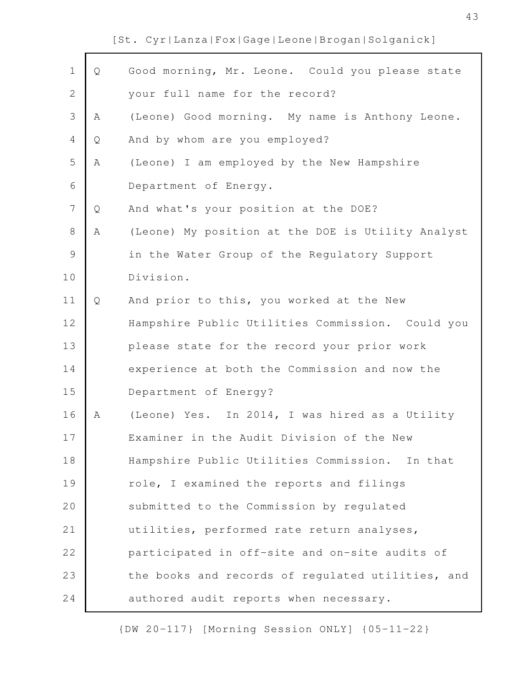| $\mathbf 1$    | Q | Good morning, Mr. Leone. Could you please state   |
|----------------|---|---------------------------------------------------|
| $\overline{2}$ |   | your full name for the record?                    |
| 3              | Α | (Leone) Good morning. My name is Anthony Leone.   |
| 4              | Q | And by whom are you employed?                     |
| 5              | Α | (Leone) I am employed by the New Hampshire        |
| 6              |   | Department of Energy.                             |
| 7              | Q | And what's your position at the DOE?              |
| 8              | Α | (Leone) My position at the DOE is Utility Analyst |
| $\mathsf 9$    |   | in the Water Group of the Regulatory Support      |
| 10             |   | Division.                                         |
| 11             | Q | And prior to this, you worked at the New          |
| 12             |   | Hampshire Public Utilities Commission. Could you  |
| 13             |   | please state for the record your prior work       |
| 14             |   | experience at both the Commission and now the     |
| 15             |   | Department of Energy?                             |
| 16             | Α | (Leone) Yes. In 2014, I was hired as a Utility    |
| 17             |   | Examiner in the Audit Division of the New         |
| 18             |   | Hampshire Public Utilities Commission. In that    |
| 19             |   | role, I examined the reports and filings          |
| 20             |   | submitted to the Commission by regulated          |
| 21             |   | utilities, performed rate return analyses,        |
| 22             |   | participated in off-site and on-site audits of    |
| 23             |   | the books and records of regulated utilities, and |
| 24             |   | authored audit reports when necessary.            |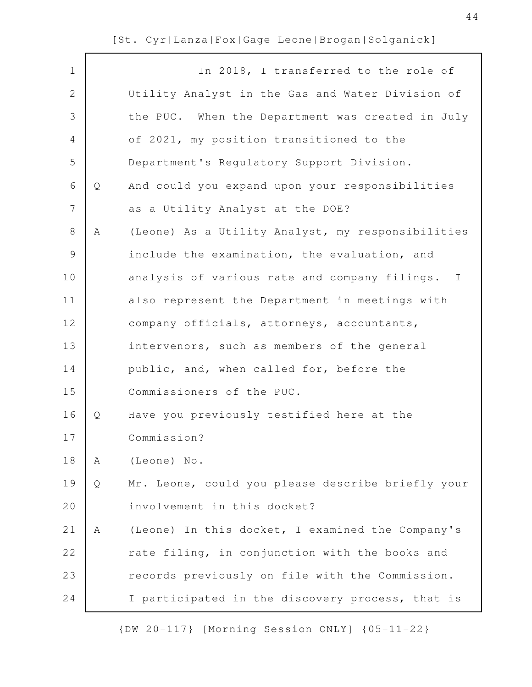| $\mathbf 1$    |   | In 2018, I transferred to the role of             |
|----------------|---|---------------------------------------------------|
| $\mathbf{2}$   |   | Utility Analyst in the Gas and Water Division of  |
| 3              |   | the PUC. When the Department was created in July  |
| 4              |   | of 2021, my position transitioned to the          |
| 5              |   | Department's Regulatory Support Division.         |
| 6              | Q | And could you expand upon your responsibilities   |
| $\overline{7}$ |   | as a Utility Analyst at the DOE?                  |
| 8              | Α | (Leone) As a Utility Analyst, my responsibilities |
| 9              |   | include the examination, the evaluation, and      |
| 10             |   | analysis of various rate and company filings. I   |
| 11             |   | also represent the Department in meetings with    |
| 12             |   | company officials, attorneys, accountants,        |
| 13             |   | intervenors, such as members of the general       |
| 14             |   | public, and, when called for, before the          |
| 15             |   | Commissioners of the PUC.                         |
| 16             | Q | Have you previously testified here at the         |
| 17             |   | Commission?                                       |
| 18             | Α | (Leone) No.                                       |
| 19             | Q | Mr. Leone, could you please describe briefly your |
| 20             |   | involvement in this docket?                       |
| 21             | Α | (Leone) In this docket, I examined the Company's  |
| 22             |   | rate filing, in conjunction with the books and    |
| 23             |   | records previously on file with the Commission.   |
| 24             |   | I participated in the discovery process, that is  |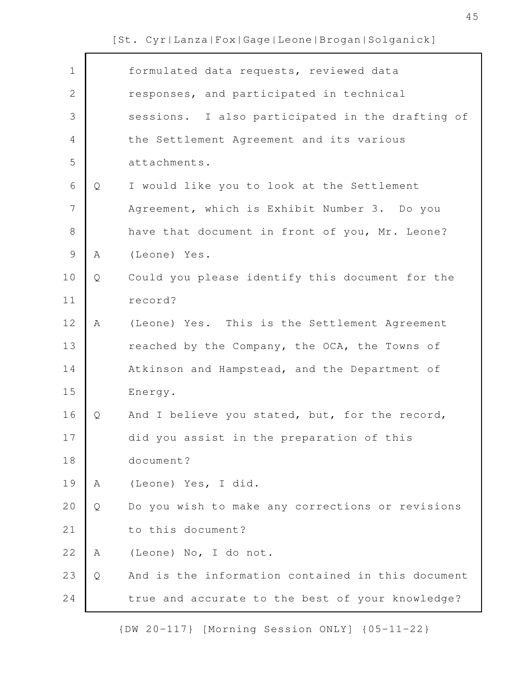| $\mathbf 1$    |   | formulated data requests, reviewed data           |
|----------------|---|---------------------------------------------------|
| $\mathbf{2}$   |   | responses, and participated in technical          |
| 3              |   | sessions. I also participated in the drafting of  |
| 4              |   | the Settlement Agreement and its various          |
| 5              |   | attachments.                                      |
| 6              | Q | I would like you to look at the Settlement        |
| $\overline{7}$ |   | Agreement, which is Exhibit Number 3. Do you      |
| $\,8\,$        |   | have that document in front of you, Mr. Leone?    |
| $\mathsf 9$    | Α | (Leone) Yes.                                      |
| 10             | Q | Could you please identify this document for the   |
| 11             |   | record?                                           |
| 12             | Α | (Leone) Yes. This is the Settlement Agreement     |
| 13             |   | reached by the Company, the OCA, the Towns of     |
| 14             |   | Atkinson and Hampstead, and the Department of     |
| 15             |   | Energy.                                           |
| 16             | Q | And I believe you stated, but, for the record,    |
| 17             |   | did you assist in the preparation of this         |
| 18             |   | document?                                         |
| 19             | Α | (Leone) Yes, I did.                               |
| 20             | Q | Do you wish to make any corrections or revisions  |
| 21             |   | to this document?                                 |
| 22             | Α | (Leone) No, I do not.                             |
| 23             | Q | And is the information contained in this document |
| 24             |   | true and accurate to the best of your knowledge?  |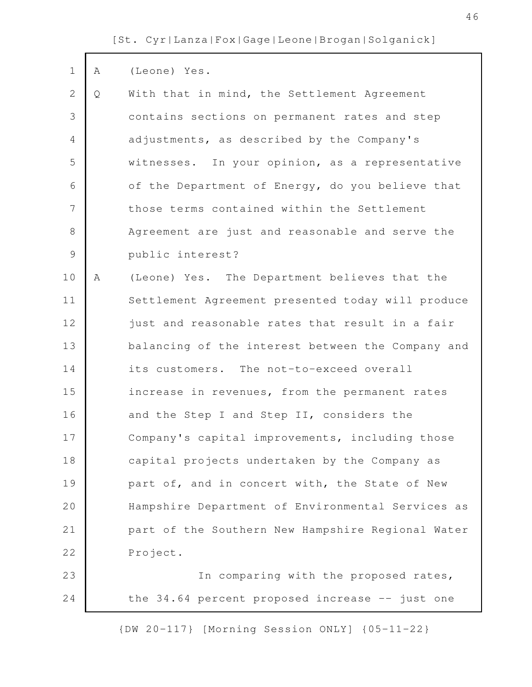| $\mathbf 1$    | Α | (Leone) Yes.                                       |
|----------------|---|----------------------------------------------------|
| $\mathbf{2}$   | Q | With that in mind, the Settlement Agreement        |
| 3              |   | contains sections on permanent rates and step      |
| $\overline{4}$ |   | adjustments, as described by the Company's         |
| 5              |   | witnesses. In your opinion, as a representative    |
| 6              |   | of the Department of Energy, do you believe that   |
| 7              |   | those terms contained within the Settlement        |
| 8              |   | Agreement are just and reasonable and serve the    |
| $\mathcal{G}$  |   | public interest?                                   |
| 10             | Α | (Leone) Yes. The Department believes that the      |
| 11             |   | Settlement Agreement presented today will produce  |
| 12             |   | just and reasonable rates that result in a fair    |
| 13             |   | balancing of the interest between the Company and  |
| 14             |   | its customers. The not-to-exceed overall           |
| 15             |   | increase in revenues, from the permanent rates     |
| 16             |   | and the Step I and Step II, considers the          |
| 17             |   | Company's capital improvements, including those    |
| 18             |   | capital projects undertaken by the Company as      |
| 19             |   | part of, and in concert with, the State of New     |
| 20             |   | Hampshire Department of Environmental Services as  |
| 21             |   | part of the Southern New Hampshire Regional Water  |
| 22             |   | Project.                                           |
| 23             |   | In comparing with the proposed rates,              |
| 24             |   | the $34.64$ percent proposed increase $-$ just one |
|                |   | {DW 20-117} [Morning Session ONLY] {05-11-22}      |

46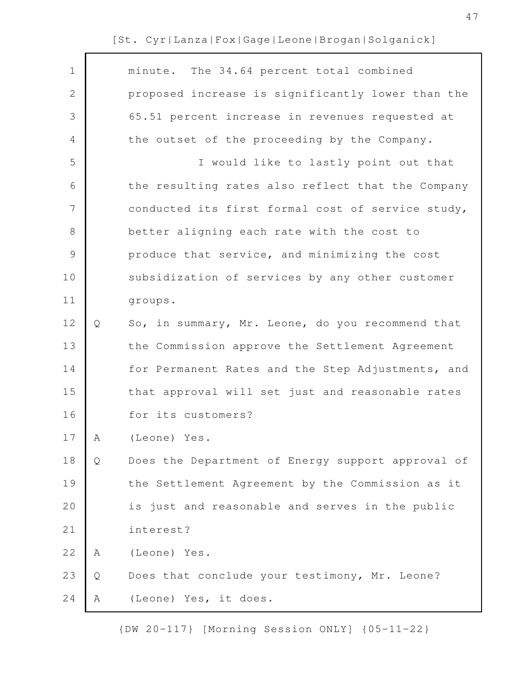| $\mathbf 1$    |   | minute. The 34.64 percent total combined          |
|----------------|---|---------------------------------------------------|
| $\mathbf{2}$   |   | proposed increase is significantly lower than the |
| 3              |   | 65.51 percent increase in revenues requested at   |
| $\overline{4}$ |   | the outset of the proceeding by the Company.      |
| 5              |   | I would like to lastly point out that             |
| 6              |   | the resulting rates also reflect that the Company |
| 7              |   | conducted its first formal cost of service study, |
| $8\,$          |   | better aligning each rate with the cost to        |
| $\mathcal{G}$  |   | produce that service, and minimizing the cost     |
| 10             |   | subsidization of services by any other customer   |
| 11             |   | groups.                                           |
| 12             | Q | So, in summary, Mr. Leone, do you recommend that  |
| 13             |   | the Commission approve the Settlement Agreement   |
| 14             |   | for Permanent Rates and the Step Adjustments, and |
| 15             |   | that approval will set just and reasonable rates  |
| 16             |   | for its customers?                                |
| 17             | A | (Leone) Yes.                                      |
| 18             | Q | Does the Department of Energy support approval of |
| 19             |   | the Settlement Agreement by the Commission as it  |
| 20             |   | is just and reasonable and serves in the public   |
| 21             |   | interest?                                         |
| 22             | Α | (Leone) Yes.                                      |
| 23             | Q | Does that conclude your testimony, Mr. Leone?     |
| 24             | Α | (Leone) Yes, it does.                             |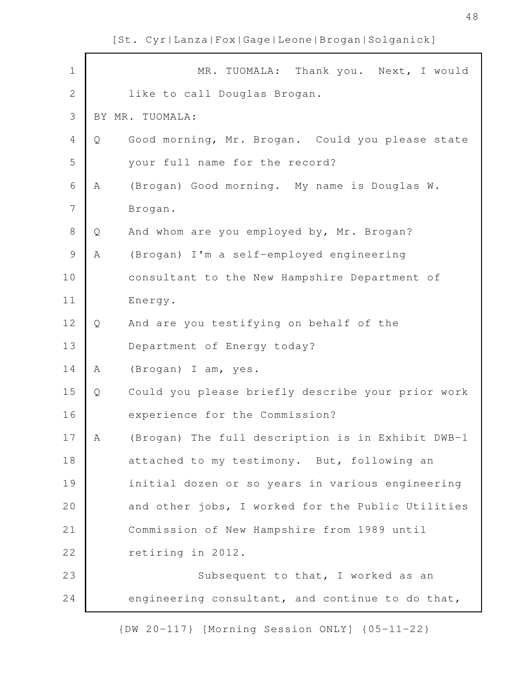| $\mathbf 1$    |   | Thank you. Next, I would<br>MR. TUOMALA:          |
|----------------|---|---------------------------------------------------|
| $\mathbf 2$    |   | like to call Douglas Brogan.                      |
| 3              |   | BY MR. TUOMALA:                                   |
| 4              | Q | Good morning, Mr. Brogan. Could you please state  |
| 5              |   | your full name for the record?                    |
| 6              | Α | (Brogan) Good morning. My name is Douglas W.      |
| $\overline{7}$ |   | Brogan.                                           |
| $8\,$          | Q | And whom are you employed by, Mr. Brogan?         |
| $\mathcal{G}$  | Α | (Brogan) I'm a self-employed engineering          |
| 10             |   | consultant to the New Hampshire Department of     |
| 11             |   | Energy.                                           |
| 12             | Q | And are you testifying on behalf of the           |
| 13             |   | Department of Energy today?                       |
| 14             | Α | (Brogan) I am, yes.                               |
| 15             | Q | Could you please briefly describe your prior work |
| 16             |   | experience for the Commission?                    |
| 17             | Α | (Brogan) The full description is in Exhibit DWB-1 |
| 18             |   | attached to my testimony. But, following an       |
| 19             |   | initial dozen or so years in various engineering  |
| 20             |   | and other jobs, I worked for the Public Utilities |
| 21             |   | Commission of New Hampshire from 1989 until       |
| 22             |   | retiring in 2012.                                 |
| 23             |   | Subsequent to that, I worked as an                |
| 24             |   | engineering consultant, and continue to do that,  |

{DW 20-117} [Morning Session ONLY] {05-11-22}

48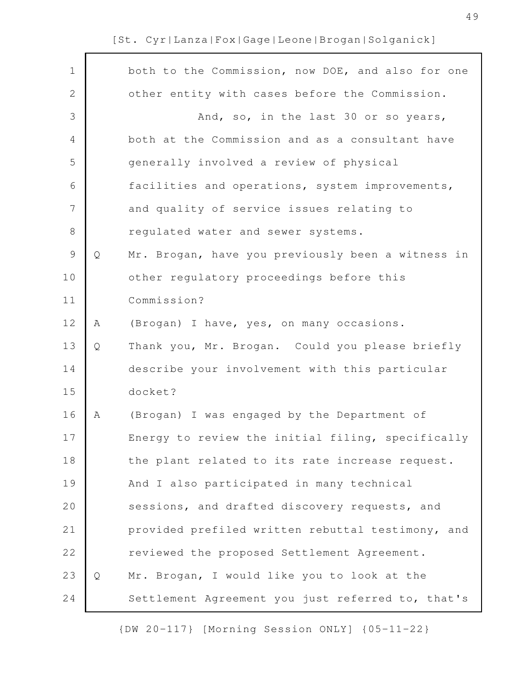$\Gamma$ 

| $\mathbf 1$   |   | both to the Commission, now DOE, and also for one |
|---------------|---|---------------------------------------------------|
| $\mathbf{2}$  |   | other entity with cases before the Commission.    |
| 3             |   | And, so, in the last 30 or so years,              |
| 4             |   | both at the Commission and as a consultant have   |
| 5             |   | generally involved a review of physical           |
| 6             |   | facilities and operations, system improvements,   |
| 7             |   | and quality of service issues relating to         |
| $8\,$         |   | regulated water and sewer systems.                |
| $\mathcal{G}$ | Q | Mr. Brogan, have you previously been a witness in |
| 10            |   | other regulatory proceedings before this          |
| 11            |   | Commission?                                       |
| 12            | Α | (Brogan) I have, yes, on many occasions.          |
| 13            | Q | Thank you, Mr. Brogan. Could you please briefly   |
| 14            |   | describe your involvement with this particular    |
| 15            |   | docket?                                           |
| 16            | Α | (Brogan) I was engaged by the Department of       |
| 17            |   | Energy to review the initial filing, specifically |
| 18            |   | the plant related to its rate increase request.   |
| 19            |   | And I also participated in many technical         |
| 20            |   | sessions, and drafted discovery requests, and     |
| 21            |   | provided prefiled written rebuttal testimony, and |
| 22            |   | reviewed the proposed Settlement Agreement.       |
| 23            | Q | Mr. Brogan, I would like you to look at the       |
| 24            |   | Settlement Agreement you just referred to, that's |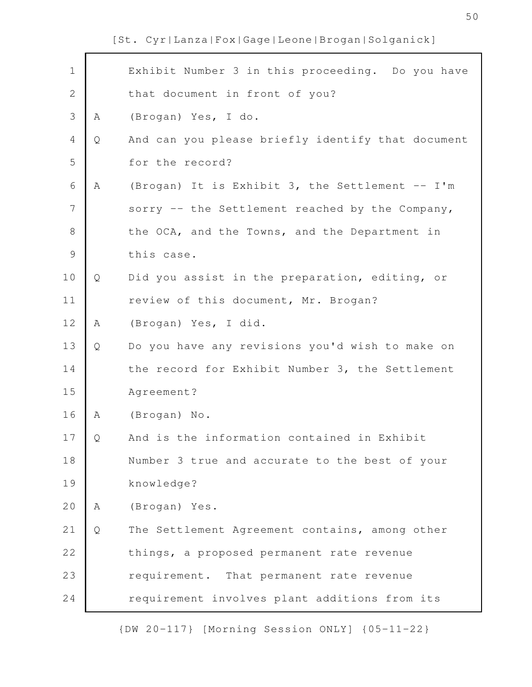| $\mathbf 1$    |   | Exhibit Number 3 in this proceeding. Do you have  |
|----------------|---|---------------------------------------------------|
| $\overline{2}$ |   | that document in front of you?                    |
| 3              | Α | (Brogan) Yes, I do.                               |
| 4              | Q | And can you please briefly identify that document |
| 5              |   | for the record?                                   |
| 6              | Α | (Brogan) It is Exhibit 3, the Settlement -- I'm   |
| 7              |   | sorry -- the Settlement reached by the Company,   |
| 8              |   | the OCA, and the Towns, and the Department in     |
| $\mathcal{G}$  |   | this case.                                        |
| 10             | Q | Did you assist in the preparation, editing, or    |
| 11             |   | review of this document, Mr. Brogan?              |
| 12             | Α | (Brogan) Yes, I did.                              |
| 13             | Q | Do you have any revisions you'd wish to make on   |
| 14             |   | the record for Exhibit Number 3, the Settlement   |
| 15             |   | Agreement?                                        |
| 16             | Α | (Brogan) No.                                      |
| 17             | Q | And is the information contained in Exhibit       |
| 18             |   | Number 3 true and accurate to the best of your    |
| 19             |   | knowledge?                                        |
| 20             | Α | (Brogan) Yes.                                     |
| 21             | Q | The Settlement Agreement contains, among other    |
| 22             |   | things, a proposed permanent rate revenue         |
| 23             |   | requirement. That permanent rate revenue          |
| 24             |   | requirement involves plant additions from its     |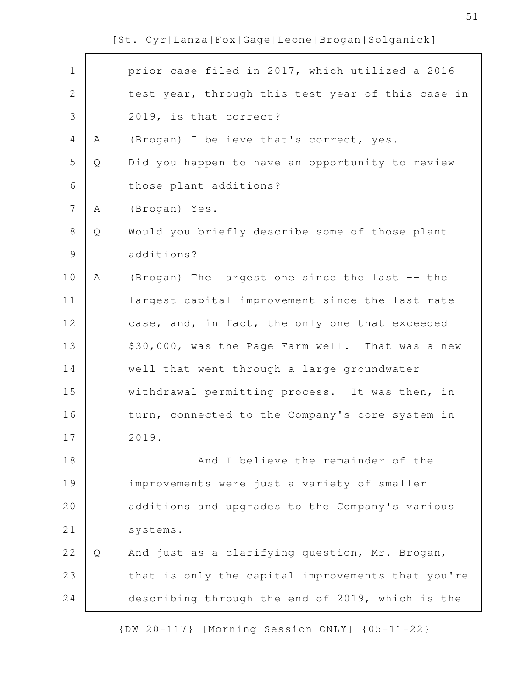| $\mathbf 1$  |   | prior case filed in 2017, which utilized a 2016   |
|--------------|---|---------------------------------------------------|
| $\mathbf{2}$ |   | test year, through this test year of this case in |
| 3            |   | 2019, is that correct?                            |
| 4            | Α | (Brogan) I believe that's correct, yes.           |
| 5            | Q | Did you happen to have an opportunity to review   |
| 6            |   | those plant additions?                            |
| 7            | A | (Brogan) Yes.                                     |
| $8\,$        | Q | Would you briefly describe some of those plant    |
| $\mathsf 9$  |   | additions?                                        |
| 10           | Α | (Brogan) The largest one since the last -- the    |
| 11           |   | largest capital improvement since the last rate   |
| 12           |   | case, and, in fact, the only one that exceeded    |
| 13           |   | \$30,000, was the Page Farm well. That was a new  |
| 14           |   | well that went through a large groundwater        |
| 15           |   | withdrawal permitting process. It was then, in    |
| 16           |   | turn, connected to the Company's core system in   |
| 17           |   | 2019.                                             |
| 18           |   | And I believe the remainder of the                |
| 19           |   | improvements were just a variety of smaller       |
| 20           |   | additions and upgrades to the Company's various   |
| 21           |   | systems.                                          |
| 22           | Q | And just as a clarifying question, Mr. Brogan,    |
| 23           |   | that is only the capital improvements that you're |
| 24           |   | describing through the end of 2019, which is the  |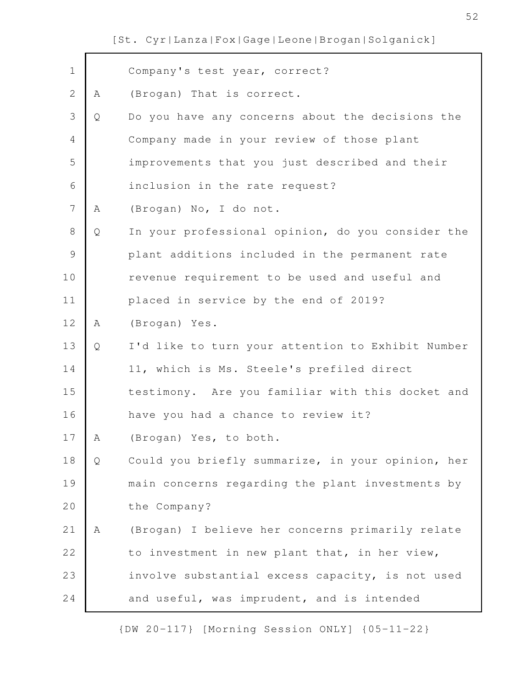| $\mathbf 1$    |   | Company's test year, correct?                     |
|----------------|---|---------------------------------------------------|
| $\overline{2}$ | Α | (Brogan) That is correct.                         |
| 3              | Q | Do you have any concerns about the decisions the  |
| 4              |   | Company made in your review of those plant        |
| 5              |   | improvements that you just described and their    |
| 6              |   | inclusion in the rate request?                    |
| 7              | Α | (Brogan) No, I do not.                            |
| 8              | Q | In your professional opinion, do you consider the |
| $\mathcal{G}$  |   | plant additions included in the permanent rate    |
| 10             |   | revenue requirement to be used and useful and     |
| 11             |   | placed in service by the end of 2019?             |
| 12             | Α | (Brogan) Yes.                                     |
| 13             | Q | I'd like to turn your attention to Exhibit Number |
| 14             |   | 11, which is Ms. Steele's prefiled direct         |
| 15             |   | testimony. Are you familiar with this docket and  |
| 16             |   | have you had a chance to review it?               |
| 17             | Α | (Brogan) Yes, to both.                            |
| 18             | Q | Could you briefly summarize, in your opinion, her |
| 19             |   | main concerns regarding the plant investments by  |
| 20             |   | the Company?                                      |
| 21             | A | (Brogan) I believe her concerns primarily relate  |
| 22             |   | to investment in new plant that, in her view,     |
| 23             |   | involve substantial excess capacity, is not used  |
| 24             |   | and useful, was imprudent, and is intended        |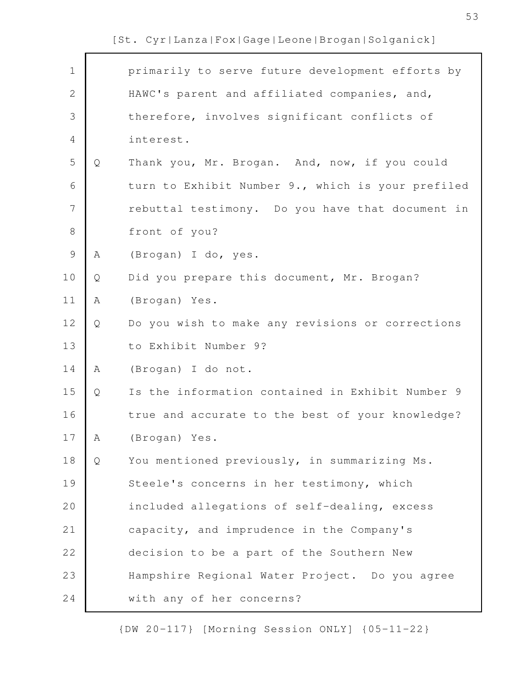| $\mathbf 1$    |   | primarily to serve future development efforts by  |
|----------------|---|---------------------------------------------------|
| $\overline{2}$ |   | HAWC's parent and affiliated companies, and,      |
| 3              |   | therefore, involves significant conflicts of      |
| $\overline{4}$ |   | interest.                                         |
| 5              | Q | Thank you, Mr. Brogan. And, now, if you could     |
| 6              |   | turn to Exhibit Number 9., which is your prefiled |
| 7              |   | rebuttal testimony. Do you have that document in  |
| $8\,$          |   | front of you?                                     |
| $\mathcal{G}$  | А | (Brogan) I do, yes.                               |
| 10             | Q | Did you prepare this document, Mr. Brogan?        |
| 11             | Α | (Brogan) Yes.                                     |
| 12             | Q | Do you wish to make any revisions or corrections  |
| 13             |   | to Exhibit Number 9?                              |
| 14             | A | (Brogan) I do not.                                |
| 15             | Q | Is the information contained in Exhibit Number 9  |
| 16             |   | true and accurate to the best of your knowledge?  |
| 17             | Α | (Brogan) Yes.                                     |
| 18             | Q | You mentioned previously, in summarizing Ms.      |
| 19             |   | Steele's concerns in her testimony, which         |
| 20             |   | included allegations of self-dealing, excess      |
| 21             |   | capacity, and imprudence in the Company's         |
| 22             |   | decision to be a part of the Southern New         |
| 23             |   | Hampshire Regional Water Project. Do you agree    |
| 24             |   | with any of her concerns?                         |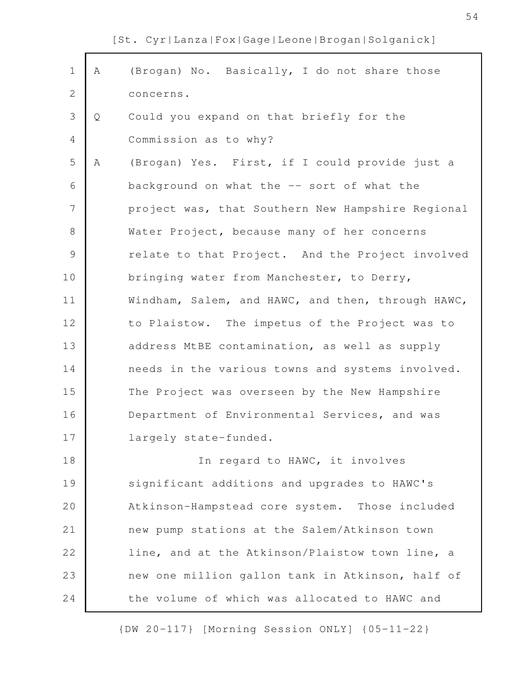| $\mathbf 1$    | Α | (Brogan) No. Basically, I do not share those      |
|----------------|---|---------------------------------------------------|
| 2              |   | concerns.                                         |
| 3              | Q | Could you expand on that briefly for the          |
| 4              |   | Commission as to why?                             |
| 5              | Α | (Brogan) Yes. First, if I could provide just a    |
| 6              |   | background on what the -- sort of what the        |
| $\overline{7}$ |   | project was, that Southern New Hampshire Regional |
| 8              |   | Water Project, because many of her concerns       |
| 9              |   | relate to that Project. And the Project involved  |
| 10             |   | bringing water from Manchester, to Derry,         |
| 11             |   | Windham, Salem, and HAWC, and then, through HAWC, |
| 12             |   | to Plaistow. The impetus of the Project was to    |
| 13             |   | address MtBE contamination, as well as supply     |
| 14             |   | needs in the various towns and systems involved.  |
| 15             |   | The Project was overseen by the New Hampshire     |
| 16             |   | Department of Environmental Services, and was     |
| 17             |   | largely state-funded.                             |
| 18             |   | In regard to HAWC, it involves                    |
| 19             |   | significant additions and upgrades to HAWC's      |
| 20             |   | Atkinson-Hampstead core system. Those included    |
| 21             |   | new pump stations at the Salem/Atkinson town      |
| 22             |   | line, and at the Atkinson/Plaistow town line, a   |
| 23             |   | new one million gallon tank in Atkinson, half of  |
| 24             |   | the volume of which was allocated to HAWC and     |
|                |   |                                                   |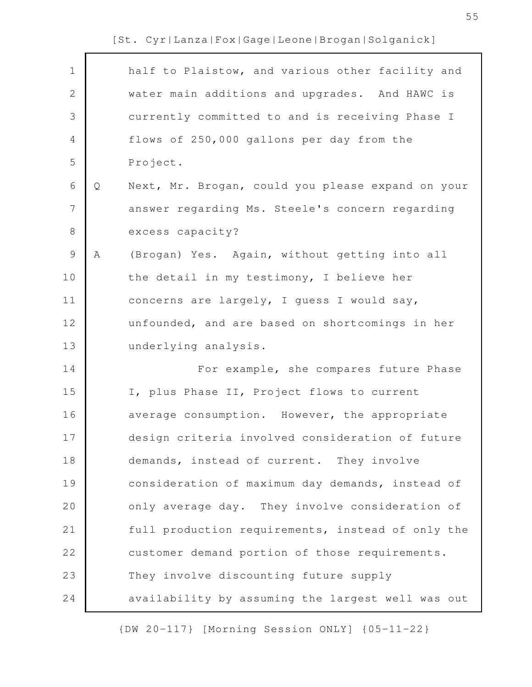| $\mathbf 1$    |   | half to Plaistow, and various other facility and  |
|----------------|---|---------------------------------------------------|
| $\mathbf{2}$   |   | water main additions and upgrades. And HAWC is    |
| 3              |   | currently committed to and is receiving Phase I   |
| 4              |   | flows of 250,000 gallons per day from the         |
| 5              |   | Project.                                          |
| $\sqrt{6}$     | Q | Next, Mr. Brogan, could you please expand on your |
| $\overline{7}$ |   | answer regarding Ms. Steele's concern regarding   |
| $8\,$          |   | excess capacity?                                  |
| $\mathsf 9$    | Α | (Brogan) Yes. Again, without getting into all     |
| 10             |   | the detail in my testimony, I believe her         |
| 11             |   | concerns are largely, I guess I would say,        |
| 12             |   | unfounded, and are based on shortcomings in her   |
| 13             |   | underlying analysis.                              |
| 14             |   | For example, she compares future Phase            |
| 15             |   | I, plus Phase II, Project flows to current        |
| 16             |   | average consumption. However, the appropriate     |
| 17             |   | design criteria involved consideration of future  |
| 18             |   | demands, instead of current. They involve         |
| 19             |   | consideration of maximum day demands, instead of  |
| 20             |   | only average day. They involve consideration of   |
| 21             |   | full production requirements, instead of only the |
| 22             |   | customer demand portion of those requirements.    |
| 23             |   | They involve discounting future supply            |
| 24             |   | availability by assuming the largest well was out |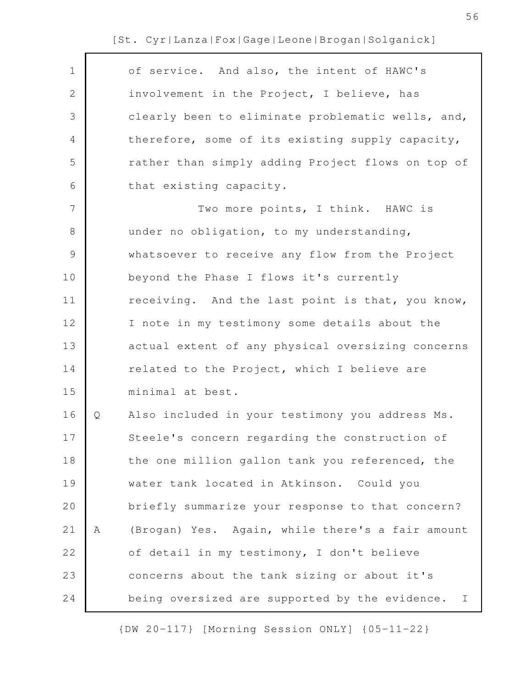$\Gamma$ 

| $\mathbf 1$    |   | of service. And also, the intent of HAWC's                     |
|----------------|---|----------------------------------------------------------------|
| $\mathbf{2}$   |   | involvement in the Project, I believe, has                     |
| 3              |   | clearly been to eliminate problematic wells, and,              |
| $\overline{4}$ |   | therefore, some of its existing supply capacity,               |
| 5              |   | rather than simply adding Project flows on top of              |
| 6              |   | that existing capacity.                                        |
| 7              |   | Two more points, I think. HAWC is                              |
| 8              |   | under no obligation, to my understanding,                      |
| $\mathcal{G}$  |   | whatsoever to receive any flow from the Project                |
| 10             |   | beyond the Phase I flows it's currently                        |
| 11             |   | receiving. And the last point is that, you know,               |
| 12             |   | I note in my testimony some details about the                  |
| 13             |   | actual extent of any physical oversizing concerns              |
| 14             |   | related to the Project, which I believe are                    |
| 15             |   | minimal at best.                                               |
| 16             | Q | Also included in your testimony you address Ms.                |
| 17             |   | Steele's concern regarding the construction of                 |
| 18             |   | the one million gallon tank you referenced, the                |
| 19             |   | water tank located in Atkinson. Could you                      |
| 20             |   | briefly summarize your response to that concern?               |
| 21             | Α | (Brogan) Yes. Again, while there's a fair amount               |
| 22             |   | of detail in my testimony, I don't believe                     |
| 23             |   | concerns about the tank sizing or about it's                   |
| 24             |   | being oversized are supported by the evidence.<br>$\mathbb{I}$ |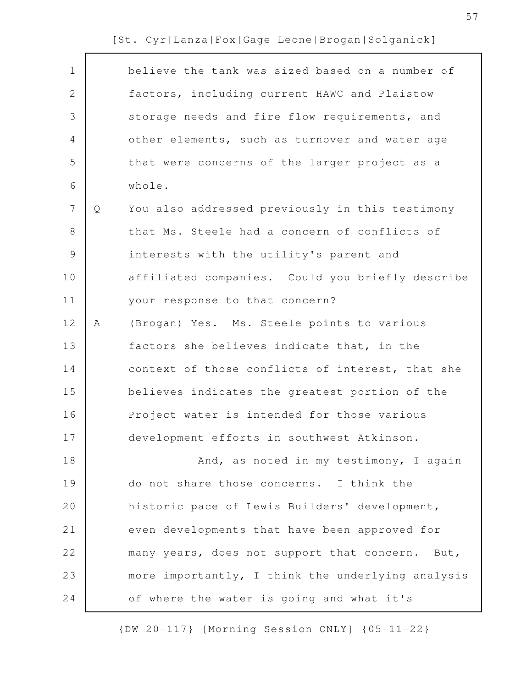| $\mathbf 1$  |   | believe the tank was sized based on a number of   |
|--------------|---|---------------------------------------------------|
| $\mathbf{2}$ |   | factors, including current HAWC and Plaistow      |
| 3            |   | storage needs and fire flow requirements, and     |
| 4            |   | other elements, such as turnover and water age    |
| 5            |   | that were concerns of the larger project as a     |
| 6            |   | whole.                                            |
| 7            | Q | You also addressed previously in this testimony   |
| 8            |   | that Ms. Steele had a concern of conflicts of     |
| 9            |   | interests with the utility's parent and           |
| 10           |   | affiliated companies. Could you briefly describe  |
| 11           |   | your response to that concern?                    |
| 12           | Α | (Brogan) Yes. Ms. Steele points to various        |
| 13           |   | factors she believes indicate that, in the        |
| 14           |   | context of those conflicts of interest, that she  |
| 15           |   | believes indicates the greatest portion of the    |
| 16           |   | Project water is intended for those various       |
| 17           |   | development efforts in southwest Atkinson.        |
| 18           |   | And, as noted in my testimony, I again            |
| 19           |   | do not share those concerns. I think the          |
| 20           |   | historic pace of Lewis Builders' development,     |
| 21           |   | even developments that have been approved for     |
| 22           |   | many years, does not support that concern. But,   |
| 23           |   | more importantly, I think the underlying analysis |
| 24           |   | of where the water is going and what it's         |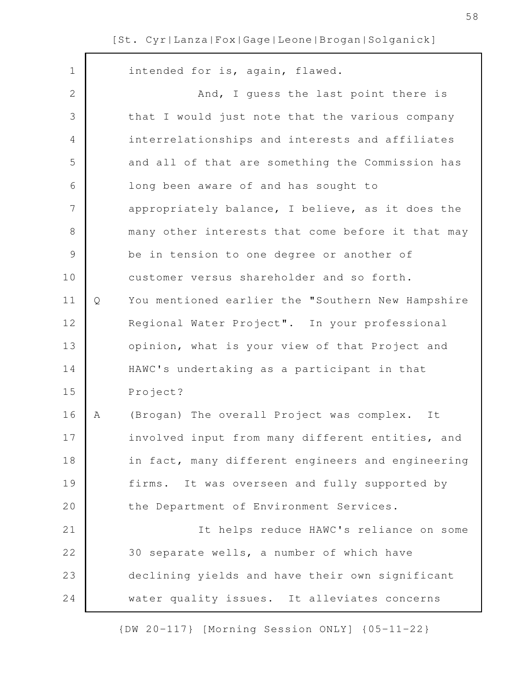$\mathsf{r}$ 

| $\mathbf 1$  |   | intended for is, again, flawed.                   |
|--------------|---|---------------------------------------------------|
| $\mathbf{2}$ |   | And, I guess the last point there is              |
| 3            |   | that I would just note that the various company   |
| 4            |   | interrelationships and interests and affiliates   |
| 5            |   | and all of that are something the Commission has  |
| 6            |   | long been aware of and has sought to              |
| 7            |   | appropriately balance, I believe, as it does the  |
| 8            |   | many other interests that come before it that may |
| 9            |   | be in tension to one degree or another of         |
| 10           |   | customer versus shareholder and so forth.         |
| 11           | Q | You mentioned earlier the "Southern New Hampshire |
| 12           |   | Regional Water Project". In your professional     |
| 13           |   | opinion, what is your view of that Project and    |
| 14           |   | HAWC's undertaking as a participant in that       |
| 15           |   | Project?                                          |
| 16           | A | (Brogan) The overall Project was complex. It      |
| 17           |   | involved input from many different entities, and  |
| 18           |   | in fact, many different engineers and engineering |
| 19           |   | firms. It was overseen and fully supported by     |
| 20           |   | the Department of Environment Services.           |
| 21           |   | It helps reduce HAWC's reliance on some           |
| 22           |   | 30 separate wells, a number of which have         |
| 23           |   | declining yields and have their own significant   |
| 24           |   | water quality issues. It alleviates concerns      |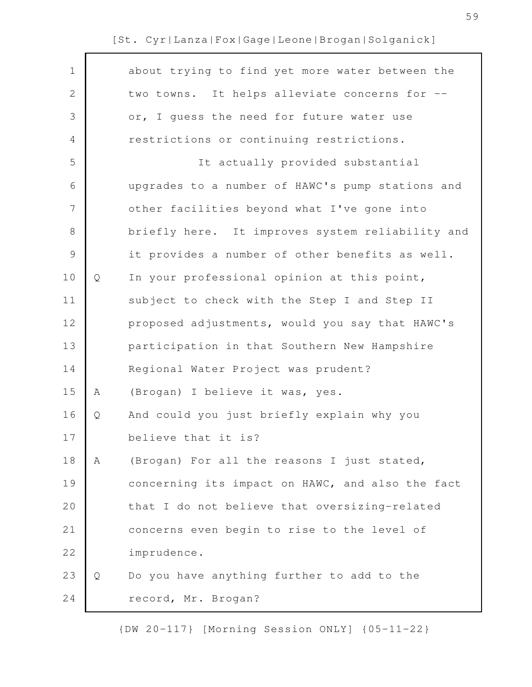| $\mathbf 1$   |   | about trying to find yet more water between the  |
|---------------|---|--------------------------------------------------|
| $\mathbf{2}$  |   | two towns. It helps alleviate concerns for --    |
| 3             |   | or, I guess the need for future water use        |
| 4             |   | restrictions or continuing restrictions.         |
| 5             |   | It actually provided substantial                 |
| 6             |   | upgrades to a number of HAWC's pump stations and |
| 7             |   | other facilities beyond what I've gone into      |
| $\,8\,$       |   | briefly here. It improves system reliability and |
| $\mathcal{G}$ |   | it provides a number of other benefits as well.  |
| 10            | Q | In your professional opinion at this point,      |
| 11            |   | subject to check with the Step I and Step II     |
| 12            |   | proposed adjustments, would you say that HAWC's  |
| 13            |   | participation in that Southern New Hampshire     |
| 14            |   | Regional Water Project was prudent?              |
| 15            | Α | (Brogan) I believe it was, yes.                  |
| 16            | Q | And could you just briefly explain why you       |
| 17            |   | believe that it is?                              |
| 18            | A | (Brogan) For all the reasons I just stated,      |
| 19            |   | concerning its impact on HAWC, and also the fact |
| 20            |   | that I do not believe that oversizing-related    |
| 21            |   | concerns even begin to rise to the level of      |
| 22            |   | imprudence.                                      |
| 23            | Q | Do you have anything further to add to the       |
| 24            |   | record, Mr. Brogan?                              |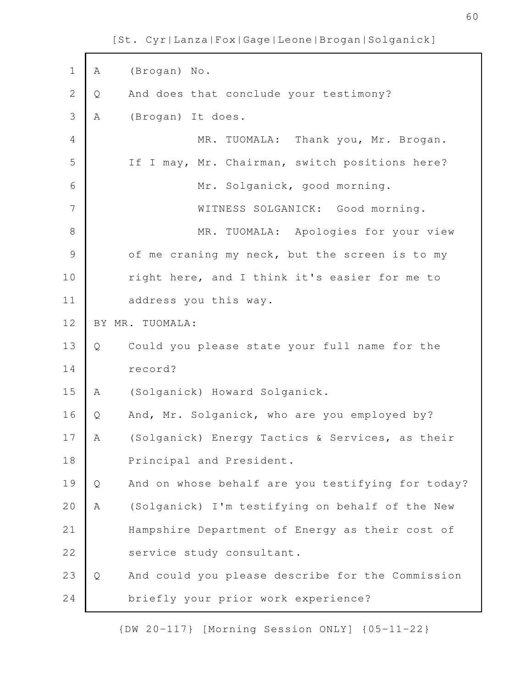A (Brogan) No. Q And does that conclude your testimony? A (Brogan) It does. MR. TUOMALA: Thank you, Mr. Brogan. If I may, Mr. Chairman, switch positions here? Mr. Solganick, good morning. WITNESS SOLGANICK: Good morning. MR. TUOMALA: Apologies for your view of me craning my neck, but the screen is to my right here, and I think it's easier for me to address you this way. BY MR. TUOMALA: Q Could you please state your full name for the record? A (Solganick) Howard Solganick. Q And, Mr. Solganick, who are you employed by? A (Solganick) Energy Tactics & Services, as their Principal and President. Q And on whose behalf are you testifying for today? A (Solganick) I'm testifying on behalf of the New Hampshire Department of Energy as their cost of service study consultant. Q And could you please describe for the Commission briefly your prior work experience? 1 2 3 4 5 6 7 8 9 10 11 12 13 14 15 16 17 18 19 20 21 22 23 24

[St. Cyr|Lanza|Fox|Gage|Leone|Brogan|Solganick]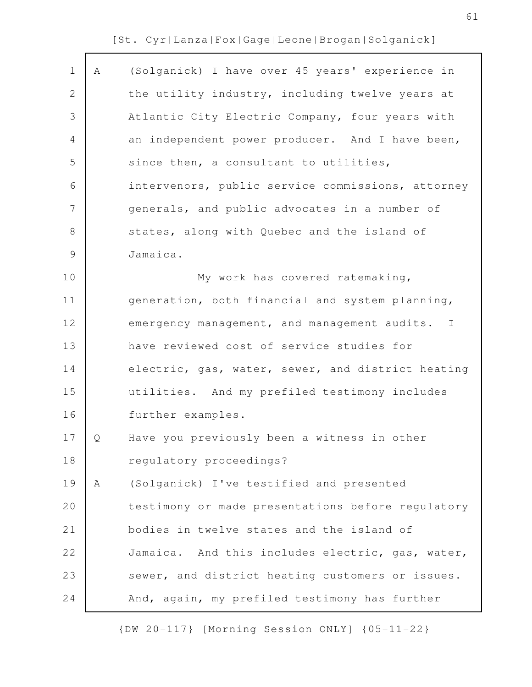| $\mathbf 1$    | A | (Solganick) I have over 45 years' experience in   |
|----------------|---|---------------------------------------------------|
| 2              |   | the utility industry, including twelve years at   |
| 3              |   | Atlantic City Electric Company, four years with   |
| 4              |   | an independent power producer. And I have been,   |
| 5              |   | since then, a consultant to utilities,            |
| 6              |   | intervenors, public service commissions, attorney |
| $\overline{7}$ |   | generals, and public advocates in a number of     |
| $8\,$          |   | states, along with Quebec and the island of       |
| $\mathcal{G}$  |   | Jamaica.                                          |
| 10             |   | My work has covered ratemaking,                   |
| 11             |   | generation, both financial and system planning,   |
| 12             |   | emergency management, and management audits. I    |
| 13             |   | have reviewed cost of service studies for         |
| 14             |   | electric, gas, water, sewer, and district heating |
| 15             |   | utilities. And my prefiled testimony includes     |
| 16             |   | further examples.                                 |
| 17             | O | Have you previously been a witness in other       |
| 18             |   | regulatory proceedings?                           |
| 19             | Α | (Solganick) I've testified and presented          |
| 20             |   | testimony or made presentations before regulatory |
| 21             |   | bodies in twelve states and the island of         |
| 22             |   | Jamaica. And this includes electric, gas, water,  |
| 23             |   | sewer, and district heating customers or issues.  |
| 24             |   | And, again, my prefiled testimony has further     |
|                |   |                                                   |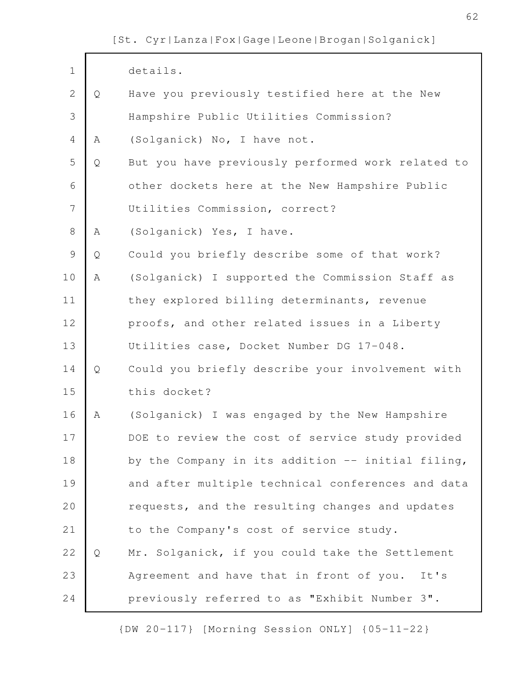| $\mathbf 1$    |   | details.                                          |
|----------------|---|---------------------------------------------------|
| $\overline{2}$ | Q | Have you previously testified here at the New     |
| 3              |   | Hampshire Public Utilities Commission?            |
| $\overline{4}$ | Α | (Solganick) No, I have not.                       |
| 5              | Q | But you have previously performed work related to |
| 6              |   | other dockets here at the New Hampshire Public    |
| $\overline{7}$ |   | Utilities Commission, correct?                    |
| $\,8\,$        | Α | (Solganick) Yes, I have.                          |
| $\mathcal{G}$  | Q | Could you briefly describe some of that work?     |
| 10             | Α | (Solganick) I supported the Commission Staff as   |
| 11             |   | they explored billing determinants, revenue       |
| 12             |   | proofs, and other related issues in a Liberty     |
| 13             |   | Utilities case, Docket Number DG 17-048.          |
| 14             | Q | Could you briefly describe your involvement with  |
| 15             |   | this docket?                                      |
| 16             | Α | (Solganick) I was engaged by the New Hampshire    |
| 17             |   | DOE to review the cost of service study provided  |
| 18             |   | by the Company in its addition -- initial filing, |
| 19             |   | and after multiple technical conferences and data |
| 20             |   | requests, and the resulting changes and updates   |
| 21             |   | to the Company's cost of service study.           |
| 22             | Q | Mr. Solganick, if you could take the Settlement   |
| 23             |   | Agreement and have that in front of you. It's     |
| 24             |   | previously referred to as "Exhibit Number 3".     |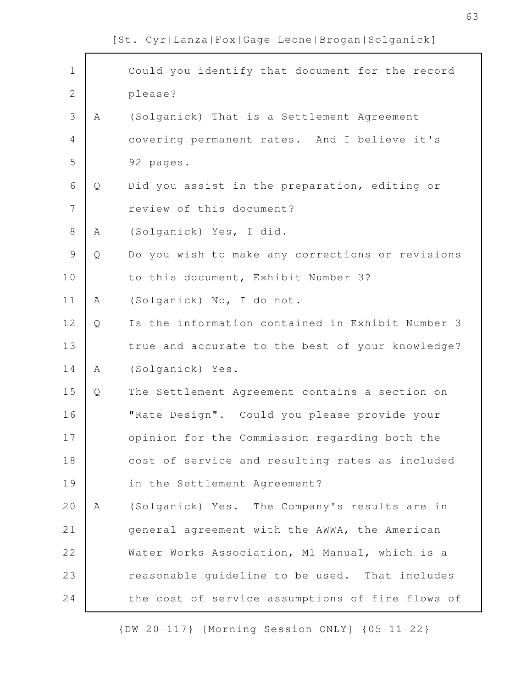Could you identify that document for the record please? A (Solganick) That is a Settlement Agreement covering permanent rates. And I believe it's 92 pages. Q Did you assist in the preparation, editing or review of this document? A (Solganick) Yes, I did. Q Do you wish to make any corrections or revisions to this document, Exhibit Number 3? A (Solganick) No, I do not. Q Is the information contained in Exhibit Number 3 true and accurate to the best of your knowledge? A (Solganick) Yes. Q The Settlement Agreement contains a section on "Rate Design". Could you please provide your opinion for the Commission regarding both the cost of service and resulting rates as included in the Settlement Agreement? A (Solganick) Yes. The Company's results are in general agreement with the AWWA, the American Water Works Association, M1 Manual, which is a reasonable guideline to be used. That includes the cost of service assumptions of fire flows of 1 2 3 4 5 6 7 8 9 10 11 12 13 14 15 16 17 18 19 20 21 22 23 24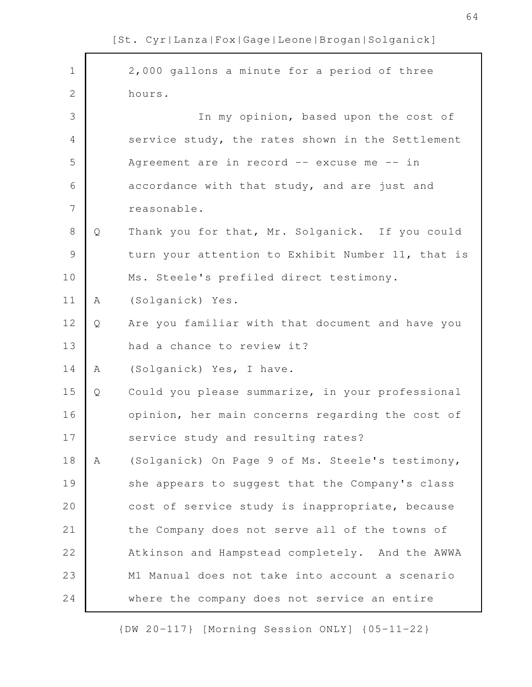| $\mathbf 1$    |   | 2,000 gallons a minute for a period of three      |
|----------------|---|---------------------------------------------------|
| $\overline{2}$ |   | hours.                                            |
| 3              |   | In my opinion, based upon the cost of             |
| $\overline{4}$ |   | service study, the rates shown in the Settlement  |
| 5              |   | Agreement are in record -- excuse me -- in        |
| 6              |   | accordance with that study, and are just and      |
| 7              |   | reasonable.                                       |
| $8\,$          | Q | Thank you for that, Mr. Solganick. If you could   |
| $\mathcal{G}$  |   | turn your attention to Exhibit Number 11, that is |
| 10             |   | Ms. Steele's prefiled direct testimony.           |
| 11             | A | (Solganick) Yes.                                  |
| 12             | Q | Are you familiar with that document and have you  |
| 13             |   | had a chance to review it?                        |
| 14             | A | (Solganick) Yes, I have.                          |
| 15             | Q | Could you please summarize, in your professional  |
| 16             |   | opinion, her main concerns regarding the cost of  |
| 17             |   | service study and resulting rates?                |
| 18             | Α | (Solganick) On Page 9 of Ms. Steele's testimony,  |
| 19             |   | she appears to suggest that the Company's class   |
| 20             |   | cost of service study is inappropriate, because   |
| 21             |   | the Company does not serve all of the towns of    |
| 22             |   | Atkinson and Hampstead completely. And the AWWA   |
| 23             |   | M1 Manual does not take into account a scenario   |
| 24             |   | where the company does not service an entire      |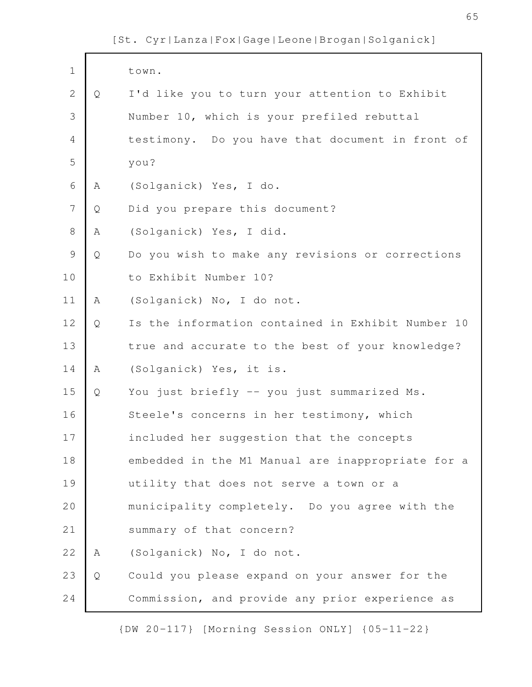| $\mathbf 1$    |   | town.                                             |
|----------------|---|---------------------------------------------------|
| $\mathbf{2}$   | Q | I'd like you to turn your attention to Exhibit    |
| 3              |   | Number 10, which is your prefiled rebuttal        |
| $\overline{4}$ |   | testimony. Do you have that document in front of  |
| 5              |   | you?                                              |
| 6              | Α | (Solganick) Yes, I do.                            |
| $\overline{7}$ | Q | Did you prepare this document?                    |
| $8\,$          | Α | (Solganick) Yes, I did.                           |
| $\mathsf 9$    | Q | Do you wish to make any revisions or corrections  |
| 10             |   | to Exhibit Number 10?                             |
| 11             | Α | (Solganick) No, I do not.                         |
| 12             | Q | Is the information contained in Exhibit Number 10 |
| 13             |   | true and accurate to the best of your knowledge?  |
| 14             | Α | (Solganick) Yes, it is.                           |
| 15             | Q | You just briefly -- you just summarized Ms.       |
| 16             |   | Steele's concerns in her testimony, which         |
| 17             |   | included her suggestion that the concepts         |
| 18             |   | embedded in the M1 Manual are inappropriate for a |
| 19             |   | utility that does not serve a town or a           |
| 20             |   | municipality completely. Do you agree with the    |
| 21             |   | summary of that concern?                          |
| 22             | Α | (Solganick) No, I do not.                         |
| 23             | Q | Could you please expand on your answer for the    |
| 24             |   | Commission, and provide any prior experience as   |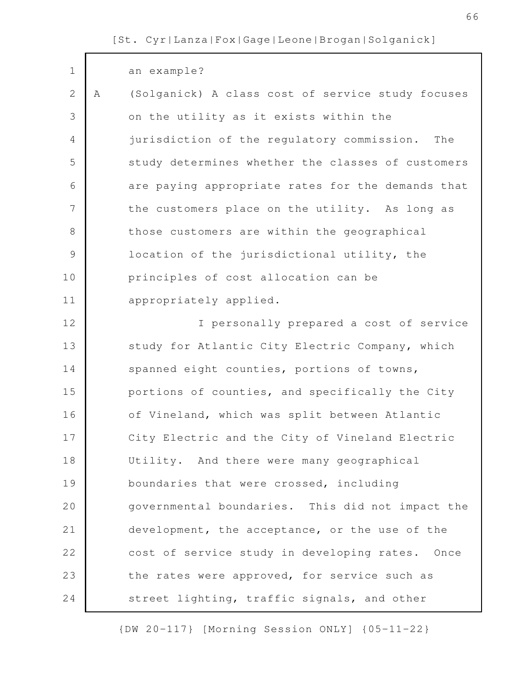| $\mathbf 1$    |   | an example?                                       |
|----------------|---|---------------------------------------------------|
| $\mathbf{2}$   | A | (Solganick) A class cost of service study focuses |
| 3              |   | on the utility as it exists within the            |
| $\overline{4}$ |   | jurisdiction of the regulatory commission.<br>The |
| 5              |   | study determines whether the classes of customers |
| 6              |   | are paying appropriate rates for the demands that |
| 7              |   | the customers place on the utility. As long as    |
| $8\,$          |   | those customers are within the geographical       |
| $\mathcal{G}$  |   | location of the jurisdictional utility, the       |
| 10             |   | principles of cost allocation can be              |
| 11             |   | appropriately applied.                            |
| 12             |   | I personally prepared a cost of service           |
| 13             |   | study for Atlantic City Electric Company, which   |
| 14             |   | spanned eight counties, portions of towns,        |
| 15             |   | portions of counties, and specifically the City   |
| 16             |   | of Vineland, which was split between Atlantic     |
| 17             |   | City Electric and the City of Vineland Electric   |
| 18             |   | Utility. And there were many geographical         |
| 19             |   | boundaries that were crossed, including           |
| 20             |   | governmental boundaries. This did not impact the  |
| 21             |   | development, the acceptance, or the use of the    |
| 22             |   | cost of service study in developing rates. Once   |
| 23             |   | the rates were approved, for service such as      |
| 24             |   | street lighting, traffic signals, and other       |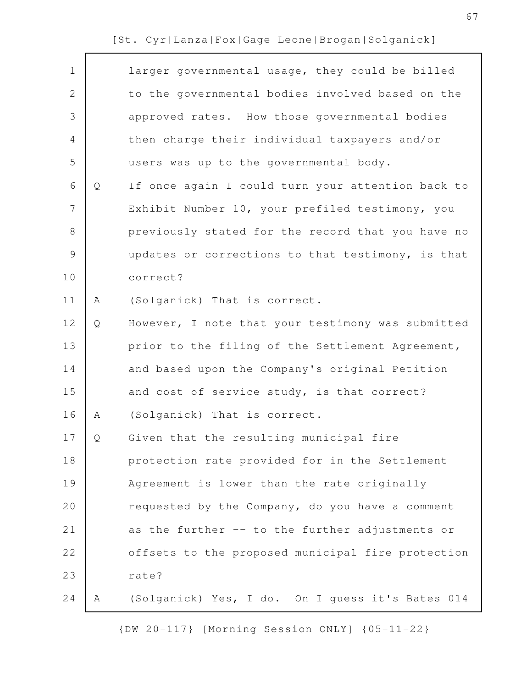|   | larger governmental usage, they could be billed   |
|---|---------------------------------------------------|
|   | to the governmental bodies involved based on the  |
|   | approved rates. How those governmental bodies     |
|   | then charge their individual taxpayers and/or     |
|   | users was up to the governmental body.            |
| Q | If once again I could turn your attention back to |
|   | Exhibit Number 10, your prefiled testimony, you   |
|   | previously stated for the record that you have no |
|   | updates or corrections to that testimony, is that |
|   | correct?                                          |
| Α | (Solganick) That is correct.                      |
| Q | However, I note that your testimony was submitted |
|   | prior to the filing of the Settlement Agreement,  |
|   | and based upon the Company's original Petition    |
|   | and cost of service study, is that correct?       |
| Α | (Solganick) That is correct.                      |
| Q | Given that the resulting municipal fire           |
|   | protection rate provided for in the Settlement    |
|   | Agreement is lower than the rate originally       |
|   | requested by the Company, do you have a comment   |
|   | as the further -- to the further adjustments or   |
|   | offsets to the proposed municipal fire protection |
|   | rate?                                             |
| Α | (Solganick) Yes, I do. On I guess it's Bates 014  |
|   |                                                   |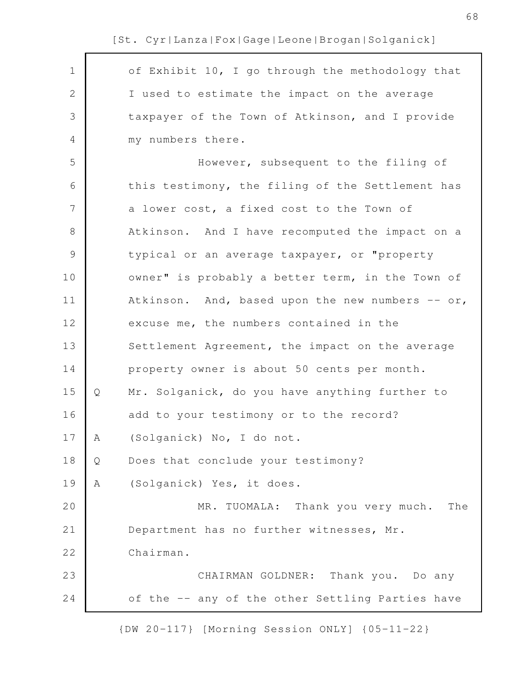of Exhibit 10, I go through the methodology that I used to estimate the impact on the average taxpayer of the Town of Atkinson, and I provide my numbers there. However, subsequent to the filing of this testimony, the filing of the Settlement has a lower cost, a fixed cost to the Town of Atkinson. And I have recomputed the impact on a typical or an average taxpayer, or "property owner" is probably a better term, in the Town of Atkinson. And, based upon the new numbers  $--$  or, excuse me, the numbers contained in the Settlement Agreement, the impact on the average property owner is about 50 cents per month. Q Mr. Solganick, do you have anything further to add to your testimony or to the record? A (Solganick) No, I do not. Q Does that conclude your testimony? A (Solganick) Yes, it does. MR. TUOMALA: Thank you very much. The Department has no further witnesses, Mr. Chairman. CHAIRMAN GOLDNER: Thank you. Do any of the -- any of the other Settling Parties have 1 2 3 4 5 6 7 8 9 10 11 12 13 14 15 16 17 18 19 20 21 22 23 24

[St. Cyr|Lanza|Fox|Gage|Leone|Brogan|Solganick]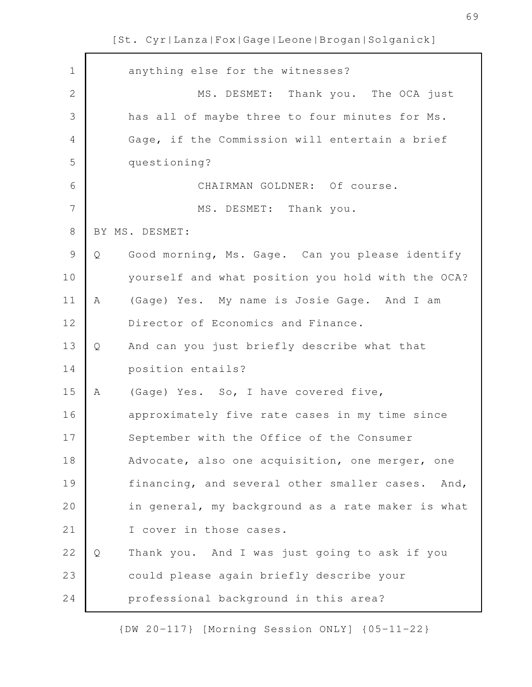| $\mathbf 1$    |   | anything else for the witnesses?                  |
|----------------|---|---------------------------------------------------|
|                |   |                                                   |
| $\mathbf{2}$   |   | MS. DESMET: Thank you. The OCA just               |
| 3              |   | has all of maybe three to four minutes for Ms.    |
| $\overline{4}$ |   | Gage, if the Commission will entertain a brief    |
| 5              |   | questioning?                                      |
| 6              |   | CHAIRMAN GOLDNER: Of course.                      |
| 7              |   | MS. DESMET: Thank you.                            |
| $8\,$          |   | BY MS. DESMET:                                    |
| $\mathcal{G}$  | Q | Good morning, Ms. Gage. Can you please identify   |
| 10             |   | yourself and what position you hold with the OCA? |
| 11             | A | (Gage) Yes. My name is Josie Gage. And I am       |
| 12             |   | Director of Economics and Finance.                |
| 13             | Q | And can you just briefly describe what that       |
| 14             |   | position entails?                                 |
| 15             | A | (Gage) Yes. So, I have covered five,              |
| 16             |   | approximately five rate cases in my time since    |
| 17             |   | September with the Office of the Consumer         |
| 18             |   | Advocate, also one acquisition, one merger, one   |
| 19             |   | financing, and several other smaller cases. And,  |
| 20             |   | in general, my background as a rate maker is what |
| 21             |   | I cover in those cases.                           |
| 22             | Q | Thank you. And I was just going to ask if you     |
| 23             |   | could please again briefly describe your          |
| 24             |   | professional background in this area?             |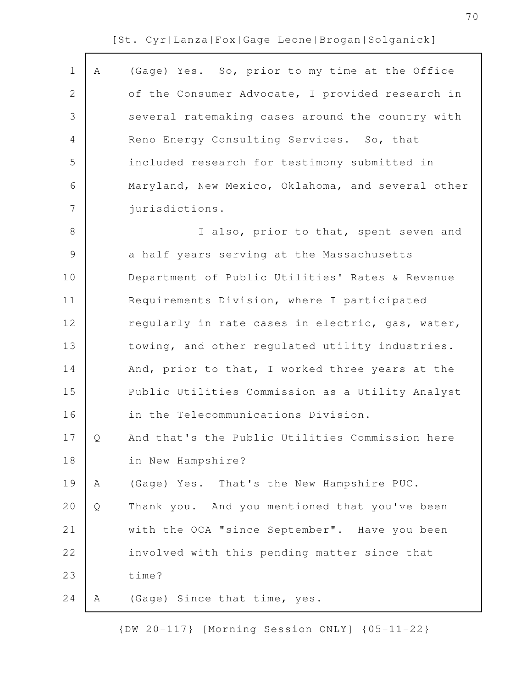| $\mathbf 1$    | Α | (Gage) Yes. So, prior to my time at the Office    |
|----------------|---|---------------------------------------------------|
| 2              |   | of the Consumer Advocate, I provided research in  |
|                |   |                                                   |
| 3              |   | several ratemaking cases around the country with  |
| 4              |   | Reno Energy Consulting Services. So, that         |
| 5              |   | included research for testimony submitted in      |
| 6              |   | Maryland, New Mexico, Oklahoma, and several other |
| $\overline{7}$ |   | jurisdictions.                                    |
| $8\,$          |   | I also, prior to that, spent seven and            |
| $\mathsf 9$    |   | a half years serving at the Massachusetts         |
| 10             |   | Department of Public Utilities' Rates & Revenue   |
| 11             |   | Requirements Division, where I participated       |
| 12             |   | regularly in rate cases in electric, gas, water,  |
| 13             |   | towing, and other regulated utility industries.   |
| 14             |   | And, prior to that, I worked three years at the   |
| 15             |   | Public Utilities Commission as a Utility Analyst  |
| 16             |   | in the Telecommunications Division.               |
| 17             | Q | And that's the Public Utilities Commission here   |
| 18             |   | in New Hampshire?                                 |
| 19             | Α | (Gage) Yes. That's the New Hampshire PUC.         |
| 20             | Q | Thank you. And you mentioned that you've been     |
| 21             |   | with the OCA "since September". Have you been     |
| 22             |   | involved with this pending matter since that      |
| 23             |   | time?                                             |
| 24             | Α | (Gage) Since that time, yes.                      |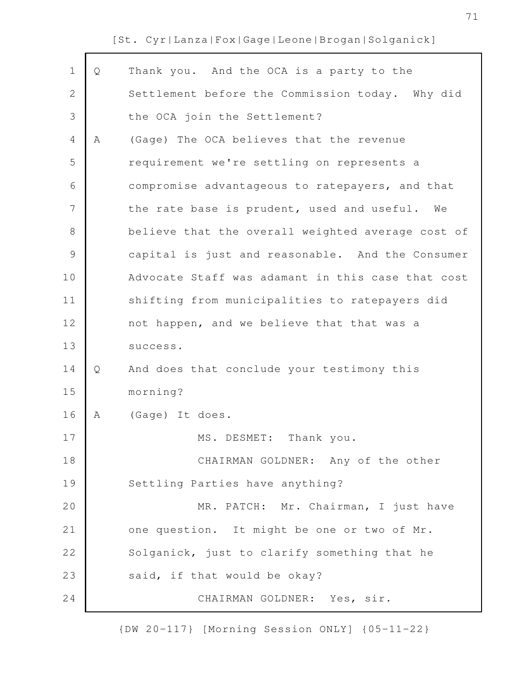| $\mathbf 1$    | Q | Thank you. And the OCA is a party to the          |
|----------------|---|---------------------------------------------------|
| $\mathbf{2}$   |   | Settlement before the Commission today. Why did   |
| 3              |   | the OCA join the Settlement?                      |
| 4              | Α | (Gage) The OCA believes that the revenue          |
| 5              |   | requirement we're settling on represents a        |
| 6              |   | compromise advantageous to ratepayers, and that   |
| $\overline{7}$ |   | the rate base is prudent, used and useful. We     |
| $8\,$          |   | believe that the overall weighted average cost of |
| $\mathcal{G}$  |   | capital is just and reasonable. And the Consumer  |
| 10             |   | Advocate Staff was adamant in this case that cost |
| 11             |   | shifting from municipalities to ratepayers did    |
| 12             |   | not happen, and we believe that that was a        |
| 13             |   | success.                                          |
| 14             | Q | And does that conclude your testimony this        |
| 15             |   | morning?                                          |
| 16             | Α | (Gage) It does.                                   |
| $17$           |   | Thank you.<br>MS. DESMET:                         |
| 18             |   | CHAIRMAN GOLDNER: Any of the other                |
| 19             |   | Settling Parties have anything?                   |
| 20             |   | MR. PATCH: Mr. Chairman, I just have              |
| 21             |   | one question. It might be one or two of Mr.       |
| 22             |   | Solganick, just to clarify something that he      |
| 23             |   | said, if that would be okay?                      |
| 24             |   | CHAIRMAN GOLDNER: Yes, sir.                       |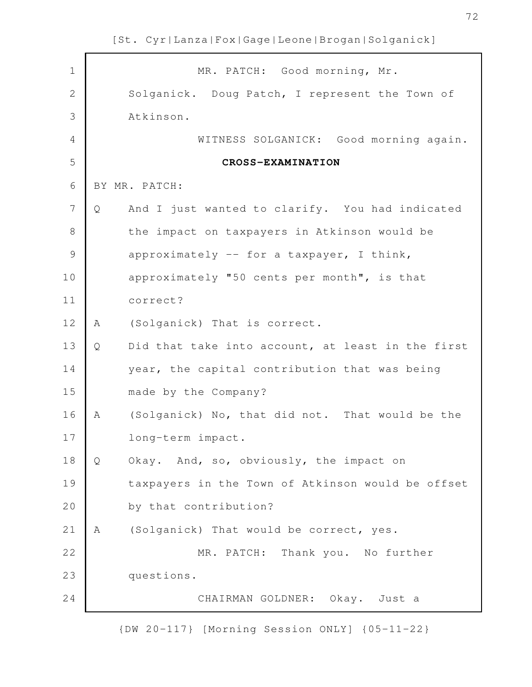| $\mathbf 1$    |   | MR. PATCH: Good morning, Mr.                      |
|----------------|---|---------------------------------------------------|
| $\overline{2}$ |   | Solganick. Doug Patch, I represent the Town of    |
| 3              |   | Atkinson.                                         |
| $\overline{4}$ |   | WITNESS SOLGANICK: Good morning again.            |
| 5              |   | CROSS-EXAMINATION                                 |
| 6              |   | BY MR. PATCH:                                     |
| 7              | Q | And I just wanted to clarify. You had indicated   |
| $\,8\,$        |   | the impact on taxpayers in Atkinson would be      |
| $\mathcal{G}$  |   | approximately -- for a taxpayer, I think,         |
| 10             |   | approximately "50 cents per month", is that       |
| 11             |   | correct?                                          |
| 12             | A | (Solganick) That is correct.                      |
| 13             | Q | Did that take into account, at least in the first |
| 14             |   | year, the capital contribution that was being     |
| 15             |   | made by the Company?                              |
| 16             | A | (Solganick) No, that did not. That would be the   |
| 17             |   | long-term impact.                                 |
| 18             | Q | Okay. And, so, obviously, the impact on           |
| 19             |   | taxpayers in the Town of Atkinson would be offset |
| 20             |   | by that contribution?                             |
| 21             | A | (Solganick) That would be correct, yes.           |
| 22             |   | MR. PATCH: Thank you. No further                  |
| 23             |   | questions.                                        |
| 24             |   | CHAIRMAN GOLDNER: Okay. Just a                    |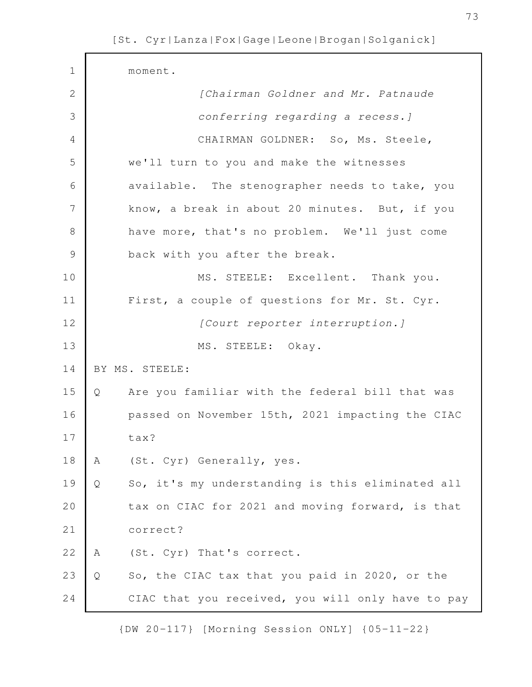| $\mathbf 1$    |   | moment.                                           |
|----------------|---|---------------------------------------------------|
| $\mathbf{2}$   |   | [Chairman Goldner and Mr. Patnaude                |
| 3              |   | conferring regarding a recess. ]                  |
| $\overline{4}$ |   | CHAIRMAN GOLDNER: So, Ms. Steele,                 |
| 5              |   | we'll turn to you and make the witnesses          |
| 6              |   | available. The stenographer needs to take, you    |
| 7              |   | know, a break in about 20 minutes. But, if you    |
| $8\,$          |   | have more, that's no problem. We'll just come     |
| $\mathcal{G}$  |   | back with you after the break.                    |
| 10             |   | MS. STEELE: Excellent. Thank you.                 |
| 11             |   | First, a couple of questions for Mr. St. Cyr.     |
| 12             |   | [Court reporter interruption.]                    |
| 13             |   | MS. STEELE: Okay.                                 |
| 14             |   | BY MS. STEELE:                                    |
| 15             | Q | Are you familiar with the federal bill that was   |
| 16             |   | passed on November 15th, 2021 impacting the CIAC  |
| 17             |   | tax?                                              |
| 18             | Α | (St. Cyr) Generally, yes.                         |
| 19             | Q | So, it's my understanding is this eliminated all  |
| 20             |   | tax on CIAC for 2021 and moving forward, is that  |
| 21             |   | correct?                                          |
| 22             | Α | (St. Cyr) That's correct.                         |
| 23             | Q | So, the CIAC tax that you paid in 2020, or the    |
| 24             |   | CIAC that you received, you will only have to pay |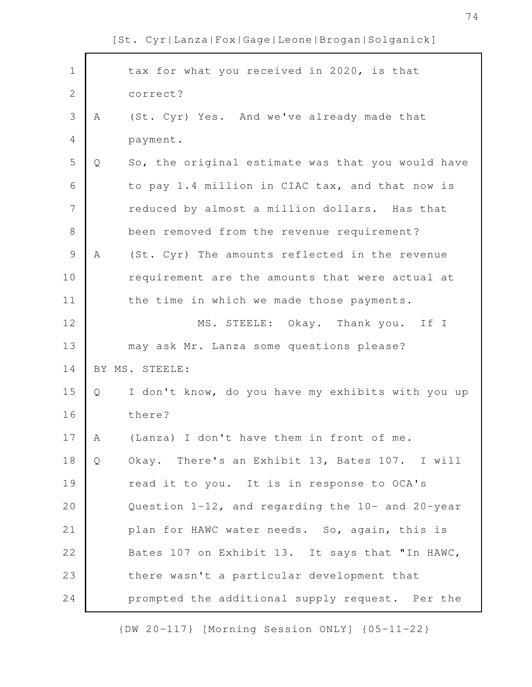tax for what you received in 2020, is that correct? A (St. Cyr) Yes. And we've already made that payment. Q So, the original estimate was that you would have to pay 1.4 million in CIAC tax, and that now is reduced by almost a million dollars. Has that been removed from the revenue requirement? A (St. Cyr) The amounts reflected in the revenue requirement are the amounts that were actual at the time in which we made those payments. MS. STEELE: Okay. Thank you. If I may ask Mr. Lanza some questions please? BY MS. STEELE: Q I don't know, do you have my exhibits with you up there? A (Lanza) I don't have them in front of me. Q Okay. There's an Exhibit 13, Bates 107. I will read it to you. It is in response to OCA's Question 1-12, and regarding the 10- and 20-year plan for HAWC water needs. So, again, this is Bates 107 on Exhibit 13. It says that "In HAWC, there wasn't a particular development that prompted the additional supply request. Per the 1 2 3 4 5 6 7 8 9 10 11 12 13 14 15 16 17 18 19 20 21 22 23 24

[St. Cyr|Lanza|Fox|Gage|Leone|Brogan|Solganick]

{DW 20-117} [Morning Session ONLY] {05-11-22}

74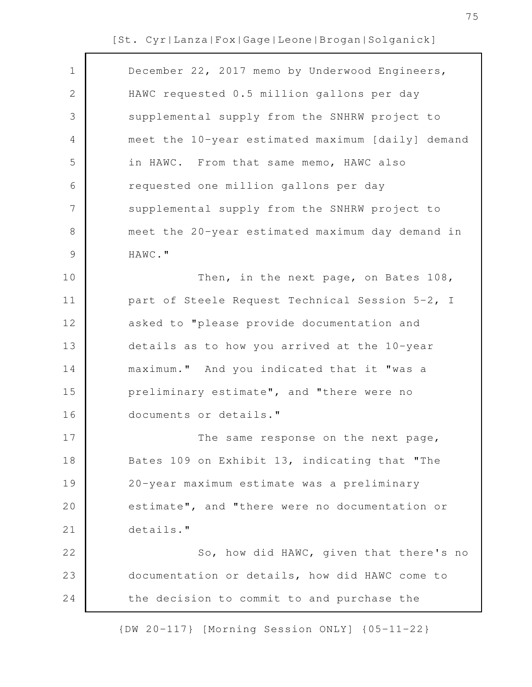| December 22, 2017 memo by Underwood Engineers,<br>1<br>HAWC requested 0.5 million gallons per day<br>2<br>3<br>supplemental supply from the SNHRW project to<br>4<br>5<br>in HAWC. From that same memo, HAWC also<br>6<br>requested one million gallons per day<br>$\overline{7}$<br>supplemental supply from the SNHRW project to<br>8<br>$\mathcal{G}$<br>HAWC."<br>10<br>Then, in the next page, on Bates 108,<br>part of Steele Request Technical Session 5-2, I<br>11<br>12<br>asked to "please provide documentation and<br>13<br>details as to how you arrived at the 10-year<br>maximum." And you indicated that it "was a<br>14<br>15<br>preliminary estimate", and "there were no<br>documents or details."<br>16<br>17<br>The same response on the next page,<br>18<br>Bates 109 on Exhibit 13, indicating that "The<br>20-year maximum estimate was a preliminary<br>19<br>estimate", and "there were no documentation or<br>20<br>21<br>details."<br>22<br>23<br>documentation or details, how did HAWC come to<br>24<br>the decision to commit to and purchase the |                                                   |
|----------------------------------------------------------------------------------------------------------------------------------------------------------------------------------------------------------------------------------------------------------------------------------------------------------------------------------------------------------------------------------------------------------------------------------------------------------------------------------------------------------------------------------------------------------------------------------------------------------------------------------------------------------------------------------------------------------------------------------------------------------------------------------------------------------------------------------------------------------------------------------------------------------------------------------------------------------------------------------------------------------------------------------------------------------------------------------|---------------------------------------------------|
|                                                                                                                                                                                                                                                                                                                                                                                                                                                                                                                                                                                                                                                                                                                                                                                                                                                                                                                                                                                                                                                                                  |                                                   |
|                                                                                                                                                                                                                                                                                                                                                                                                                                                                                                                                                                                                                                                                                                                                                                                                                                                                                                                                                                                                                                                                                  |                                                   |
|                                                                                                                                                                                                                                                                                                                                                                                                                                                                                                                                                                                                                                                                                                                                                                                                                                                                                                                                                                                                                                                                                  |                                                   |
|                                                                                                                                                                                                                                                                                                                                                                                                                                                                                                                                                                                                                                                                                                                                                                                                                                                                                                                                                                                                                                                                                  | meet the 10-year estimated maximum [daily] demand |
|                                                                                                                                                                                                                                                                                                                                                                                                                                                                                                                                                                                                                                                                                                                                                                                                                                                                                                                                                                                                                                                                                  |                                                   |
|                                                                                                                                                                                                                                                                                                                                                                                                                                                                                                                                                                                                                                                                                                                                                                                                                                                                                                                                                                                                                                                                                  |                                                   |
|                                                                                                                                                                                                                                                                                                                                                                                                                                                                                                                                                                                                                                                                                                                                                                                                                                                                                                                                                                                                                                                                                  |                                                   |
|                                                                                                                                                                                                                                                                                                                                                                                                                                                                                                                                                                                                                                                                                                                                                                                                                                                                                                                                                                                                                                                                                  | meet the 20-year estimated maximum day demand in  |
|                                                                                                                                                                                                                                                                                                                                                                                                                                                                                                                                                                                                                                                                                                                                                                                                                                                                                                                                                                                                                                                                                  |                                                   |
|                                                                                                                                                                                                                                                                                                                                                                                                                                                                                                                                                                                                                                                                                                                                                                                                                                                                                                                                                                                                                                                                                  |                                                   |
|                                                                                                                                                                                                                                                                                                                                                                                                                                                                                                                                                                                                                                                                                                                                                                                                                                                                                                                                                                                                                                                                                  |                                                   |
|                                                                                                                                                                                                                                                                                                                                                                                                                                                                                                                                                                                                                                                                                                                                                                                                                                                                                                                                                                                                                                                                                  |                                                   |
|                                                                                                                                                                                                                                                                                                                                                                                                                                                                                                                                                                                                                                                                                                                                                                                                                                                                                                                                                                                                                                                                                  |                                                   |
|                                                                                                                                                                                                                                                                                                                                                                                                                                                                                                                                                                                                                                                                                                                                                                                                                                                                                                                                                                                                                                                                                  |                                                   |
|                                                                                                                                                                                                                                                                                                                                                                                                                                                                                                                                                                                                                                                                                                                                                                                                                                                                                                                                                                                                                                                                                  |                                                   |
|                                                                                                                                                                                                                                                                                                                                                                                                                                                                                                                                                                                                                                                                                                                                                                                                                                                                                                                                                                                                                                                                                  |                                                   |
|                                                                                                                                                                                                                                                                                                                                                                                                                                                                                                                                                                                                                                                                                                                                                                                                                                                                                                                                                                                                                                                                                  |                                                   |
|                                                                                                                                                                                                                                                                                                                                                                                                                                                                                                                                                                                                                                                                                                                                                                                                                                                                                                                                                                                                                                                                                  |                                                   |
|                                                                                                                                                                                                                                                                                                                                                                                                                                                                                                                                                                                                                                                                                                                                                                                                                                                                                                                                                                                                                                                                                  |                                                   |
|                                                                                                                                                                                                                                                                                                                                                                                                                                                                                                                                                                                                                                                                                                                                                                                                                                                                                                                                                                                                                                                                                  |                                                   |
|                                                                                                                                                                                                                                                                                                                                                                                                                                                                                                                                                                                                                                                                                                                                                                                                                                                                                                                                                                                                                                                                                  |                                                   |
|                                                                                                                                                                                                                                                                                                                                                                                                                                                                                                                                                                                                                                                                                                                                                                                                                                                                                                                                                                                                                                                                                  | So, how did HAWC, given that there's no           |
|                                                                                                                                                                                                                                                                                                                                                                                                                                                                                                                                                                                                                                                                                                                                                                                                                                                                                                                                                                                                                                                                                  |                                                   |
|                                                                                                                                                                                                                                                                                                                                                                                                                                                                                                                                                                                                                                                                                                                                                                                                                                                                                                                                                                                                                                                                                  |                                                   |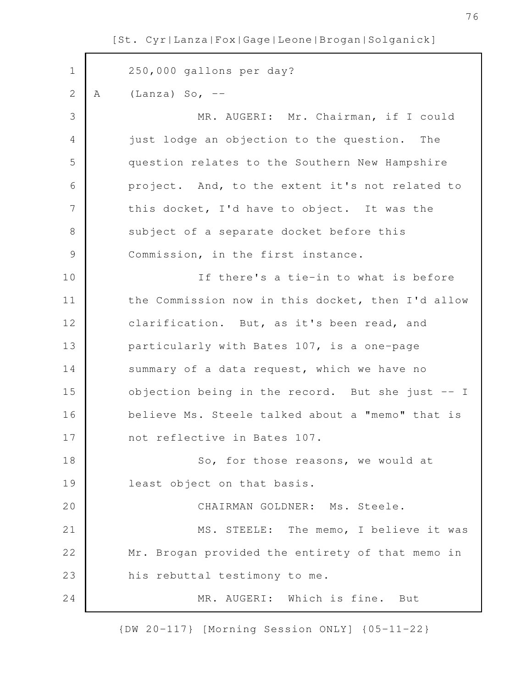250,000 gallons per day? A  $(Lanza)$  So,  $--$ MR. AUGERI: Mr. Chairman, if I could just lodge an objection to the question. The question relates to the Southern New Hampshire project. And, to the extent it's not related to this docket, I'd have to object. It was the subject of a separate docket before this Commission, in the first instance. If there's a tie-in to what is before the Commission now in this docket, then I'd allow clarification. But, as it's been read, and particularly with Bates 107, is a one-page summary of a data request, which we have no objection being in the record. But she just -- I believe Ms. Steele talked about a "memo" that is not reflective in Bates 107. So, for those reasons, we would at least object on that basis. CHAIRMAN GOLDNER: Ms. Steele. MS. STEELE: The memo, I believe it was Mr. Brogan provided the entirety of that memo in his rebuttal testimony to me. MR. AUGERI: Which is fine. But 1 2 3 4 5 6 7 8 9 10 11 12 13 14 15 16 17 18 19 20 21 22 23 24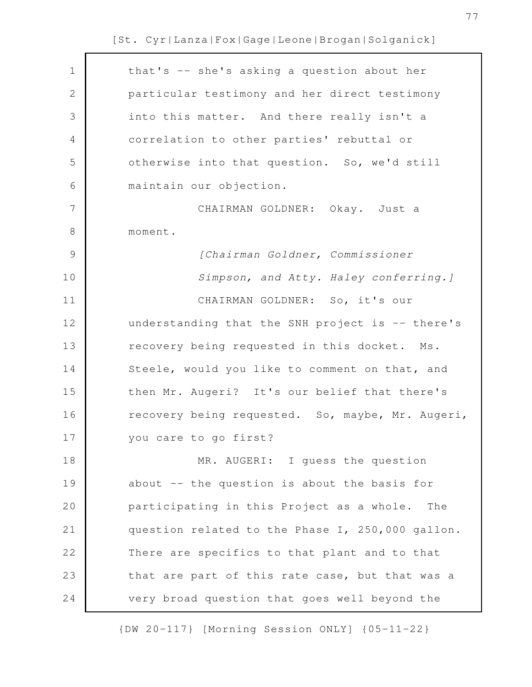| $\mathbf 1$   | that's -- she's asking a question about her      |
|---------------|--------------------------------------------------|
| $\mathbf{2}$  | particular testimony and her direct testimony    |
| 3             | into this matter. And there really isn't a       |
| 4             | correlation to other parties' rebuttal or        |
| 5             | otherwise into that question. So, we'd still     |
| 6             | maintain our objection.                          |
| 7             | CHAIRMAN GOLDNER: Okay. Just a                   |
| $\,8\,$       | moment.                                          |
| $\mathcal{G}$ | [Chairman Goldner, Commissioner                  |
| 10            | Simpson, and Atty. Haley conferring. ]           |
| 11            | CHAIRMAN GOLDNER: So, it's our                   |
| 12            | understanding that the SNH project is -- there's |
| 13            | recovery being requested in this docket. Ms.     |
| 14            | Steele, would you like to comment on that, and   |
| 15            | then Mr. Augeri? It's our belief that there's    |
| 16            | recovery being requested. So, maybe, Mr. Augeri, |
| 17            | you care to go first?                            |
| 18            | MR. AUGERI: I guess the question                 |
| 19            | about -- the question is about the basis for     |
| 20            | participating in this Project as a whole.<br>The |
| 21            | question related to the Phase I, 250,000 gallon. |
| 22            | There are specifics to that plant and to that    |
| 23            | that are part of this rate case, but that was a  |
| 24            | very broad question that goes well beyond the    |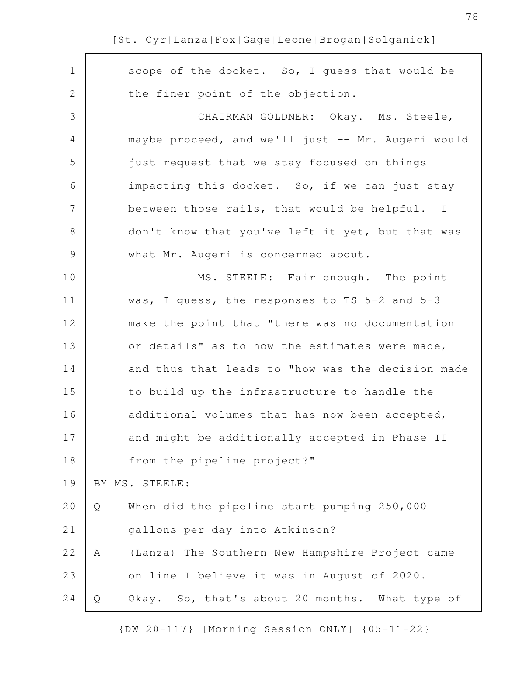| $\mathbf 1$    | scope of the docket. So, I guess that would be       |
|----------------|------------------------------------------------------|
| 2              | the finer point of the objection.                    |
| 3              | CHAIRMAN GOLDNER: Okay. Ms. Steele,                  |
| 4              | maybe proceed, and we'll just -- Mr. Augeri would    |
| 5              | just request that we stay focused on things          |
| 6              | impacting this docket. So, if we can just stay       |
| $\overline{7}$ | between those rails, that would be helpful. I        |
| $8\,$          | don't know that you've left it yet, but that was     |
| $\mathsf 9$    | what Mr. Augeri is concerned about.                  |
| 10             | MS. STEELE: Fair enough. The point                   |
| 11             | was, I guess, the responses to TS 5-2 and 5-3        |
| 12             | make the point that "there was no documentation      |
| 13             | or details" as to how the estimates were made,       |
| 14             | and thus that leads to "how was the decision made    |
| 15             | to build up the infrastructure to handle the         |
| 16             | additional volumes that has now been accepted,       |
| 17             | and might be additionally accepted in Phase II       |
| 18             | from the pipeline project?"                          |
| 19             | BY MS. STEELE:                                       |
| 20             | When did the pipeline start pumping 250,000<br>Q     |
| 21             | gallons per day into Atkinson?                       |
| 22             | (Lanza) The Southern New Hampshire Project came<br>Α |
| 23             | on line I believe it was in August of 2020.          |
| 24             | Okay. So, that's about 20 months. What type of<br>Q  |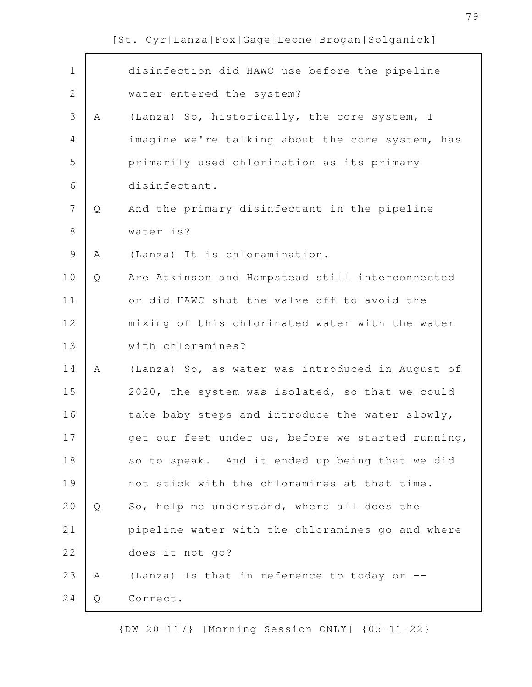| $\mathbf 1$    |   | disinfection did HAWC use before the pipeline     |
|----------------|---|---------------------------------------------------|
| $\mathbf{2}$   |   | water entered the system?                         |
| $\mathcal{S}$  | Α | (Lanza) So, historically, the core system, I      |
| $\overline{4}$ |   | imagine we're talking about the core system, has  |
| 5              |   | primarily used chlorination as its primary        |
| 6              |   | disinfectant.                                     |
| $\overline{7}$ | Q | And the primary disinfectant in the pipeline      |
| $\,8\,$        |   | water is?                                         |
| $\mathcal{G}$  | Α | (Lanza) It is chloramination.                     |
| 10             | Q | Are Atkinson and Hampstead still interconnected   |
| 11             |   | or did HAWC shut the valve off to avoid the       |
| 12             |   | mixing of this chlorinated water with the water   |
| 13             |   | with chloramines?                                 |
| 14             | A | (Lanza) So, as water was introduced in August of  |
| 15             |   | 2020, the system was isolated, so that we could   |
| 16             |   | take baby steps and introduce the water slowly,   |
| 17             |   | get our feet under us, before we started running, |
| 18             |   | so to speak. And it ended up being that we did    |
| 19             |   | not stick with the chloramines at that time.      |
| 20             | Q | So, help me understand, where all does the        |
| 21             |   | pipeline water with the chloramines go and where  |
| 22             |   | does it not go?                                   |
| 23             | A | (Lanza) Is that in reference to today or --       |
| 24             | Q | Correct.                                          |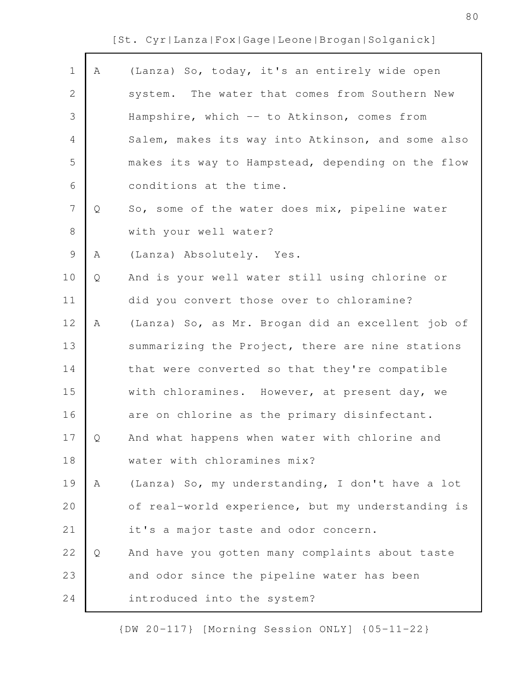$\mathsf{r}$ 

| $\mathbf 1$   | Α | (Lanza) So, today, it's an entirely wide open     |
|---------------|---|---------------------------------------------------|
| 2             |   | system. The water that comes from Southern New    |
| 3             |   | Hampshire, which -- to Atkinson, comes from       |
| 4             |   | Salem, makes its way into Atkinson, and some also |
| 5             |   | makes its way to Hampstead, depending on the flow |
| 6             |   | conditions at the time.                           |
| 7             | Q | So, some of the water does mix, pipeline water    |
| $8\,$         |   | with your well water?                             |
| $\mathcal{G}$ | Α | (Lanza) Absolutely. Yes.                          |
| 10            | Q | And is your well water still using chlorine or    |
| 11            |   | did you convert those over to chloramine?         |
| 12            | A | (Lanza) So, as Mr. Brogan did an excellent job of |
| 13            |   | summarizing the Project, there are nine stations  |
| 14            |   | that were converted so that they're compatible    |
| 15            |   | with chloramines. However, at present day, we     |
| 16            |   | are on chlorine as the primary disinfectant.      |
| 17            | Q | And what happens when water with chlorine and     |
| 18            |   | water with chloramines mix?                       |
| 19            | Α | (Lanza) So, my understanding, I don't have a lot  |
| 20            |   | of real-world experience, but my understanding is |
| 21            |   | it's a major taste and odor concern.              |
| 22            | Q | And have you gotten many complaints about taste   |
| 23            |   | and odor since the pipeline water has been        |
| 24            |   | introduced into the system?                       |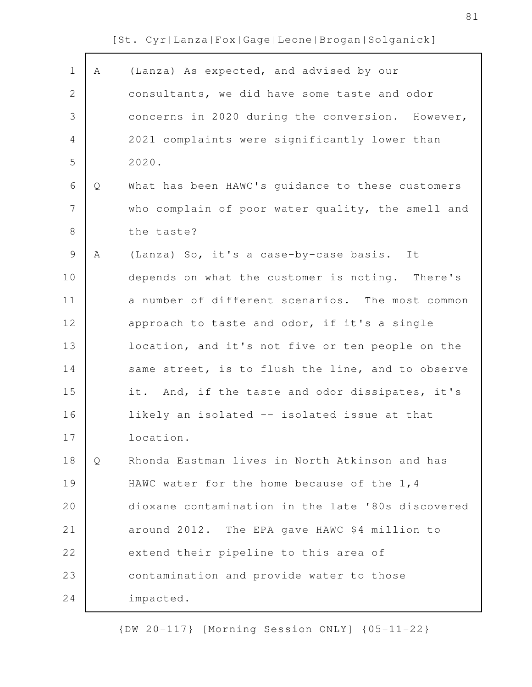$\Gamma$ 

| $\mathbf 1$    | A | (Lanza) As expected, and advised by our           |
|----------------|---|---------------------------------------------------|
| $\mathbf{2}$   |   | consultants, we did have some taste and odor      |
| 3              |   | concerns in 2020 during the conversion. However,  |
| $\overline{4}$ |   | 2021 complaints were significantly lower than     |
| 5              |   | 2020.                                             |
| 6              | Q | What has been HAWC's guidance to these customers  |
| 7              |   | who complain of poor water quality, the smell and |
| $8\,$          |   | the taste?                                        |
| $\mathsf 9$    | Α | (Lanza) So, it's a case-by-case basis. It         |
| 10             |   | depends on what the customer is noting. There's   |
| 11             |   | a number of different scenarios. The most common  |
| 12             |   | approach to taste and odor, if it's a single      |
| 13             |   | location, and it's not five or ten people on the  |
| 14             |   | same street, is to flush the line, and to observe |
| 15             |   | it. And, if the taste and odor dissipates, it's   |
| 16             |   | likely an isolated -- isolated issue at that      |
| 17             |   | location.                                         |
| 18             | Q | Rhonda Eastman lives in North Atkinson and has    |
| 19             |   | HAWC water for the home because of the 1,4        |
| 20             |   | dioxane contamination in the late '80s discovered |
| 21             |   | around 2012. The EPA gave HAWC \$4 million to     |
| 22             |   | extend their pipeline to this area of             |
| 23             |   | contamination and provide water to those          |
| 24             |   | impacted.                                         |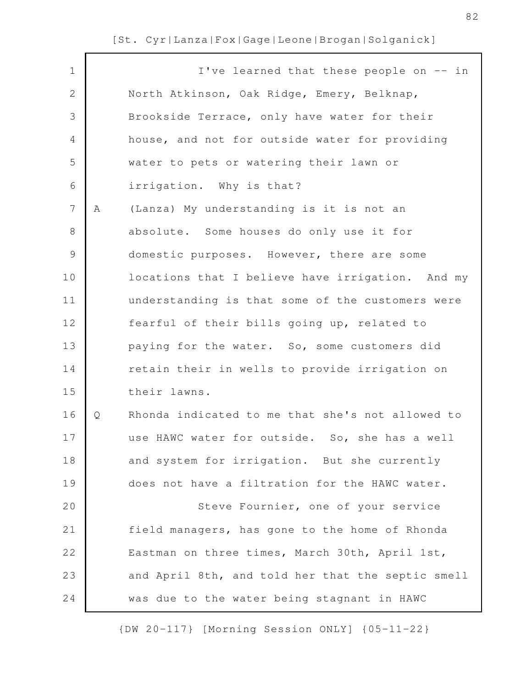| $\mathbf 1$    |   | I've learned that these people on -- in           |
|----------------|---|---------------------------------------------------|
| $\mathbf{2}$   |   | North Atkinson, Oak Ridge, Emery, Belknap,        |
| 3              |   | Brookside Terrace, only have water for their      |
| 4              |   | house, and not for outside water for providing    |
| 5              |   | water to pets or watering their lawn or           |
| 6              |   | irrigation. Why is that?                          |
| $7\phantom{.}$ | A | (Lanza) My understanding is it is not an          |
| 8              |   | absolute. Some houses do only use it for          |
| $\mathsf 9$    |   | domestic purposes. However, there are some        |
| 10             |   | locations that I believe have irrigation. And my  |
| 11             |   | understanding is that some of the customers were  |
| 12             |   | fearful of their bills going up, related to       |
| 13             |   | paying for the water. So, some customers did      |
| 14             |   | retain their in wells to provide irrigation on    |
| 15             |   | their lawns.                                      |
| 16             | Q | Rhonda indicated to me that she's not allowed to  |
| 17             |   | use HAWC water for outside. So, she has a well    |
| 18             |   | and system for irrigation. But she currently      |
| 19             |   | does not have a filtration for the HAWC water.    |
| 20             |   | Steve Fournier, one of your service               |
| 21             |   | field managers, has gone to the home of Rhonda    |
| 22             |   | Eastman on three times, March 30th, April 1st,    |
| 23             |   | and April 8th, and told her that the septic smell |
| 24             |   | was due to the water being stagnant in HAWC       |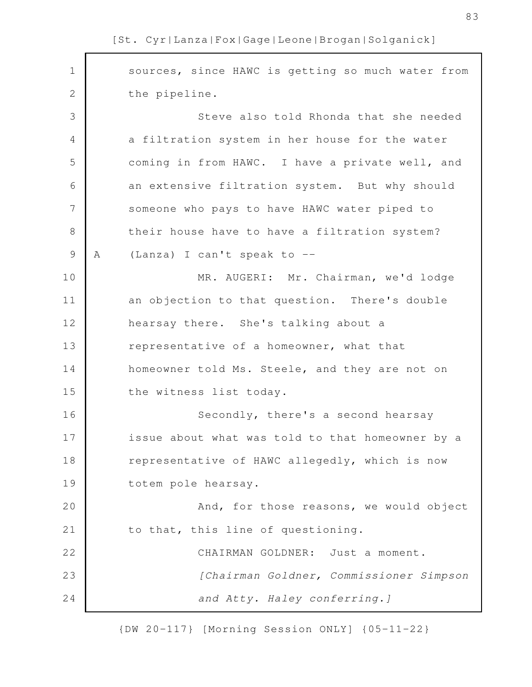sources, since HAWC is getting so much water from the pipeline. Steve also told Rhonda that she needed a filtration system in her house for the water coming in from HAWC. I have a private well, and an extensive filtration system. But why should someone who pays to have HAWC water piped to their house have to have a filtration system? A (Lanza) I can't speak to -- MR. AUGERI: Mr. Chairman, we'd lodge an objection to that question. There's double hearsay there. She's talking about a representative of a homeowner, what that homeowner told Ms. Steele, and they are not on the witness list today. Secondly, there's a second hearsay issue about what was told to that homeowner by a representative of HAWC allegedly, which is now totem pole hearsay. And, for those reasons, we would object to that, this line of questioning. CHAIRMAN GOLDNER: Just a moment. *[Chairman Goldner, Commissioner Simpson and Atty. Haley conferring.]* 1 2 3 4 5 6 7 8 9 10 11 12 13 14 15 16 17 18 19 20 21 22 23 24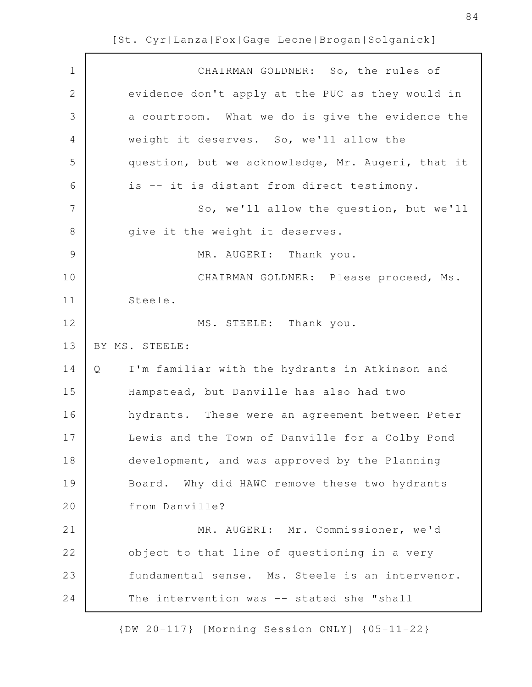| $\mathbf 1$    | CHAIRMAN GOLDNER: So, the rules of                  |
|----------------|-----------------------------------------------------|
| $\mathbf{2}$   | evidence don't apply at the PUC as they would in    |
| 3              | a courtroom. What we do is give the evidence the    |
| 4              | weight it deserves. So, we'll allow the             |
| 5              | question, but we acknowledge, Mr. Augeri, that it   |
| 6              | is -- it is distant from direct testimony.          |
| $\overline{7}$ | So, we'll allow the question, but we'll             |
| $8\,$          | give it the weight it deserves.                     |
| $\mathcal{G}$  | MR. AUGERI: Thank you.                              |
| 10             | CHAIRMAN GOLDNER: Please proceed, Ms.               |
| 11             | Steele.                                             |
| 12             | MS. STEELE: Thank you.                              |
| 13             | BY MS. STEELE:                                      |
| 14             | I'm familiar with the hydrants in Atkinson and<br>Q |
| 15             | Hampstead, but Danville has also had two            |
| 16             | hydrants. These were an agreement between Peter     |
| 17             | Lewis and the Town of Danville for a Colby Pond     |
| 18             | development, and was approved by the Planning       |
| 19             | Board. Why did HAWC remove these two hydrants       |
| 20             | from Danville?                                      |
| 21             | MR. AUGERI: Mr. Commissioner, we'd                  |
| 22             | object to that line of questioning in a very        |
| 23             | fundamental sense. Ms. Steele is an intervenor.     |
| 24             | The intervention was -- stated she "shall           |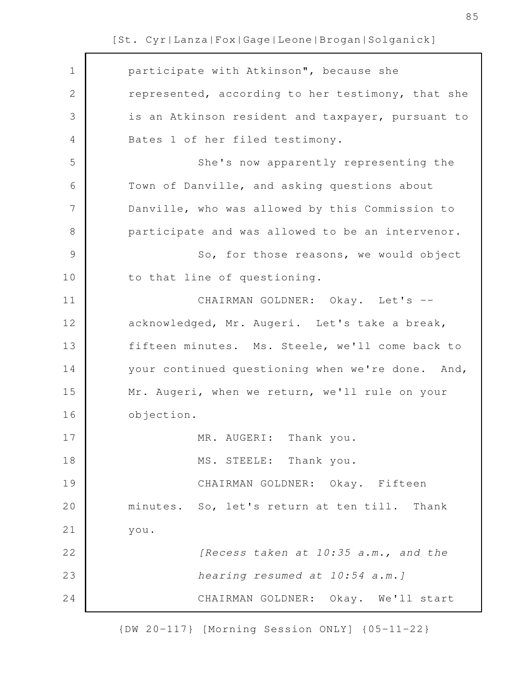| $\mathbf 1$   | participate with Atkinson", because she           |
|---------------|---------------------------------------------------|
| $\mathbf{2}$  | represented, according to her testimony, that she |
| 3             | is an Atkinson resident and taxpayer, pursuant to |
| 4             | Bates 1 of her filed testimony.                   |
| 5             | She's now apparently representing the             |
| 6             | Town of Danville, and asking questions about      |
| 7             | Danville, who was allowed by this Commission to   |
| 8             | participate and was allowed to be an intervenor.  |
| $\mathcal{G}$ | So, for those reasons, we would object            |
| 10            | to that line of questioning.                      |
| 11            | CHAIRMAN GOLDNER: Okay. Let's --                  |
| 12            | acknowledged, Mr. Augeri. Let's take a break,     |
| 13            | fifteen minutes. Ms. Steele, we'll come back to   |
| 14            | your continued questioning when we're done. And,  |
| 15            | Mr. Augeri, when we return, we'll rule on your    |
| 16            | objection.                                        |
| 17            | MR. AUGERI: Thank you.                            |
| 18            | MS. STEELE: Thank you.                            |
| 19            | CHAIRMAN GOLDNER: Okay. Fifteen                   |
| 20            | minutes. So, let's return at ten till.<br>Thank   |
| 21            | you.                                              |
| 22            | [Recess taken at 10:35 a.m., and the              |
| 23            | hearing resumed at 10:54 a.m.]                    |
| 24            | CHAIRMAN GOLDNER: Okay. We'll start               |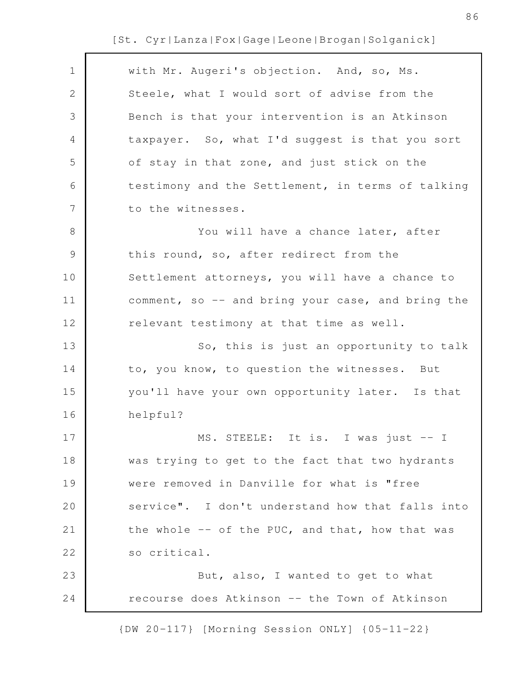| $\mathbf 1$    | with Mr. Augeri's objection. And, so, Ms.         |
|----------------|---------------------------------------------------|
| $\mathbf{2}$   | Steele, what I would sort of advise from the      |
| $\mathfrak{Z}$ | Bench is that your intervention is an Atkinson    |
| 4              | taxpayer. So, what I'd suggest is that you sort   |
| 5              | of stay in that zone, and just stick on the       |
| 6              | testimony and the Settlement, in terms of talking |
| 7              | to the witnesses.                                 |
| $8\,$          | You will have a chance later, after               |
| $\mathcal{G}$  | this round, so, after redirect from the           |
| 10             | Settlement attorneys, you will have a chance to   |
| 11             | comment, so -- and bring your case, and bring the |
| 12             | relevant testimony at that time as well.          |
| 13             | So, this is just an opportunity to talk           |
| 14             | to, you know, to question the witnesses. But      |
| 15             | you'll have your own opportunity later. Is that   |
| 16             | helpful?                                          |
| 17             | MS. STEELE: It is. I was just $-1$                |
| 18             | was trying to get to the fact that two hydrants   |
| 19             | were removed in Danville for what is "free        |
| 20             | service". I don't understand how that falls into  |
| 21             | the whole -- of the PUC, and that, how that was   |
| 22             | so critical.                                      |
| 23             | But, also, I wanted to get to what                |
| 24             | recourse does Atkinson -- the Town of Atkinson    |
|                |                                                   |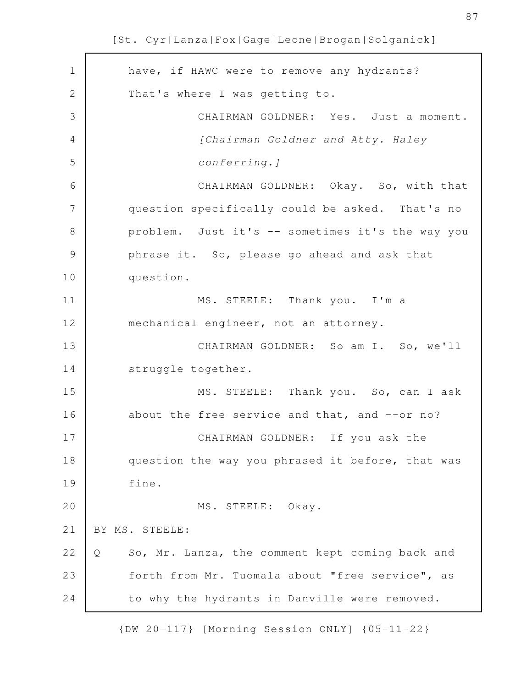| $\mathbf 1$   | have, if HAWC were to remove any hydrants?           |
|---------------|------------------------------------------------------|
| $\mathbf{2}$  | That's where I was getting to.                       |
| 3             | CHAIRMAN GOLDNER: Yes. Just a moment.                |
| 4             | [Chairman Goldner and Atty. Haley                    |
| 5             | conferring. ]                                        |
| 6             | CHAIRMAN GOLDNER: Okay. So, with that                |
| 7             | question specifically could be asked. That's no      |
| $8\,$         | problem. Just it's -- sometimes it's the way you     |
| $\mathcal{G}$ | phrase it. So, please go ahead and ask that          |
| 10            | question.                                            |
| 11            | MS. STEELE: Thank you. I'm a                         |
| 12            | mechanical engineer, not an attorney.                |
| 13            | CHAIRMAN GOLDNER: So am I. So, we'll                 |
| 14            | struggle together.                                   |
| 15            | MS. STEELE: Thank you. So, can I ask                 |
| 16            | about the free service and that, and --or no?        |
| 17            | CHAIRMAN GOLDNER: If you ask the                     |
| 18            | question the way you phrased it before, that was     |
| 19            | fine.                                                |
| 20            | MS. STEELE: Okay.                                    |
| 21            | BY MS. STEELE:                                       |
| 22            | So, Mr. Lanza, the comment kept coming back and<br>Q |
| 23            | forth from Mr. Tuomala about "free service", as      |
| 24            | to why the hydrants in Danville were removed.        |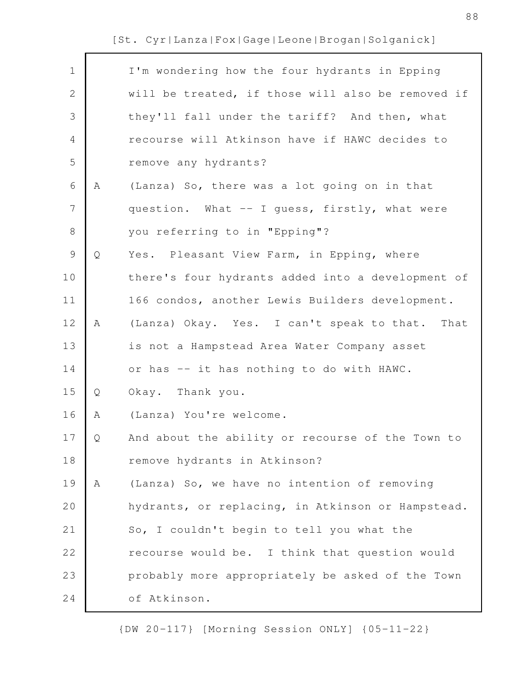| $\mathbf 1$  |   | I'm wondering how the four hydrants in Epping     |
|--------------|---|---------------------------------------------------|
| $\mathbf{2}$ |   | will be treated, if those will also be removed if |
| 3            |   | they'll fall under the tariff? And then, what     |
| 4            |   | recourse will Atkinson have if HAWC decides to    |
| 5            |   | remove any hydrants?                              |
| 6            | A | (Lanza) So, there was a lot going on in that      |
| 7            |   | question. What -- I guess, firstly, what were     |
| $8\,$        |   | you referring to in "Epping"?                     |
| $\mathsf 9$  | Q | Yes. Pleasant View Farm, in Epping, where         |
| 10           |   | there's four hydrants added into a development of |
| 11           |   | 166 condos, another Lewis Builders development.   |
| 12           | Α | (Lanza) Okay. Yes. I can't speak to that. That    |
| 13           |   | is not a Hampstead Area Water Company asset       |
| 14           |   | or has -- it has nothing to do with HAWC.         |
| 15           | Q | Okay. Thank you.                                  |
| 16           | Α | (Lanza) You're welcome.                           |
| 17           | Q | And about the ability or recourse of the Town to  |
| 18           |   | remove hydrants in Atkinson?                      |
| 19           | Α | (Lanza) So, we have no intention of removing      |
| 20           |   | hydrants, or replacing, in Atkinson or Hampstead. |
| 21           |   | So, I couldn't begin to tell you what the         |
| 22           |   | recourse would be. I think that question would    |
| 23           |   | probably more appropriately be asked of the Town  |
| 24           |   | of Atkinson.                                      |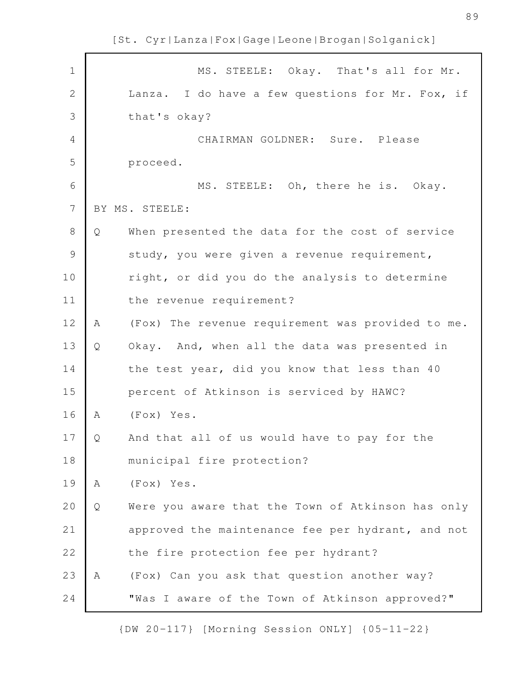MS. STEELE: Okay. That's all for Mr. Lanza. I do have a few questions for Mr. Fox, if that's okay? CHAIRMAN GOLDNER: Sure. Please proceed. MS. STEELE: Oh, there he is. Okay. BY MS. STEELE: Q When presented the data for the cost of service study, you were given a revenue requirement, right, or did you do the analysis to determine the revenue requirement? A (Fox) The revenue requirement was provided to me. Q Okay. And, when all the data was presented in the test year, did you know that less than 40 percent of Atkinson is serviced by HAWC? A (Fox) Yes. Q And that all of us would have to pay for the municipal fire protection? A (Fox) Yes. Q Were you aware that the Town of Atkinson has only approved the maintenance fee per hydrant, and not the fire protection fee per hydrant? A (Fox) Can you ask that question another way? "Was I aware of the Town of Atkinson approved?" 1 2 3 4 5 6 7 8 9 10 11 12 13 14 15 16 17 18 19 20 21 22 23 24

{DW 20-117} [Morning Session ONLY] {05-11-22}

[St. Cyr|Lanza|Fox|Gage|Leone|Brogan|Solganick]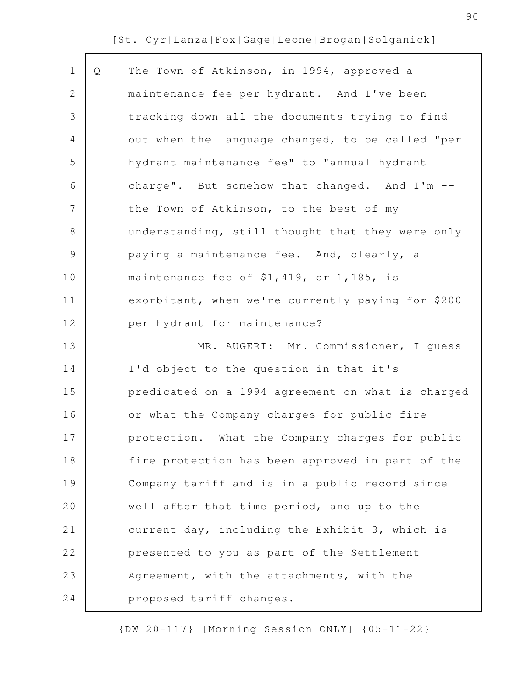| $\mathbf 1$    | Q | The Town of Atkinson, in 1994, approved a         |
|----------------|---|---------------------------------------------------|
| 2              |   | maintenance fee per hydrant. And I've been        |
| 3              |   | tracking down all the documents trying to find    |
| 4              |   | out when the language changed, to be called "per  |
| 5              |   | hydrant maintenance fee" to "annual hydrant       |
| 6              |   | charge". But somehow that changed. And I'm --     |
| $\overline{7}$ |   | the Town of Atkinson, to the best of my           |
| 8              |   | understanding, still thought that they were only  |
| 9              |   | paying a maintenance fee. And, clearly, a         |
| 10             |   | maintenance fee of \$1,419, or 1,185, is          |
| 11             |   | exorbitant, when we're currently paying for \$200 |
| 12             |   | per hydrant for maintenance?                      |
| 13             |   | MR. AUGERI: Mr. Commissioner, I guess             |
| 14             |   | I'd object to the question in that it's           |
| 15             |   | predicated on a 1994 agreement on what is charged |
| 16             |   | or what the Company charges for public fire       |
| 17             |   | protection. What the Company charges for public   |
| 18             |   | fire protection has been approved in part of the  |
| 19             |   | Company tariff and is in a public record since    |
| 20             |   | well after that time period, and up to the        |
| 21             |   | current day, including the Exhibit 3, which is    |
| 22             |   | presented to you as part of the Settlement        |
| 23             |   | Agreement, with the attachments, with the         |
| 24             |   | proposed tariff changes.                          |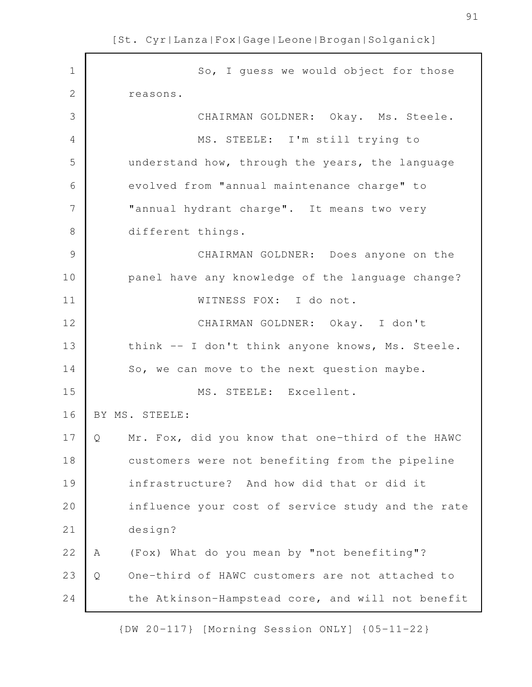So, I guess we would object for those reasons. CHAIRMAN GOLDNER: Okay. Ms. Steele. MS. STEELE: I'm still trying to understand how, through the years, the language evolved from "annual maintenance charge" to "annual hydrant charge". It means two very different things. CHAIRMAN GOLDNER: Does anyone on the panel have any knowledge of the language change? WITNESS FOX: I do not. CHAIRMAN GOLDNER: Okay. I don't think -- I don't think anyone knows, Ms. Steele. So, we can move to the next question maybe. MS. STEELE: Excellent. BY MS. STEELE: Q Mr. Fox, did you know that one-third of the HAWC customers were not benefiting from the pipeline infrastructure? And how did that or did it influence your cost of service study and the rate design? A (Fox) What do you mean by "not benefiting"? Q One-third of HAWC customers are not attached to the Atkinson-Hampstead core, and will not benefit 1 2 3 4 5 6 7 8 9 10 11 12 13 14 15 16 17 18 19 20 21 22 23 24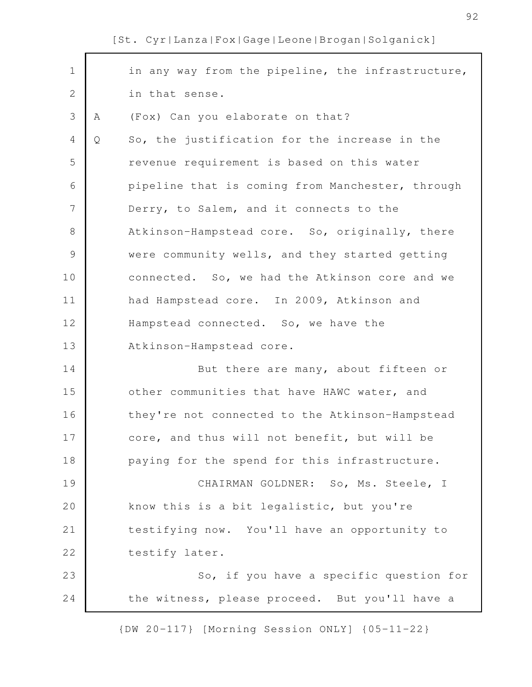| $\mathbf 1$   |   | in any way from the pipeline, the infrastructure, |
|---------------|---|---------------------------------------------------|
| $\mathbf{2}$  |   | in that sense.                                    |
| 3             | A | (Fox) Can you elaborate on that?                  |
| 4             | Q | So, the justification for the increase in the     |
| 5             |   | revenue requirement is based on this water        |
| 6             |   | pipeline that is coming from Manchester, through  |
| 7             |   | Derry, to Salem, and it connects to the           |
| 8             |   | Atkinson-Hampstead core. So, originally, there    |
| $\mathcal{G}$ |   | were community wells, and they started getting    |
| 10            |   | connected. So, we had the Atkinson core and we    |
| 11            |   | had Hampstead core. In 2009, Atkinson and         |
| 12            |   | Hampstead connected. So, we have the              |
| 13            |   | Atkinson-Hampstead core.                          |
| 14            |   | But there are many, about fifteen or              |
| 15            |   | other communities that have HAWC water, and       |
| 16            |   | they're not connected to the Atkinson-Hampstead   |
| 17            |   | core, and thus will not benefit, but will be      |
| 18            |   | paying for the spend for this infrastructure.     |
| 19            |   | CHAIRMAN GOLDNER: So, Ms. Steele, I               |
| 20            |   | know this is a bit legalistic, but you're         |
| 21            |   | testifying now. You'll have an opportunity to     |
| 22            |   | testify later.                                    |
| 23            |   | So, if you have a specific question for           |
| 24            |   | the witness, please proceed. But you'll have a    |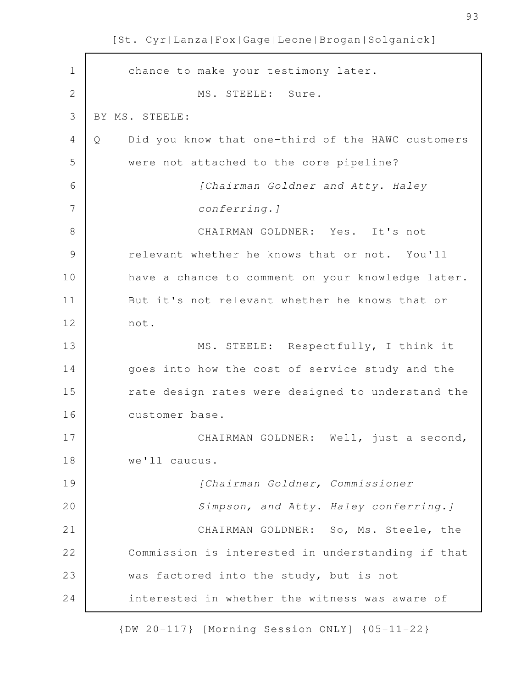chance to make your testimony later. MS. STEELE: Sure. BY MS. STEELE: Q Did you know that one-third of the HAWC customers were not attached to the core pipeline? *[Chairman Goldner and Atty. Haley conferring.]* CHAIRMAN GOLDNER: Yes. It's not relevant whether he knows that or not. You'll have a chance to comment on your knowledge later. But it's not relevant whether he knows that or not. MS. STEELE: Respectfully, I think it goes into how the cost of service study and the rate design rates were designed to understand the customer base. CHAIRMAN GOLDNER: Well, just a second, we'll caucus. *[Chairman Goldner, Commissioner Simpson, and Atty. Haley conferring.]* CHAIRMAN GOLDNER: So, Ms. Steele, the Commission is interested in understanding if that was factored into the study, but is not interested in whether the witness was aware of 1 2 3 4 5 6 7 8 9 10 11 12 13 14 15 16 17 18 19 20 21 22 23 24

[St. Cyr|Lanza|Fox|Gage|Leone|Brogan|Solganick]

{DW 20-117} [Morning Session ONLY] {05-11-22}

93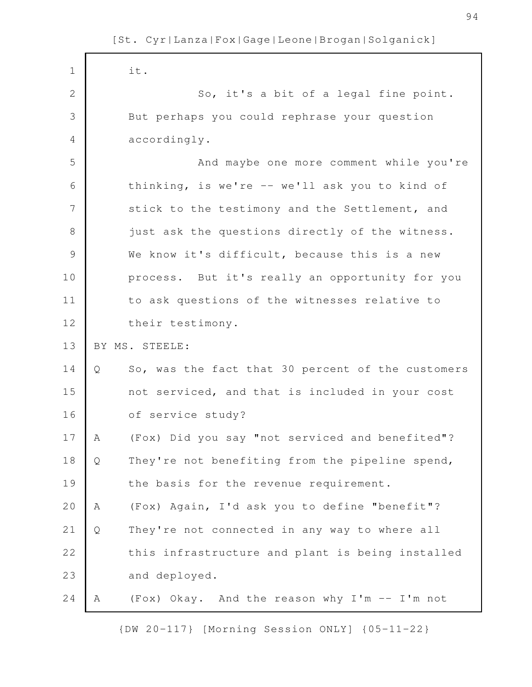| $1\,$          |   | it.                                               |
|----------------|---|---------------------------------------------------|
| $\overline{2}$ |   | So, it's a bit of a legal fine point.             |
| 3              |   | But perhaps you could rephrase your question      |
| 4              |   | accordingly.                                      |
| 5              |   | And maybe one more comment while you're           |
| 6              |   | thinking, is we're -- we'll ask you to kind of    |
| 7              |   | stick to the testimony and the Settlement, and    |
| 8              |   | just ask the questions directly of the witness.   |
| 9              |   | We know it's difficult, because this is a new     |
| 10             |   | process. But it's really an opportunity for you   |
| 11             |   | to ask questions of the witnesses relative to     |
| 12             |   | their testimony.                                  |
|                |   |                                                   |
| 13             |   | BY MS. STEELE:                                    |
| 14             | Q | So, was the fact that 30 percent of the customers |
| 15             |   | not serviced, and that is included in your cost   |
| 16             |   | of service study?                                 |
| 17             | Α | (Fox) Did you say "not serviced and benefited"?   |
| 18             | Q | They're not benefiting from the pipeline spend,   |
| 19             |   | the basis for the revenue requirement.            |
| 20             | Α | (Fox) Again, I'd ask you to define "benefit"?     |
| 21             | Q | They're not connected in any way to where all     |
| 22             |   | this infrastructure and plant is being installed  |
| 23             |   | and deployed.                                     |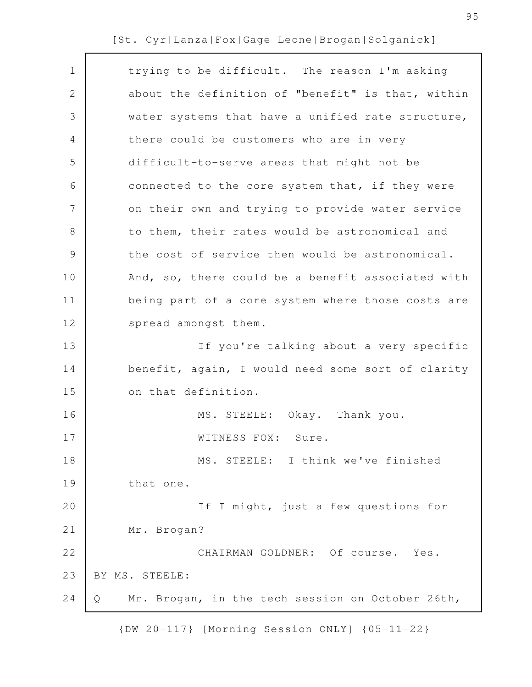| $\mathbf 1$     | trying to be difficult. The reason I'm asking         |
|-----------------|-------------------------------------------------------|
| $\mathbf{2}$    | about the definition of "benefit" is that, within     |
| 3               | water systems that have a unified rate structure,     |
| 4               | there could be customers who are in very              |
| 5               | difficult-to-serve areas that might not be            |
| 6               | connected to the core system that, if they were       |
| $7\phantom{.0}$ | on their own and trying to provide water service      |
| $8\,$           | to them, their rates would be astronomical and        |
| $\mathcal{G}$   | the cost of service then would be astronomical.       |
| 10              | And, so, there could be a benefit associated with     |
| 11              | being part of a core system where those costs are     |
| 12              | spread amongst them.                                  |
| 13              | If you're talking about a very specific               |
| 14              | benefit, again, I would need some sort of clarity     |
| 15              | on that definition.                                   |
| 16              | MS. STEELE: Okay. Thank you.                          |
| 17              | WITNESS FOX: Sure.                                    |
| 18              | MS. STEELE: I think we've finished                    |
| 19              | that one.                                             |
| 20              | If I might, just a few questions for                  |
| 21              | Mr. Brogan?                                           |
| 22              | CHAIRMAN GOLDNER: Of course. Yes.                     |
| 23              | BY MS. STEELE:                                        |
| 24              | Mr. Brogan, in the tech session on October 26th,<br>Q |
|                 |                                                       |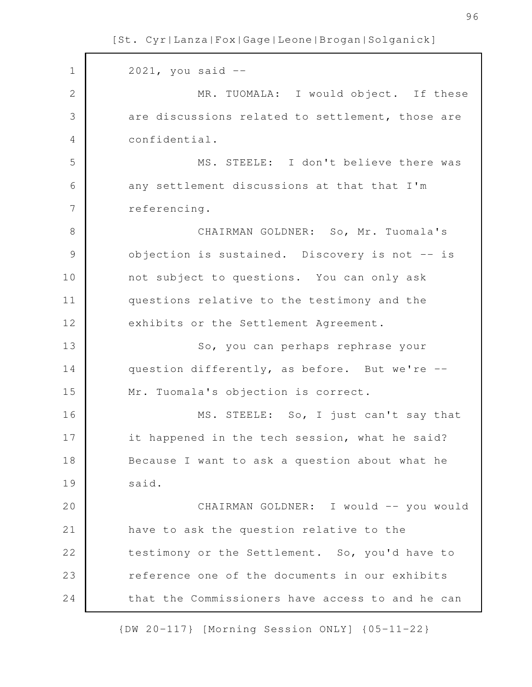2021, you said -- MR. TUOMALA: I would object. If these are discussions related to settlement, those are confidential. MS. STEELE: I don't believe there was any settlement discussions at that that I'm referencing. CHAIRMAN GOLDNER: So, Mr. Tuomala's objection is sustained. Discovery is not -- is not subject to questions. You can only ask questions relative to the testimony and the exhibits or the Settlement Agreement. So, you can perhaps rephrase your question differently, as before. But we're -- Mr. Tuomala's objection is correct. MS. STEELE: So, I just can't say that it happened in the tech session, what he said? Because I want to ask a question about what he said. CHAIRMAN GOLDNER: I would -- you would have to ask the question relative to the testimony or the Settlement. So, you'd have to reference one of the documents in our exhibits that the Commissioners have access to and he can 1 2 3 4 5 6 7 8 9 10 11 12 13 14 15 16 17 18 19 20 21 22 23 24

[St. Cyr|Lanza|Fox|Gage|Leone|Brogan|Solganick]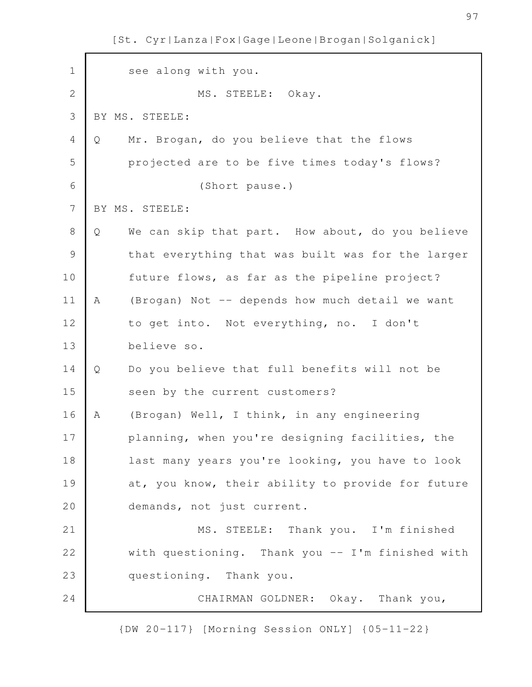see along with you. MS. STEELE: Okay. BY MS. STEELE: Q Mr. Brogan, do you believe that the flows projected are to be five times today's flows? (Short pause.) BY MS. STEELE: Q We can skip that part. How about, do you believe that everything that was built was for the larger future flows, as far as the pipeline project? A (Brogan) Not -- depends how much detail we want to get into. Not everything, no. I don't believe so. Q Do you believe that full benefits will not be seen by the current customers? A (Brogan) Well, I think, in any engineering planning, when you're designing facilities, the last many years you're looking, you have to look at, you know, their ability to provide for future demands, not just current. MS. STEELE: Thank you. I'm finished with questioning. Thank you -- I'm finished with questioning. Thank you. CHAIRMAN GOLDNER: Okay. Thank you, 1 2 3 4 5 6 7 8 9 10 11 12 13 14 15 16 17 18 19 20 21 22 23 24

[St. Cyr|Lanza|Fox|Gage|Leone|Brogan|Solganick]

{DW 20-117} [Morning Session ONLY] {05-11-22}

97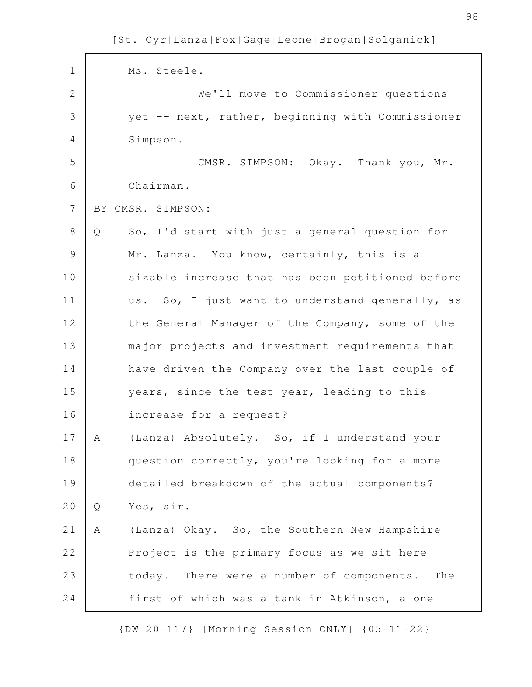| $\mathbf 1$    | Ms. Steele.                                         |
|----------------|-----------------------------------------------------|
| $\mathbf{2}$   | We'll move to Commissioner questions                |
| 3              | yet -- next, rather, beginning with Commissioner    |
| $\overline{4}$ | Simpson.                                            |
| 5              | CMSR. SIMPSON: Okay. Thank you, Mr.                 |
| 6              | Chairman.                                           |
| $\overline{7}$ | BY CMSR. SIMPSON:                                   |
| 8              | So, I'd start with just a general question for<br>Q |
| $\mathcal{G}$  | Mr. Lanza. You know, certainly, this is a           |
| 10             | sizable increase that has been petitioned before    |
| 11             | us. So, I just want to understand generally, as     |
| 12             | the General Manager of the Company, some of the     |
| 13             | major projects and investment requirements that     |
| 14             | have driven the Company over the last couple of     |
| 15             | years, since the test year, leading to this         |
| 16             | increase for a request?                             |
| 17             | (Lanza) Absolutely. So, if I understand your<br>A   |
| 18             | question correctly, you're looking for a more       |
| 19             | detailed breakdown of the actual components?        |
| 20             | Yes, sir.<br>Q                                      |
| 21             | (Lanza) Okay. So, the Southern New Hampshire<br>Α   |
| 22             | Project is the primary focus as we sit here         |
| 23             | today. There were a number of components. The       |
| 24             | first of which was a tank in Atkinson, a one        |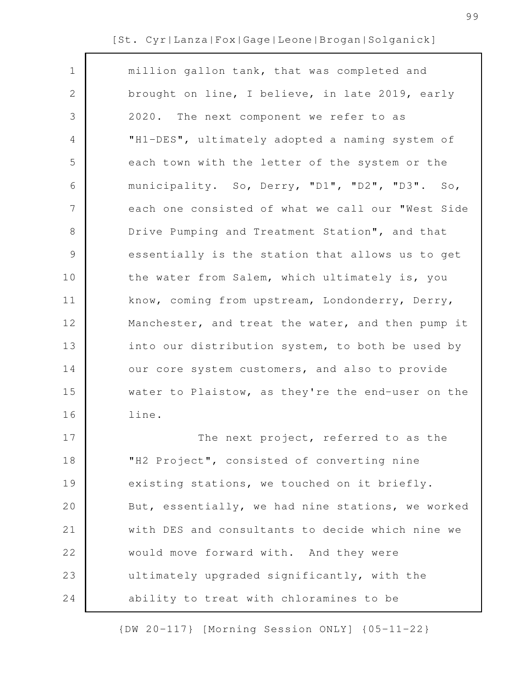| $\mathbf 1$  | million gallon tank, that was completed and       |
|--------------|---------------------------------------------------|
| $\mathbf{2}$ | brought on line, I believe, in late 2019, early   |
| 3            | 2020. The next component we refer to as           |
| 4            | "H1-DES", ultimately adopted a naming system of   |
| 5            | each town with the letter of the system or the    |
| 6            | municipality. So, Derry, "D1", "D2", "D3". So,    |
| 7            | each one consisted of what we call our "West Side |
| 8            | Drive Pumping and Treatment Station", and that    |
| $\mathsf 9$  | essentially is the station that allows us to get  |
| 10           | the water from Salem, which ultimately is, you    |
| 11           | know, coming from upstream, Londonderry, Derry,   |
| 12           | Manchester, and treat the water, and then pump it |
| 13           | into our distribution system, to both be used by  |
| 14           | our core system customers, and also to provide    |
| 15           | water to Plaistow, as they're the end-user on the |
| 16           | line.                                             |
| 17           | The next project, referred to as the              |
| 18           | "H2 Project", consisted of converting nine        |
| 19           | existing stations, we touched on it briefly.      |
| 20           | But, essentially, we had nine stations, we worked |
| 21           | with DES and consultants to decide which nine we  |
| 22           | would move forward with. And they were            |
| 23           | ultimately upgraded significantly, with the       |
| 24           | ability to treat with chloramines to be           |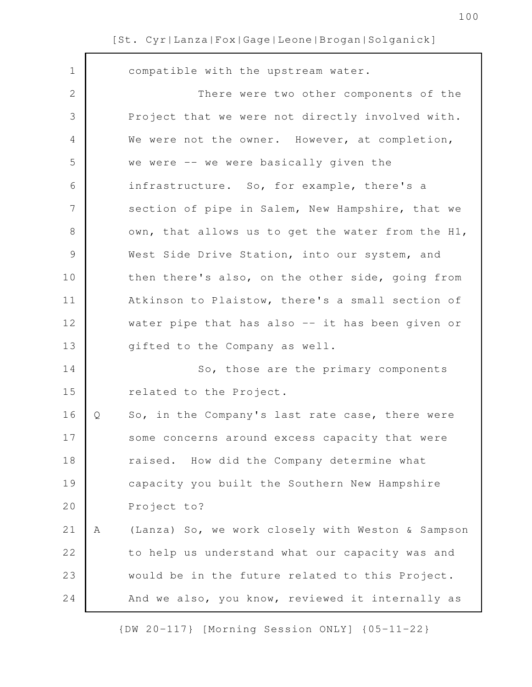| $\mathbf 1$    |   | compatible with the upstream water.               |
|----------------|---|---------------------------------------------------|
| $\mathbf{2}$   |   | There were two other components of the            |
| 3              |   | Project that we were not directly involved with.  |
| 4              |   | We were not the owner. However, at completion,    |
| 5              |   | we were -- we were basically given the            |
| 6              |   | infrastructure. So, for example, there's a        |
| $\overline{7}$ |   | section of pipe in Salem, New Hampshire, that we  |
| 8              |   | own, that allows us to get the water from the H1, |
| $\mathcal{G}$  |   | West Side Drive Station, into our system, and     |
| 10             |   | then there's also, on the other side, going from  |
| 11             |   | Atkinson to Plaistow, there's a small section of  |
| 12             |   | water pipe that has also -- it has been given or  |
| 13             |   | gifted to the Company as well.                    |
| 14             |   | So, those are the primary components              |
| 15             |   | related to the Project.                           |
| 16             | Q | So, in the Company's last rate case, there were   |
| 17             |   | some concerns around excess capacity that were    |
| 18             |   | raised. How did the Company determine what        |
| 19             |   | capacity you built the Southern New Hampshire     |
| 20             |   | Project to?                                       |
| 21             | Α | (Lanza) So, we work closely with Weston & Sampson |
| 22             |   | to help us understand what our capacity was and   |
| 23             |   | would be in the future related to this Project.   |
| 24             |   | And we also, you know, reviewed it internally as  |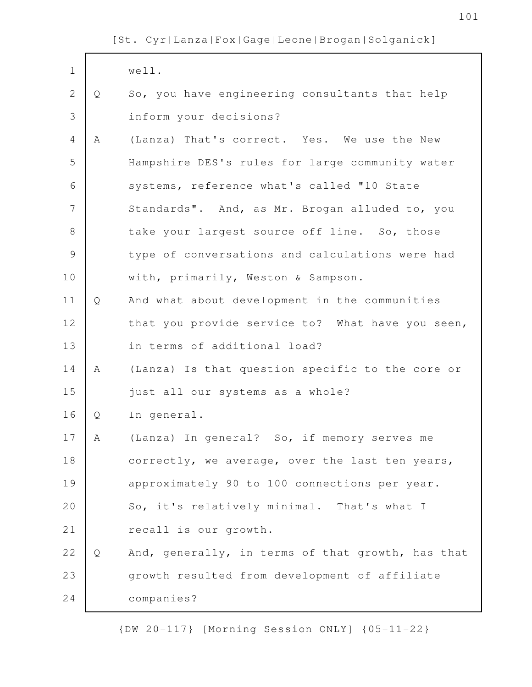| $\mathbf 1$   |             | well.                                             |
|---------------|-------------|---------------------------------------------------|
| $\mathbf{2}$  | Q           | So, you have engineering consultants that help    |
| 3             |             | inform your decisions?                            |
| 4             | $\mathbb A$ | (Lanza) That's correct. Yes. We use the New       |
| 5             |             | Hampshire DES's rules for large community water   |
| 6             |             | systems, reference what's called "10 State        |
| 7             |             | Standards". And, as Mr. Brogan alluded to, you    |
| $\,8\,$       |             | take your largest source off line. So, those      |
| $\mathcal{G}$ |             | type of conversations and calculations were had   |
| 10            |             | with, primarily, Weston & Sampson.                |
| 11            | Q           | And what about development in the communities     |
| 12            |             | that you provide service to? What have you seen,  |
| 13            |             | in terms of additional load?                      |
| 14            | Α           | (Lanza) Is that question specific to the core or  |
| 15            |             | just all our systems as a whole?                  |
| 16            | Q           | In general.                                       |
| 17            | Α           | (Lanza) In general? So, if memory serves me       |
| 18            |             | correctly, we average, over the last ten years,   |
| 19            |             | approximately 90 to 100 connections per year.     |
| 20            |             | So, it's relatively minimal. That's what I        |
| 21            |             | recall is our growth.                             |
| 22            | Q           | And, generally, in terms of that growth, has that |
| 23            |             | growth resulted from development of affiliate     |
| 24            |             | companies?                                        |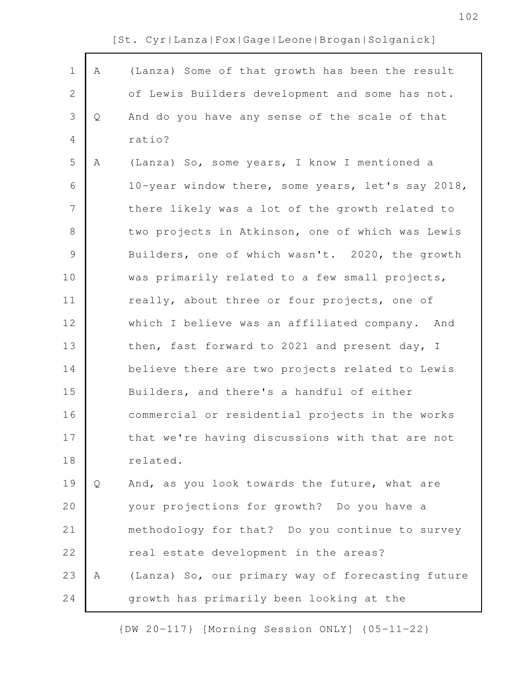|  |  |  | [St. Cyr Lanza Fox Gage Leone Brogan Solganick] |  |  |
|--|--|--|-------------------------------------------------|--|--|
|  |  |  | (Lanza) Some of that growth has been the result |  |  |

| $\mathbf 1$    | A | (Lanza) Some of that growth has been the result   |
|----------------|---|---------------------------------------------------|
| 2              |   | of Lewis Builders development and some has not.   |
| 3              | Q | And do you have any sense of the scale of that    |
| 4              |   | ratio?                                            |
| 5              | Α | (Lanza) So, some years, I know I mentioned a      |
| 6              |   | 10-year window there, some years, let's say 2018, |
| $\overline{7}$ |   | there likely was a lot of the growth related to   |
| $8\,$          |   | two projects in Atkinson, one of which was Lewis  |
| $\mathcal{G}$  |   | Builders, one of which wasn't. 2020, the growth   |
| 10             |   | was primarily related to a few small projects,    |
| 11             |   | really, about three or four projects, one of      |
| 12             |   | which I believe was an affiliated company. And    |
| 13             |   | then, fast forward to 2021 and present day, I     |
| 14             |   | believe there are two projects related to Lewis   |
| 15             |   | Builders, and there's a handful of either         |
| 16             |   | commercial or residential projects in the works   |
| 17             |   | that we're having discussions with that are not   |
| 18             |   | related.                                          |
| 19             | Q | And, as you look towards the future, what are     |
| 20             |   | your projections for growth? Do you have a        |
| 21             |   | methodology for that? Do you continue to survey   |
| 22             |   | real estate development in the areas?             |
| 23             | Α | (Lanza) So, our primary way of forecasting future |
| 24             |   | growth has primarily been looking at the          |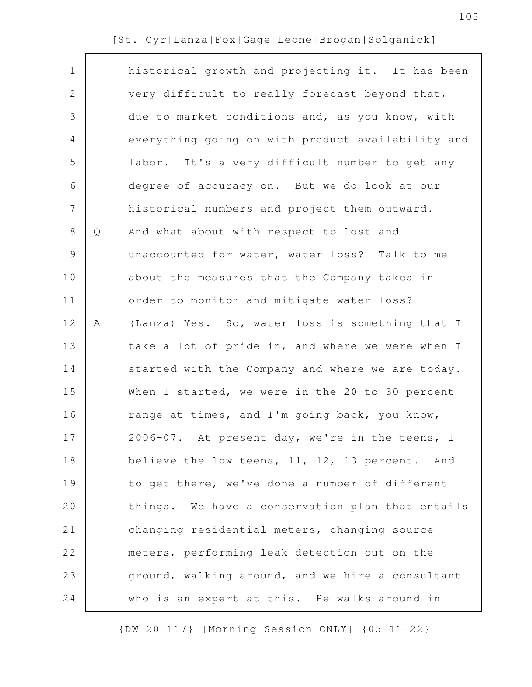| $\mathbf 1$ |   | historical growth and projecting it. It has been  |
|-------------|---|---------------------------------------------------|
| 2           |   | very difficult to really forecast beyond that,    |
| 3           |   | due to market conditions and, as you know, with   |
| 4           |   | everything going on with product availability and |
| 5           |   | labor. It's a very difficult number to get any    |
| 6           |   | degree of accuracy on. But we do look at our      |
| 7           |   | historical numbers and project them outward.      |
| 8           | Q | And what about with respect to lost and           |
| 9           |   | unaccounted for water, water loss? Talk to me     |
| 10          |   | about the measures that the Company takes in      |
| 11          |   | order to monitor and mitigate water loss?         |
| 12          | Α | (Lanza) Yes. So, water loss is something that I   |
| 13          |   | take a lot of pride in, and where we were when I  |
| 14          |   | started with the Company and where we are today.  |
| 15          |   | When I started, we were in the 20 to 30 percent   |
| 16          |   | range at times, and I'm going back, you know,     |
| 17          |   | 2006-07. At present day, we're in the teens, I    |
| 18          |   | believe the low teens, 11, 12, 13 percent. And    |
| 19          |   | to get there, we've done a number of different    |
| 20          |   | things. We have a conservation plan that entails  |
| 21          |   | changing residential meters, changing source      |
| 22          |   | meters, performing leak detection out on the      |
| 23          |   | ground, walking around, and we hire a consultant  |
| 24          |   | who is an expert at this. He walks around in      |
|             |   |                                                   |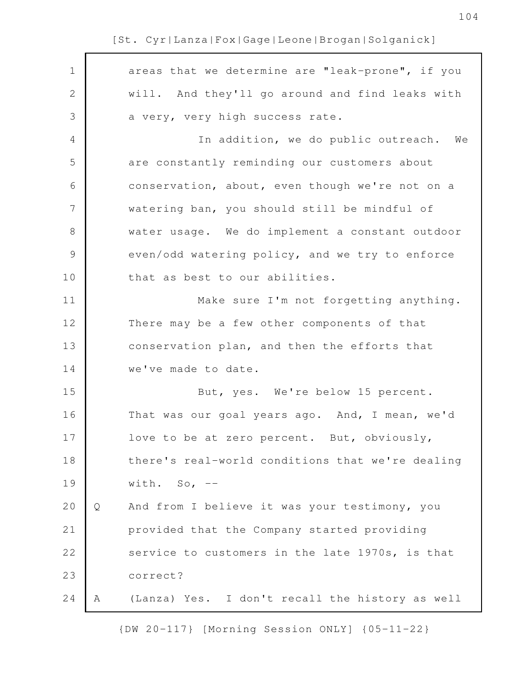| $\mathbf 1$    |   | areas that we determine are "leak-prone", if you |
|----------------|---|--------------------------------------------------|
| $\sqrt{2}$     |   | will. And they'll go around and find leaks with  |
| 3              |   | a very, very high success rate.                  |
| 4              |   | In addition, we do public outreach. We           |
| 5              |   | are constantly reminding our customers about     |
| 6              |   | conservation, about, even though we're not on a  |
| $\overline{7}$ |   | watering ban, you should still be mindful of     |
| $\,8\,$        |   | water usage. We do implement a constant outdoor  |
| $\mathsf 9$    |   | even/odd watering policy, and we try to enforce  |
| 10             |   | that as best to our abilities.                   |
| 11             |   | Make sure I'm not forgetting anything.           |
| 12             |   | There may be a few other components of that      |
| 13             |   | conservation plan, and then the efforts that     |
| 14             |   | we've made to date.                              |
| 15             |   | But, yes. We're below 15 percent.                |
| 16             |   | That was our goal years ago. And, I mean, we'd   |
| 17             |   | love to be at zero percent. But, obviously,      |
| 18             |   | there's real-world conditions that we're dealing |
| 19             |   | with. So, $--$                                   |
| 20             | Q | And from I believe it was your testimony, you    |
| 21             |   | provided that the Company started providing      |
| 22             |   | service to customers in the late 1970s, is that  |
| 23             |   | correct?                                         |
| 24             | Α | (Lanza) Yes. I don't recall the history as well  |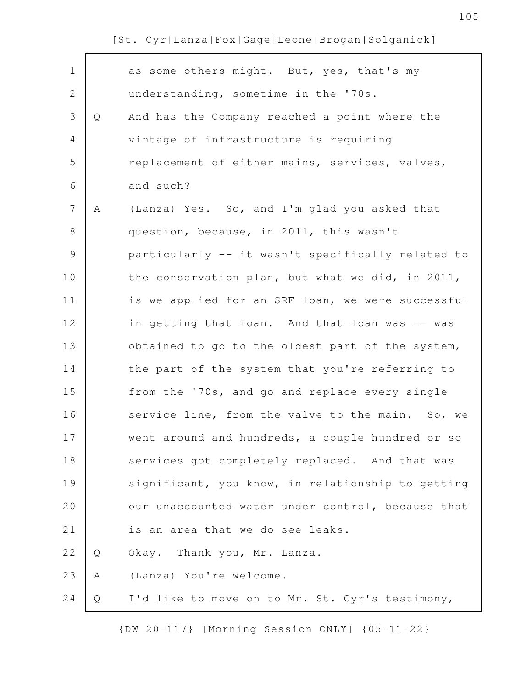| $\mathbf 1$  |   | as some others might. But, yes, that's my         |
|--------------|---|---------------------------------------------------|
| $\mathbf{2}$ |   | understanding, sometime in the '70s.              |
| 3            | Q | And has the Company reached a point where the     |
| 4            |   | vintage of infrastructure is requiring            |
| 5            |   | replacement of either mains, services, valves,    |
| 6            |   | and such?                                         |
| 7            | Α | (Lanza) Yes. So, and I'm glad you asked that      |
| 8            |   | question, because, in 2011, this wasn't           |
| $\mathsf 9$  |   | particularly -- it wasn't specifically related to |
| 10           |   | the conservation plan, but what we did, in 2011,  |
| 11           |   | is we applied for an SRF loan, we were successful |
| 12           |   | in getting that loan. And that loan was -- was    |
| 13           |   | obtained to go to the oldest part of the system,  |
| 14           |   | the part of the system that you're referring to   |
| 15           |   | from the '70s, and go and replace every single    |
| 16           |   | service line, from the valve to the main. So, we  |
| 17           |   | went around and hundreds, a couple hundred or so  |
| 18           |   | services got completely replaced. And that was    |
| 19           |   | significant, you know, in relationship to getting |
| 20           |   | our unaccounted water under control, because that |
| 21           |   | is an area that we do see leaks.                  |
| 22           | Q | Okay. Thank you, Mr. Lanza.                       |
| 23           | Α | (Lanza) You're welcome.                           |
| 24           | Q | I'd like to move on to Mr. St. Cyr's testimony,   |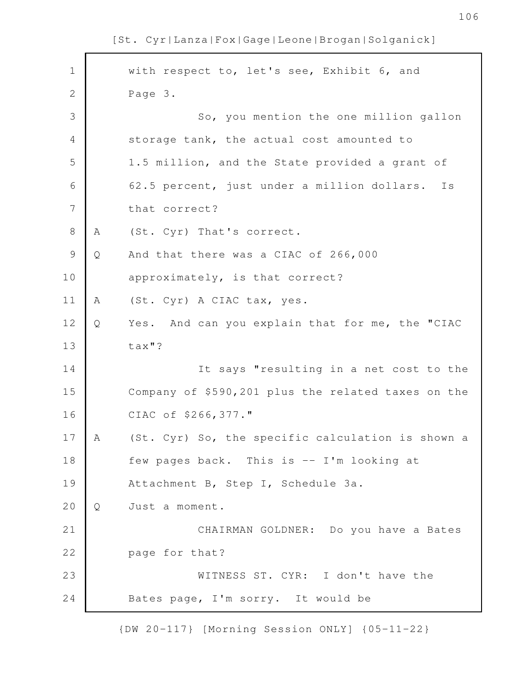with respect to, let's see, Exhibit 6, and Page 3. So, you mention the one million gallon storage tank, the actual cost amounted to 1.5 million, and the State provided a grant of 62.5 percent, just under a million dollars. Is that correct? A (St. Cyr) That's correct. Q And that there was a CIAC of 266,000 approximately, is that correct? A (St. Cyr) A CIAC tax, yes. Q Yes. And can you explain that for me, the "CIAC tax"? It says "resulting in a net cost to the Company of \$590,201 plus the related taxes on the CIAC of \$266,377." A (St. Cyr) So, the specific calculation is shown a few pages back. This is -- I'm looking at Attachment B, Step I, Schedule 3a. Q Just a moment. CHAIRMAN GOLDNER: Do you have a Bates page for that? WITNESS ST. CYR: I don't have the Bates page, I'm sorry. It would be 1 2 3 4 5 6 7 8 9 10 11 12 13 14 15 16 17 18 19 20 21 22 23 24

[St. Cyr|Lanza|Fox|Gage|Leone|Brogan|Solganick]

{DW 20-117} [Morning Session ONLY] {05-11-22}

106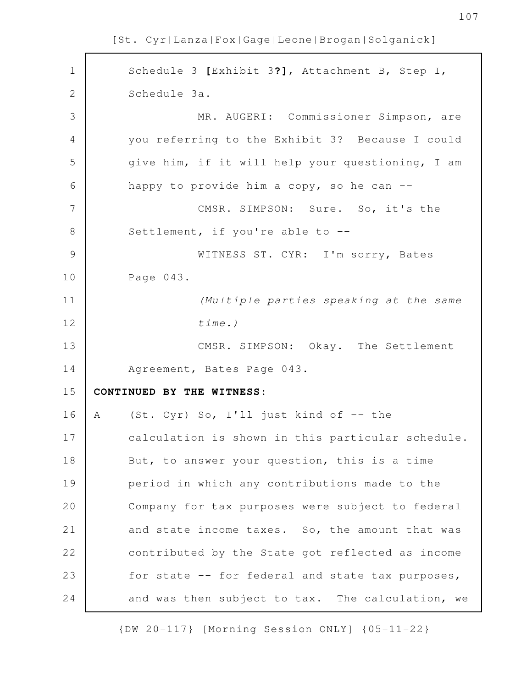Schedule 3 **[**Exhibit 3**?]**, Attachment B, Step I, Schedule 3a. MR. AUGERI: Commissioner Simpson, are you referring to the Exhibit 3? Because I could give him, if it will help your questioning, I am happy to provide him a copy, so he can  $-$ CMSR. SIMPSON: Sure. So, it's the Settlement, if you're able to -- WITNESS ST. CYR: I'm sorry, Bates Page 043. *(Multiple parties speaking at the same time.)* CMSR. SIMPSON: Okay. The Settlement Agreement, Bates Page 043. **CONTINUED BY THE WITNESS:** A (St. Cyr) So, I'll just kind of -- the calculation is shown in this particular schedule. But, to answer your question, this is a time period in which any contributions made to the Company for tax purposes were subject to federal and state income taxes. So, the amount that was contributed by the State got reflected as income for state -- for federal and state tax purposes, and was then subject to tax. The calculation, we 1 2 3 4 5 6 7 8 9 10 11 12 13 14 15 16 17 18 19 20 21 22 23 24

[St. Cyr|Lanza|Fox|Gage|Leone|Brogan|Solganick]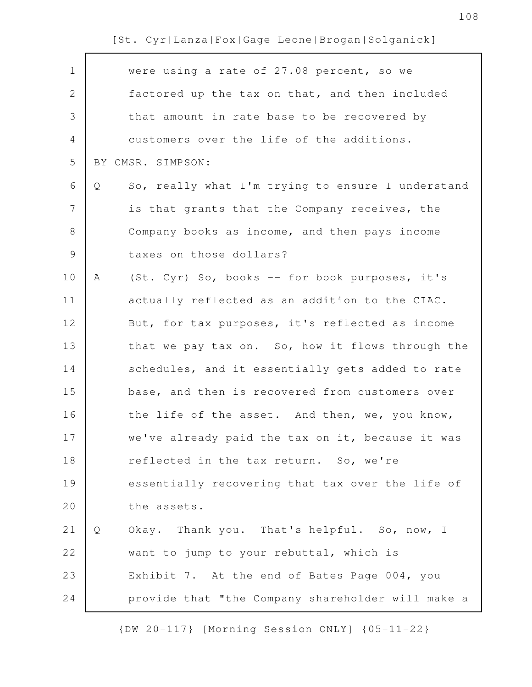| $\mathbf 1$    | were using a rate of 27.08 percent, so we              |
|----------------|--------------------------------------------------------|
| $\mathbf{2}$   | factored up the tax on that, and then included         |
| 3              | that amount in rate base to be recovered by            |
| $\overline{4}$ | customers over the life of the additions.              |
| 5              | BY CMSR. SIMPSON:                                      |
| 6              | So, really what I'm trying to ensure I understand<br>Q |
| $\overline{7}$ | is that grants that the Company receives, the          |
| $8\,$          | Company books as income, and then pays income          |
| $\mathcal{G}$  | taxes on those dollars?                                |
| 10             | (St. Cyr) So, books -- for book purposes, it's<br>Α    |
| 11             | actually reflected as an addition to the CIAC.         |
| 12             | But, for tax purposes, it's reflected as income        |
| 13             | that we pay tax on. So, how it flows through the       |
| 14             | schedules, and it essentially gets added to rate       |
| 15             | base, and then is recovered from customers over        |
| 16             | the life of the asset. And then, we, you know,         |
| 17             | we've already paid the tax on it, because it was       |
| 18             | reflected in the tax return. So, we're                 |
| 19             | essentially recovering that tax over the life of       |
| 20             | the assets.                                            |
| 21             | Okay. Thank you. That's helpful. So, now, I<br>Q       |
| 22             | want to jump to your rebuttal, which is                |
| 23             | Exhibit 7. At the end of Bates Page 004, you           |
| 24             | provide that "the Company shareholder will make a      |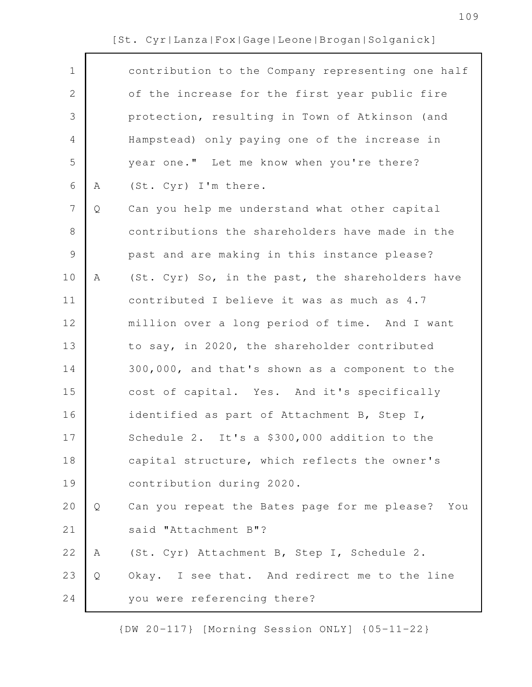| $\mathbf 1$    |   | contribution to the Company representing one half   |
|----------------|---|-----------------------------------------------------|
| $\mathbf{2}$   |   | of the increase for the first year public fire      |
| 3              |   | protection, resulting in Town of Atkinson (and      |
| 4              |   | Hampstead) only paying one of the increase in       |
| 5              |   | year one." Let me know when you're there?           |
| 6              | Α | (St. Cyr) I'm there.                                |
| $\overline{7}$ | Q | Can you help me understand what other capital       |
| 8              |   | contributions the shareholders have made in the     |
| $\mathcal{G}$  |   | past and are making in this instance please?        |
| 10             | Α | (St. Cyr) So, in the past, the shareholders have    |
| 11             |   | contributed I believe it was as much as 4.7         |
| 12             |   | million over a long period of time. And I want      |
| 13             |   | to say, in 2020, the shareholder contributed        |
| 14             |   | 300,000, and that's shown as a component to the     |
| 15             |   | cost of capital. Yes. And it's specifically         |
| 16             |   | identified as part of Attachment B, Step I,         |
| 17             |   | Schedule 2. It's a \$300,000 addition to the        |
| 18             |   | capital structure, which reflects the owner's       |
| 19             |   | contribution during 2020.                           |
| 20             | Q | Can you repeat the Bates page for me please?<br>You |
| 21             |   | said "Attachment B"?                                |
| 22             | Α | (St. Cyr) Attachment B, Step I, Schedule 2.         |
| 23             | Q | Okay. I see that. And redirect me to the line       |
| 24             |   | you were referencing there?                         |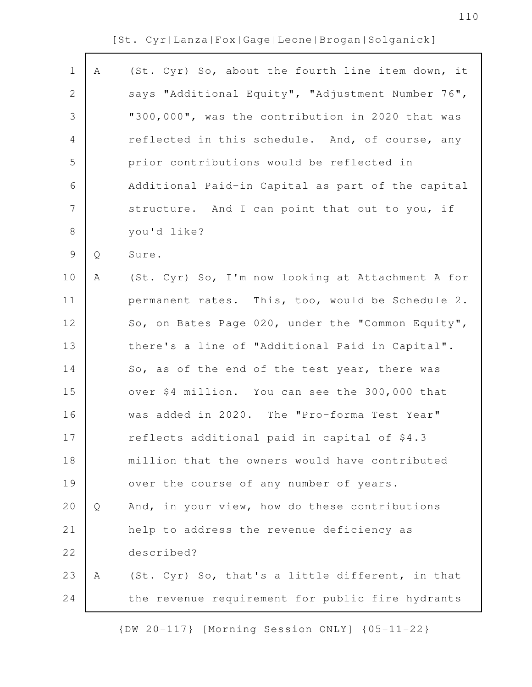| $\mathbf 1$    | Α            | (St. Cyr) So, about the fourth line item down, it |
|----------------|--------------|---------------------------------------------------|
| $\mathbf{2}$   |              | says "Additional Equity", "Adjustment Number 76", |
| $\mathfrak{Z}$ |              | "300,000", was the contribution in 2020 that was  |
| 4              |              | reflected in this schedule. And, of course, any   |
| 5              |              | prior contributions would be reflected in         |
| 6              |              | Additional Paid-in Capital as part of the capital |
| $\overline{7}$ |              | structure. And I can point that out to you, if    |
| $\,8\,$        |              | you'd like?                                       |
| $\mathcal{G}$  | $\mathsf{Q}$ | Sure.                                             |
| 10             | Α            | (St. Cyr) So, I'm now looking at Attachment A for |
| 11             |              | permanent rates. This, too, would be Schedule 2.  |
| 12             |              | So, on Bates Page 020, under the "Common Equity", |
| 13             |              | there's a line of "Additional Paid in Capital".   |
| 14             |              | So, as of the end of the test year, there was     |
| 15             |              | over \$4 million. You can see the 300,000 that    |
| 16             |              | was added in 2020. The "Pro-forma Test Year"      |
| 17             |              | reflects additional paid in capital of \$4.3      |
| 18             |              | million that the owners would have contributed    |
| 19             |              | over the course of any number of years.           |
| 20             | Q            | And, in your view, how do these contributions     |
| 21             |              | help to address the revenue deficiency as         |
| 22             |              | described?                                        |
| 23             | Α            | (St. Cyr) So, that's a little different, in that  |
| 24             |              | the revenue requirement for public fire hydrants  |
|                |              |                                                   |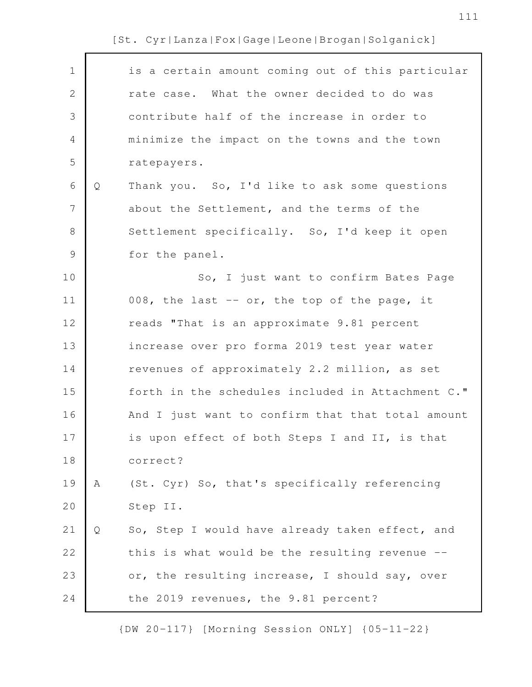| $\mathbf 1$    |   | is a certain amount coming out of this particular |
|----------------|---|---------------------------------------------------|
| $\mathbf{2}$   |   | rate case. What the owner decided to do was       |
| $\mathcal{S}$  |   | contribute half of the increase in order to       |
| 4              |   | minimize the impact on the towns and the town     |
| 5              |   | ratepayers.                                       |
| 6              | Q | Thank you. So, I'd like to ask some questions     |
| $\overline{7}$ |   | about the Settlement, and the terms of the        |
| $8\,$          |   | Settlement specifically. So, I'd keep it open     |
| $\mathsf 9$    |   | for the panel.                                    |
| 10             |   | So, I just want to confirm Bates Page             |
| 11             |   | 008, the last -- or, the top of the page, it      |
| 12             |   | reads "That is an approximate 9.81 percent        |
| 13             |   | increase over pro forma 2019 test year water      |
| 14             |   | revenues of approximately 2.2 million, as set     |
| 15             |   | forth in the schedules included in Attachment C." |
| 16             |   | And I just want to confirm that that total amount |
| 17             |   | is upon effect of both Steps I and II, is that    |
| 18             |   | correct?                                          |
| 19             | Α | (St. Cyr) So, that's specifically referencing     |
| 20             |   | Step II.                                          |
| 21             | Q | So, Step I would have already taken effect, and   |
| 22             |   | this is what would be the resulting revenue --    |
| 23             |   | or, the resulting increase, I should say, over    |
| 24             |   | the 2019 revenues, the 9.81 percent?              |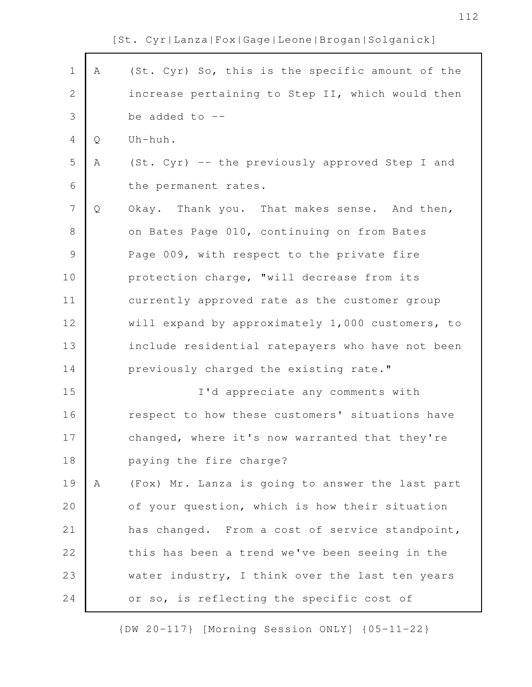112

|  |  |  |  |  |  |  | [St. Cyr Lanza Fox Gage Leone Brogan Solganick] |
|--|--|--|--|--|--|--|-------------------------------------------------|
|--|--|--|--|--|--|--|-------------------------------------------------|

| $\mathbf 1$    | A | (St. Cyr) So, this is the specific amount of the |
|----------------|---|--------------------------------------------------|
| $\overline{2}$ |   | increase pertaining to Step II, which would then |
| 3              |   | be added to $--$                                 |
| $\overline{4}$ | Q | Uh-huh.                                          |
| 5              | Α | (St. Cyr) -- the previously approved Step I and  |
| 6              |   | the permanent rates.                             |
| 7              | Q | Okay. Thank you. That makes sense. And then,     |
| 8              |   | on Bates Page 010, continuing on from Bates      |
| $\mathcal{G}$  |   | Page 009, with respect to the private fire       |
| 10             |   | protection charge, "will decrease from its       |
| 11             |   | currently approved rate as the customer group    |
| 12             |   | will expand by approximately 1,000 customers, to |
| 13             |   | include residential ratepayers who have not been |
| 14             |   | previously charged the existing rate."           |
| 15             |   | I'd appreciate any comments with                 |
| 16             |   | respect to how these customers' situations have  |
| 17             |   | changed, where it's now warranted that they're   |
| 18             |   | paying the fire charge?                          |
| 19             | Α | (Fox) Mr. Lanza is going to answer the last part |
| 20             |   | of your question, which is how their situation   |
| 21             |   | has changed. From a cost of service standpoint,  |
| 22             |   | this has been a trend we've been seeing in the   |
| 23             |   | water industry, I think over the last ten years  |
| 24             |   | or so, is reflecting the specific cost of        |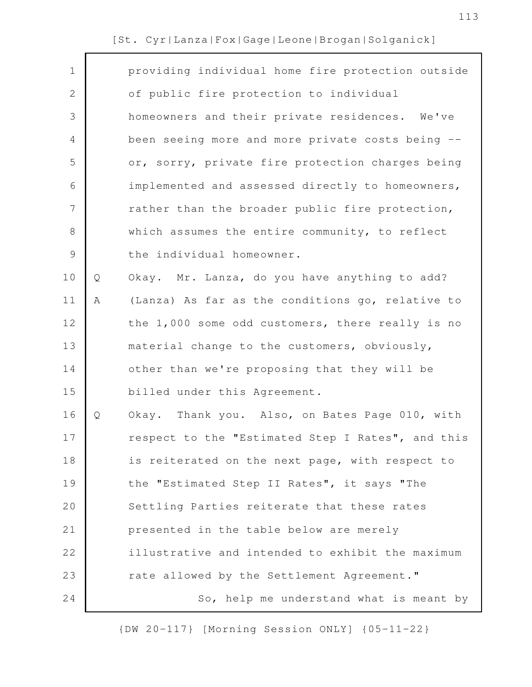$\mathsf{r}$ 

| $\mathbf 1$    |   | providing individual home fire protection outside |
|----------------|---|---------------------------------------------------|
| $\mathbf{2}$   |   | of public fire protection to individual           |
| 3              |   | homeowners and their private residences. We've    |
| 4              |   | been seeing more and more private costs being --  |
| 5              |   | or, sorry, private fire protection charges being  |
| 6              |   | implemented and assessed directly to homeowners,  |
| $\overline{7}$ |   | rather than the broader public fire protection,   |
| $8\,$          |   | which assumes the entire community, to reflect    |
| $\mathsf 9$    |   | the individual homeowner.                         |
| 10             | Q | Okay. Mr. Lanza, do you have anything to add?     |
| 11             | Α | (Lanza) As far as the conditions go, relative to  |
| 12             |   | the 1,000 some odd customers, there really is no  |
| 13             |   | material change to the customers, obviously,      |
| 14             |   | other than we're proposing that they will be      |
| 15             |   | billed under this Agreement.                      |
| 16             | Q | Okay. Thank you. Also, on Bates Page 010, with    |
| 17             |   | respect to the "Estimated Step I Rates", and this |
| 18             |   | is reiterated on the next page, with respect to   |
| 19             |   | the "Estimated Step II Rates", it says "The       |
| 20             |   | Settling Parties reiterate that these rates       |
| 21             |   | presented in the table below are merely           |
| 22             |   | illustrative and intended to exhibit the maximum  |
| 23             |   | rate allowed by the Settlement Agreement."        |
| 24             |   | So, help me understand what is meant by           |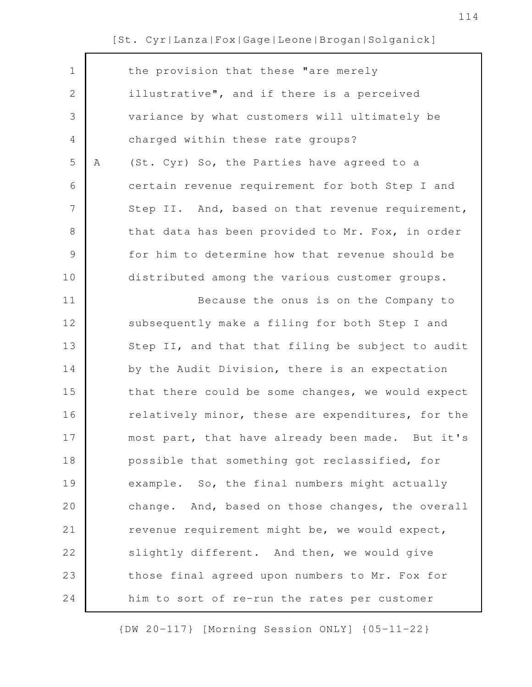| $\mathbf 1$  |   | the provision that these "are merely              |
|--------------|---|---------------------------------------------------|
| $\mathbf{2}$ |   | illustrative", and if there is a perceived        |
| 3            |   | variance by what customers will ultimately be     |
| 4            |   | charged within these rate groups?                 |
| 5            | Α | (St. Cyr) So, the Parties have agreed to a        |
| 6            |   | certain revenue requirement for both Step I and   |
| 7            |   | Step II. And, based on that revenue requirement,  |
| 8            |   | that data has been provided to Mr. Fox, in order  |
| 9            |   | for him to determine how that revenue should be   |
| 10           |   | distributed among the various customer groups.    |
| 11           |   | Because the onus is on the Company to             |
| 12           |   | subsequently make a filing for both Step I and    |
| 13           |   | Step II, and that that filing be subject to audit |
| 14           |   | by the Audit Division, there is an expectation    |
| 15           |   | that there could be some changes, we would expect |
| 16           |   | relatively minor, these are expenditures, for the |
| 17           |   | most part, that have already been made. But it's  |
| 18           |   | possible that something got reclassified, for     |
| 19           |   | example. So, the final numbers might actually     |
| 20           |   | change. And, based on those changes, the overall  |
| 21           |   | revenue requirement might be, we would expect,    |
| 22           |   | slightly different. And then, we would give       |
| 23           |   | those final agreed upon numbers to Mr. Fox for    |
| 24           |   | him to sort of re-run the rates per customer      |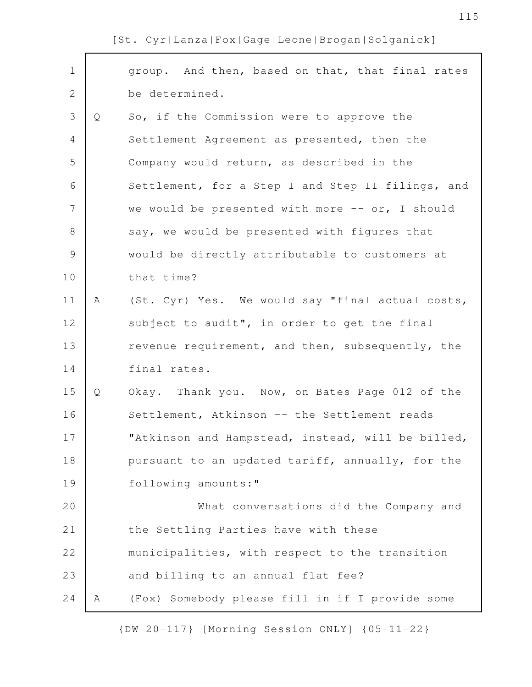group. And then, based on that, that final rates be determined. Q So, if the Commission were to approve the Settlement Agreement as presented, then the Company would return, as described in the Settlement, for a Step I and Step II filings, and we would be presented with more  $--$  or, I should say, we would be presented with figures that would be directly attributable to customers at that time? A (St. Cyr) Yes. We would say "final actual costs, subject to audit", in order to get the final revenue requirement, and then, subsequently, the final rates. Q Okay. Thank you. Now, on Bates Page 012 of the Settlement, Atkinson -- the Settlement reads "Atkinson and Hampstead, instead, will be billed, pursuant to an updated tariff, annually, for the following amounts:" What conversations did the Company and the Settling Parties have with these municipalities, with respect to the transition and billing to an annual flat fee? A (Fox) Somebody please fill in if I provide some 1 2 3 4 5 6 7 8 9 10 11 12 13 14 15 16 17 18 19 20 21 22 23 24

[St. Cyr|Lanza|Fox|Gage|Leone|Brogan|Solganick]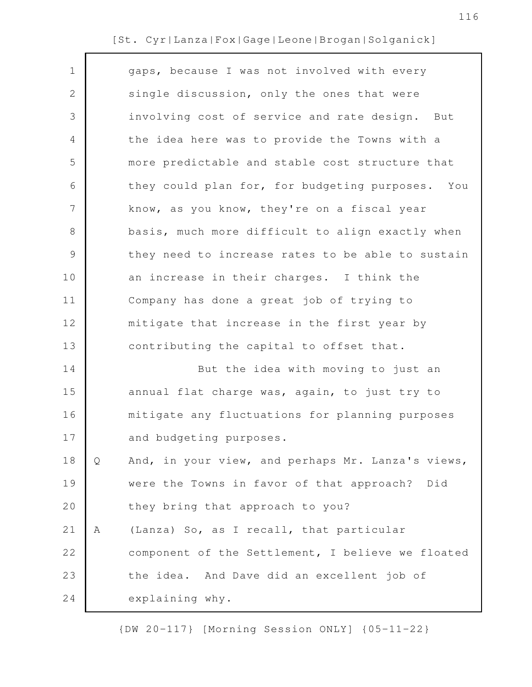| $\mathbf 1$  |   | gaps, because I was not involved with every       |
|--------------|---|---------------------------------------------------|
| $\mathbf{2}$ |   | single discussion, only the ones that were        |
| 3            |   | involving cost of service and rate design. But    |
| 4            |   | the idea here was to provide the Towns with a     |
| 5            |   | more predictable and stable cost structure that   |
| 6            |   | they could plan for, for budgeting purposes. You  |
| 7            |   | know, as you know, they're on a fiscal year       |
| $8\,$        |   | basis, much more difficult to align exactly when  |
| 9            |   | they need to increase rates to be able to sustain |
| 10           |   | an increase in their charges. I think the         |
| 11           |   | Company has done a great job of trying to         |
| 12           |   | mitigate that increase in the first year by       |
| 13           |   | contributing the capital to offset that.          |
| 14           |   | But the idea with moving to just an               |
| 15           |   | annual flat charge was, again, to just try to     |
| 16           |   | mitigate any fluctuations for planning purposes   |
| 17           |   | and budgeting purposes.                           |
| 18           | Q | And, in your view, and perhaps Mr. Lanza's views, |
| 19           |   | were the Towns in favor of that approach? Did     |
| 20           |   | they bring that approach to you?                  |
| 21           | Α | (Lanza) So, as I recall, that particular          |
| 22           |   | component of the Settlement, I believe we floated |
| 23           |   | the idea. And Dave did an excellent job of        |
| 24           |   | explaining why.                                   |
|              |   |                                                   |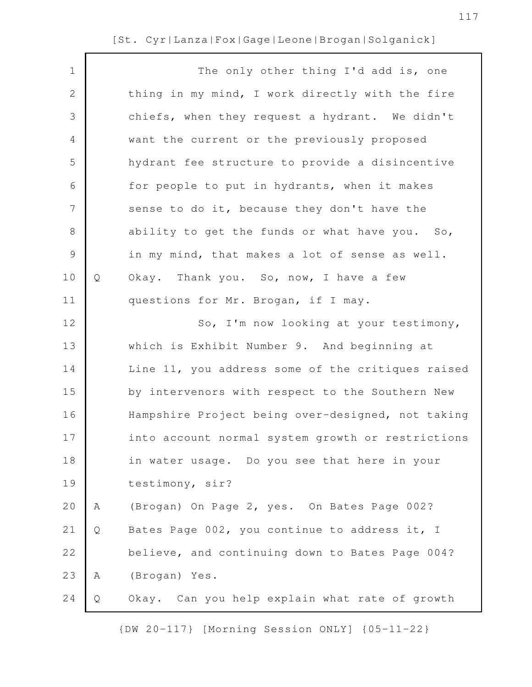| $\mathbf 1$    |   | The only other thing I'd add is, one              |
|----------------|---|---------------------------------------------------|
| $\mathbf 2$    |   | thing in my mind, I work directly with the fire   |
| 3              |   | chiefs, when they request a hydrant. We didn't    |
| 4              |   | want the current or the previously proposed       |
| 5              |   | hydrant fee structure to provide a disincentive   |
| 6              |   | for people to put in hydrants, when it makes      |
| $\overline{7}$ |   | sense to do it, because they don't have the       |
| $\,8\,$        |   | ability to get the funds or what have you. So,    |
| $\mathcal{G}$  |   | in my mind, that makes a lot of sense as well.    |
| 10             | Q | Okay. Thank you. So, now, I have a few            |
| 11             |   | questions for Mr. Brogan, if I may.               |
| 12             |   | So, I'm now looking at your testimony,            |
| 13             |   | which is Exhibit Number 9. And beginning at       |
| 14             |   | Line 11, you address some of the critiques raised |
| 15             |   | by intervenors with respect to the Southern New   |
| 16             |   | Hampshire Project being over-designed, not taking |
| 17             |   | into account normal system growth or restrictions |
| 18             |   | in water usage. Do you see that here in your      |
| 19             |   | testimony, sir?                                   |
| 20             | Α | (Brogan) On Page 2, yes. On Bates Page 002?       |
| 21             | Q | Bates Page 002, you continue to address it, I     |
| 22             |   | believe, and continuing down to Bates Page 004?   |
| 23             | Α | (Brogan) Yes.                                     |
| 24             | Q | Okay. Can you help explain what rate of growth    |
|                |   |                                                   |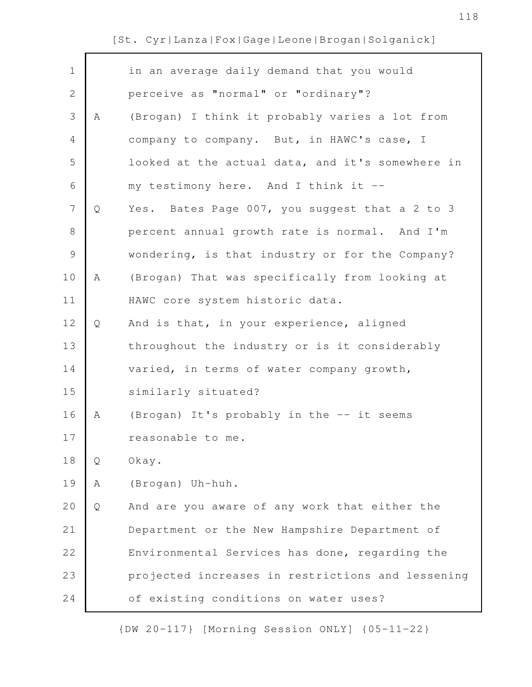$\mathsf{r}$ 

| $\mathbf 1$    |   | in an average daily demand that you would         |
|----------------|---|---------------------------------------------------|
| $\mathbf{2}$   |   | perceive as "normal" or "ordinary"?               |
| 3              | A | (Brogan) I think it probably varies a lot from    |
| $\overline{4}$ |   | company to company. But, in HAWC's case, I        |
| 5              |   | looked at the actual data, and it's somewhere in  |
| 6              |   | my testimony here. And I think it --              |
| 7              | Q | Yes. Bates Page 007, you suggest that a 2 to 3    |
| 8              |   | percent annual growth rate is normal. And I'm     |
| $\mathcal{G}$  |   | wondering, is that industry or for the Company?   |
| 10             | Α | (Brogan) That was specifically from looking at    |
| 11             |   | HAWC core system historic data.                   |
| 12             | Q | And is that, in your experience, aligned          |
| 13             |   | throughout the industry or is it considerably     |
| 14             |   | varied, in terms of water company growth,         |
| 15             |   | similarly situated?                               |
| 16             | Α | (Brogan) It's probably in the -- it seems         |
| 17             |   | reasonable to me.                                 |
| 18             | Q | Okay.                                             |
| 19             | Α | (Brogan) Uh-huh.                                  |
| 20             | Q | And are you aware of any work that either the     |
| 21             |   | Department or the New Hampshire Department of     |
| 22             |   | Environmental Services has done, regarding the    |
| 23             |   | projected increases in restrictions and lessening |
| 24             |   | of existing conditions on water uses?             |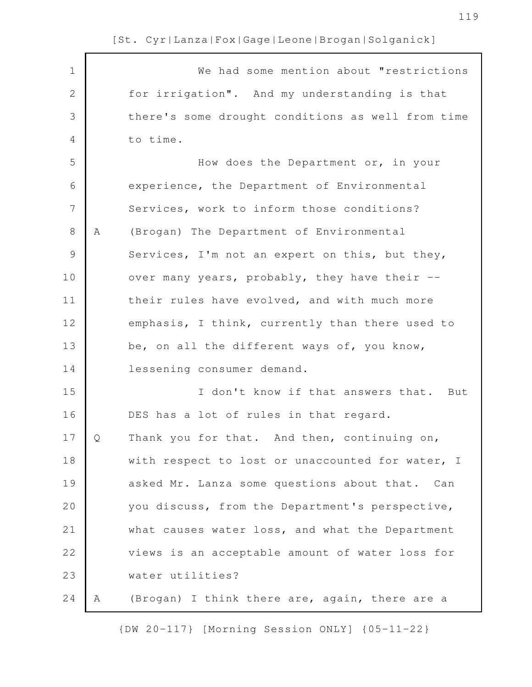| $\mathbf 1$   |   | We had some mention about "restrictions           |
|---------------|---|---------------------------------------------------|
| $\mathbf{2}$  |   | for irrigation". And my understanding is that     |
| 3             |   | there's some drought conditions as well from time |
| 4             |   | to time.                                          |
| 5             |   | How does the Department or, in your               |
| 6             |   | experience, the Department of Environmental       |
| 7             |   | Services, work to inform those conditions?        |
| $\,8\,$       | A | (Brogan) The Department of Environmental          |
| $\mathcal{G}$ |   | Services, I'm not an expert on this, but they,    |
| 10            |   | over many years, probably, they have their --     |
| 11            |   | their rules have evolved, and with much more      |
| 12            |   | emphasis, I think, currently than there used to   |
| 13            |   | be, on all the different ways of, you know,       |
| 14            |   | lessening consumer demand.                        |
| 15            |   | I don't know if that answers that.<br>But         |
| 16            |   | DES has a lot of rules in that regard.            |
| 17            | Ő | Thank you for that. And then, continuing on,      |
| 18            |   | with respect to lost or unaccounted for water, I  |
| 19            |   | asked Mr. Lanza some questions about that. Can    |
| 20            |   | you discuss, from the Department's perspective,   |
| 21            |   | what causes water loss, and what the Department   |
| 22            |   | views is an acceptable amount of water loss for   |
| 23            |   | water utilities?                                  |
| 24            | A | (Brogan) I think there are, again, there are a    |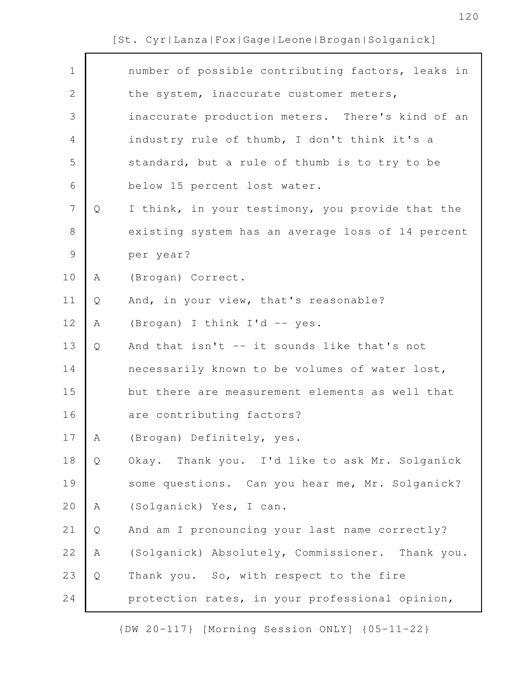| $\mathbf 1$    |   | number of possible contributing factors, leaks in |
|----------------|---|---------------------------------------------------|
| $\mathbf{2}$   |   | the system, inaccurate customer meters,           |
| 3              |   | inaccurate production meters. There's kind of an  |
| 4              |   | industry rule of thumb, I don't think it's a      |
| 5              |   | standard, but a rule of thumb is to try to be     |
| 6              |   | below 15 percent lost water.                      |
| $\overline{7}$ | Q | I think, in your testimony, you provide that the  |
| 8              |   | existing system has an average loss of 14 percent |
| $\mathcal{G}$  |   | per year?                                         |
| 10             | A | (Brogan) Correct.                                 |
| 11             | Q | And, in your view, that's reasonable?             |
| 12             | Α | (Brogan) I think I'd -- yes.                      |
| 13             | Q | And that isn't -- it sounds like that's not       |
| 14             |   | necessarily known to be volumes of water lost,    |
| 15             |   | but there are measurement elements as well that   |
| 16             |   | are contributing factors?                         |
| 17             | Α | (Brogan) Definitely, yes.                         |
| 18             | Q | Okay. Thank you. I'd like to ask Mr. Solganick    |
| 19             |   | some questions. Can you hear me, Mr. Solganick?   |
| 20             | Α | (Solganick) Yes, I can.                           |
| 21             | Q | And am I pronouncing your last name correctly?    |
| 22             | Α | (Solganick) Absolutely, Commissioner. Thank you.  |
| 23             | Q | Thank you. So, with respect to the fire           |
| 24             |   | protection rates, in your professional opinion,   |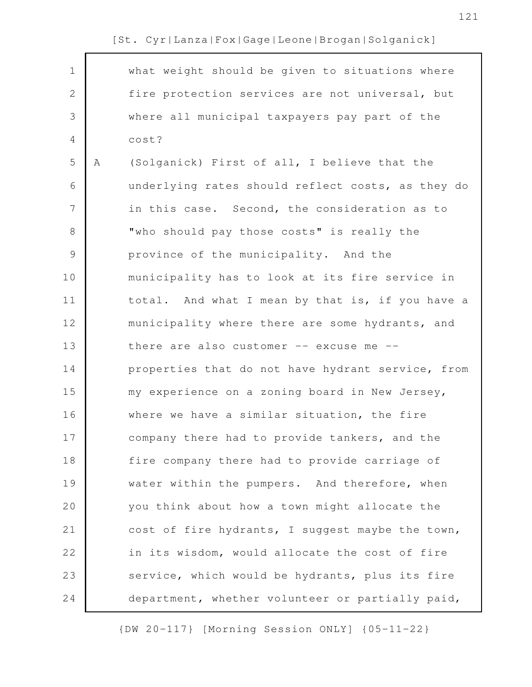| $\mathbf 1$ |   | what weight should be given to situations where   |
|-------------|---|---------------------------------------------------|
| 2           |   | fire protection services are not universal, but   |
| 3           |   | where all municipal taxpayers pay part of the     |
| 4           |   | cost?                                             |
| 5           | Α | (Solganick) First of all, I believe that the      |
| 6           |   | underlying rates should reflect costs, as they do |
| 7           |   | in this case. Second, the consideration as to     |
| 8           |   | "who should pay those costs" is really the        |
| $\mathsf 9$ |   | province of the municipality. And the             |
| 10          |   | municipality has to look at its fire service in   |
| 11          |   | total. And what I mean by that is, if you have a  |
| 12          |   | municipality where there are some hydrants, and   |
| 13          |   | there are also customer $--$ excuse me $--$       |
| 14          |   | properties that do not have hydrant service, from |
| 15          |   | my experience on a zoning board in New Jersey,    |
| 16          |   | where we have a similar situation, the fire       |
| 17          |   | company there had to provide tankers, and the     |
| 18          |   | fire company there had to provide carriage of     |
| 19          |   | water within the pumpers. And therefore, when     |
| 20          |   | you think about how a town might allocate the     |
| 21          |   | cost of fire hydrants, I suggest maybe the town,  |
| 22          |   | in its wisdom, would allocate the cost of fire    |
| 23          |   | service, which would be hydrants, plus its fire   |
| 24          |   | department, whether volunteer or partially paid,  |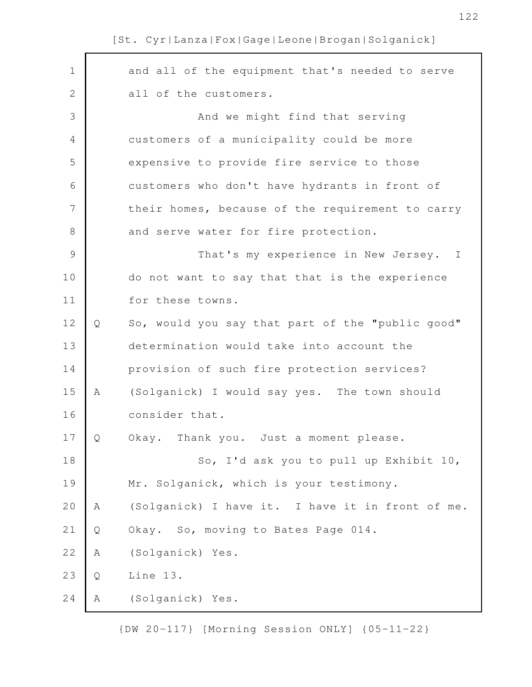and all of the equipment that's needed to serve all of the customers. And we might find that serving customers of a municipality could be more expensive to provide fire service to those customers who don't have hydrants in front of their homes, because of the requirement to carry and serve water for fire protection. That's my experience in New Jersey. I do not want to say that that is the experience for these towns. Q So, would you say that part of the "public good" determination would take into account the provision of such fire protection services? A (Solganick) I would say yes. The town should consider that. Q Okay. Thank you. Just a moment please. So, I'd ask you to pull up Exhibit 10, Mr. Solganick, which is your testimony. A (Solganick) I have it. I have it in front of me. Q Okay. So, moving to Bates Page 014. A (Solganick) Yes. Q Line 13. A (Solganick) Yes. 1 2 3 4 5 6 7 8 9 10 11 12 13 14 15 16 17 18 19 20 21 22 23 24

[St. Cyr|Lanza|Fox|Gage|Leone|Brogan|Solganick]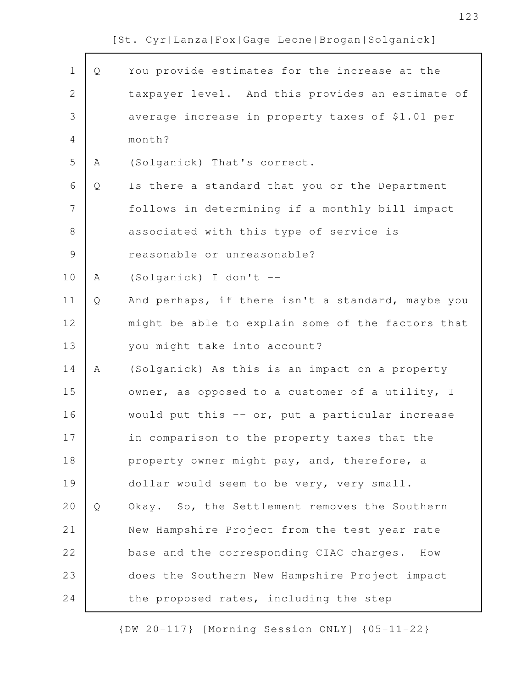| $\mathbf 1$    | Q | You provide estimates for the increase at the     |
|----------------|---|---------------------------------------------------|
| $\mathbf{2}$   |   | taxpayer level. And this provides an estimate of  |
| 3              |   | average increase in property taxes of \$1.01 per  |
| $\overline{4}$ |   | month?                                            |
| 5              | Α | (Solganick) That's correct.                       |
| 6              | Q | Is there a standard that you or the Department    |
| $\overline{7}$ |   | follows in determining if a monthly bill impact   |
| $8\,$          |   | associated with this type of service is           |
| $\mathcal{G}$  |   | reasonable or unreasonable?                       |
| 10             | Α | (Solganick) I don't --                            |
| 11             | Q | And perhaps, if there isn't a standard, maybe you |
| 12             |   | might be able to explain some of the factors that |
| 13             |   | you might take into account?                      |
| 14             | Α | (Solganick) As this is an impact on a property    |
| 15             |   | owner, as opposed to a customer of a utility, I   |
| 16             |   | would put this -- or, put a particular increase   |
| 17             |   | in comparison to the property taxes that the      |
| 18             |   | property owner might pay, and, therefore, a       |
| 19             |   | dollar would seem to be very, very small.         |
| 20             | Q | Okay. So, the Settlement removes the Southern     |
| 21             |   | New Hampshire Project from the test year rate     |
| 22             |   | base and the corresponding CIAC charges.<br>How   |
| 23             |   | does the Southern New Hampshire Project impact    |
| 24             |   | the proposed rates, including the step            |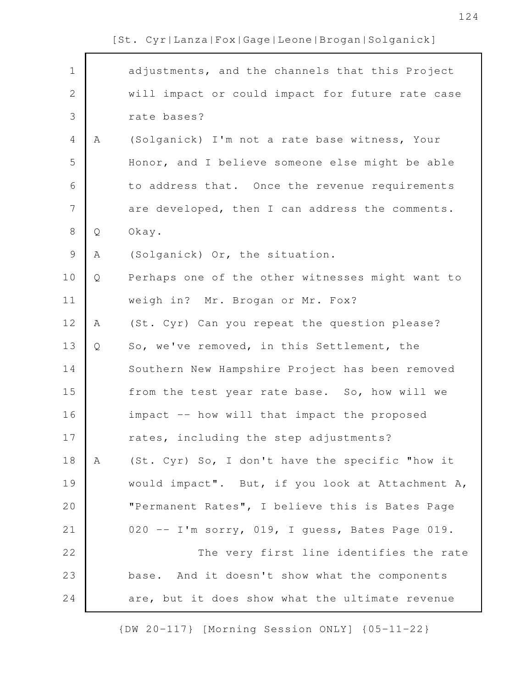| [St. Cyr Lanza Fox Gage Leone Brogan Solganick] |
|-------------------------------------------------|
|                                                 |

| $\mathbf 1$    |   | adjustments, and the channels that this Project  |
|----------------|---|--------------------------------------------------|
| $\mathbf{2}$   |   | will impact or could impact for future rate case |
|                |   |                                                  |
| 3              |   | rate bases?                                      |
| $\overline{4}$ | A | (Solganick) I'm not a rate base witness, Your    |
| 5              |   | Honor, and I believe someone else might be able  |
| 6              |   | to address that. Once the revenue requirements   |
| 7              |   | are developed, then I can address the comments.  |
| $8\,$          | Q | Okay.                                            |
| $\mathsf 9$    | Α | (Solganick) Or, the situation.                   |
| 10             | Q | Perhaps one of the other witnesses might want to |
| 11             |   | weigh in? Mr. Brogan or Mr. Fox?                 |
| 12             | Α | (St. Cyr) Can you repeat the question please?    |
| 13             | Q | So, we've removed, in this Settlement, the       |
| 14             |   | Southern New Hampshire Project has been removed  |
| 15             |   | from the test year rate base. So, how will we    |
| 16             |   | impact -- how will that impact the proposed      |
| 17             |   | rates, including the step adjustments?           |
| 18             | A | (St. Cyr) So, I don't have the specific "how it  |
| 19             |   | would impact". But, if you look at Attachment A, |
| 20             |   | "Permanent Rates", I believe this is Bates Page  |
| 21             |   | 020 -- I'm sorry, 019, I guess, Bates Page 019.  |
| 22             |   | The very first line identifies the rate          |
| 23             |   | base. And it doesn't show what the components    |
| 24             |   | are, but it does show what the ultimate revenue  |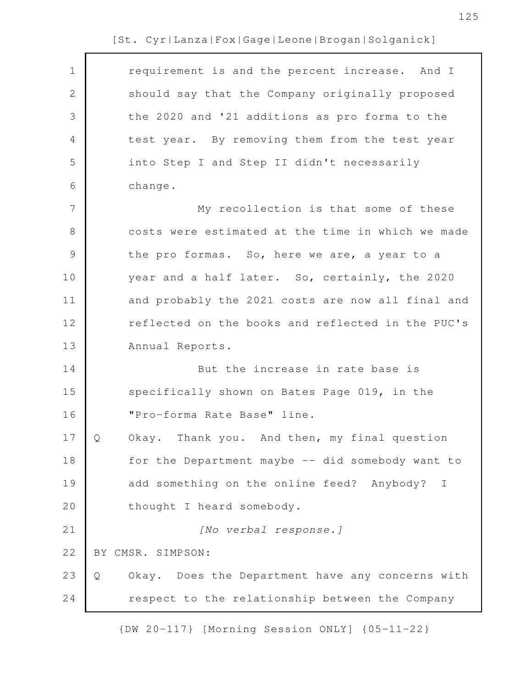| $\mathbf 1$ | requirement is and the percent increase. And I        |
|-------------|-------------------------------------------------------|
| 2           | should say that the Company originally proposed       |
| 3           | the 2020 and '21 additions as pro forma to the        |
| 4           | test year. By removing them from the test year        |
| 5           | into Step I and Step II didn't necessarily            |
| 6           | change.                                               |
| 7           | My recollection is that some of these                 |
| 8           | costs were estimated at the time in which we made     |
| 9           | the pro formas. So, here we are, a year to a          |
| 10          | year and a half later. So, certainly, the 2020        |
| 11          | and probably the 2021 costs are now all final and     |
| 12          | reflected on the books and reflected in the PUC's     |
| 13          | Annual Reports.                                       |
| 14          | But the increase in rate base is                      |
| 15          | specifically shown on Bates Page 019, in the          |
| 16          | "Pro-forma Rate Base" line.                           |
| 17          | Okay. Thank you. And then, my final question<br>Ő     |
| 18          | for the Department maybe -- did somebody want to      |
| 19          | add something on the online feed? Anybody? I          |
| 20          | thought I heard somebody.                             |
| 21          | [No verbal response.]                                 |
| 22          | BY CMSR. SIMPSON:                                     |
| 23          | Okay. Does the Department have any concerns with<br>Q |
| 24          | respect to the relationship between the Company       |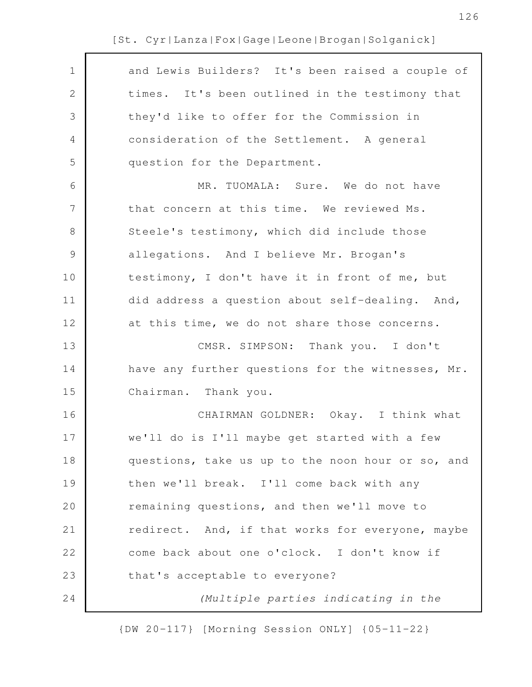| $\mathbf 1$    | and Lewis Builders? It's been raised a couple of  |
|----------------|---------------------------------------------------|
| $\mathbf{2}$   | times. It's been outlined in the testimony that   |
| 3              | they'd like to offer for the Commission in        |
| $\overline{4}$ | consideration of the Settlement. A general        |
| 5              | question for the Department.                      |
| 6              | MR. TUOMALA: Sure. We do not have                 |
| $\overline{7}$ | that concern at this time. We reviewed Ms.        |
| $\,8\,$        | Steele's testimony, which did include those       |
| $\mathsf 9$    | allegations. And I believe Mr. Brogan's           |
| 10             | testimony, I don't have it in front of me, but    |
| 11             | did address a question about self-dealing. And,   |
| 12             | at this time, we do not share those concerns.     |
| 13             | CMSR. SIMPSON: Thank you. I don't                 |
| 14             | have any further questions for the witnesses, Mr. |
| 15             | Chairman. Thank you.                              |
| 16             | CHAIRMAN GOLDNER: Okay. I think what              |
| 17             | we'll do is I'll maybe get started with a few     |
| 18             | questions, take us up to the noon hour or so, and |
| 19             | then we'll break. I'll come back with any         |
| 20             | remaining questions, and then we'll move to       |
| 21             | redirect. And, if that works for everyone, maybe  |
| 22             | come back about one o'clock. I don't know if      |
| 23             | that's acceptable to everyone?                    |
| 24             | (Multiple parties indicating in the               |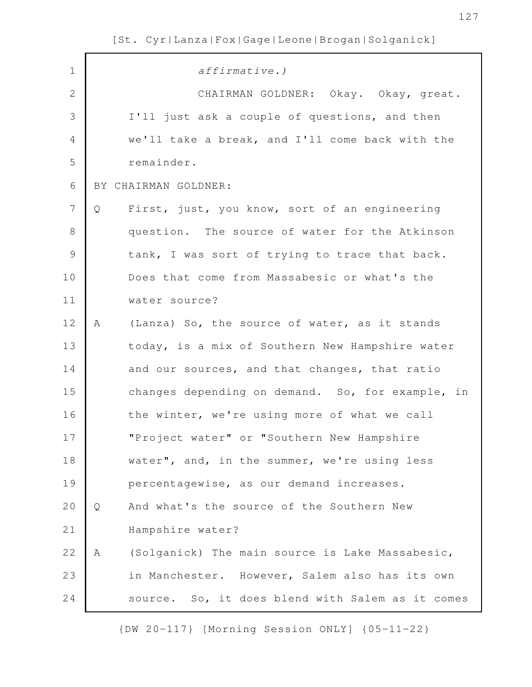| $\mathbf 1$    |   | affirmative.)                                    |
|----------------|---|--------------------------------------------------|
| $\mathbf{2}$   |   | CHAIRMAN GOLDNER: Okay. Okay, great.             |
| 3              |   | I'll just ask a couple of questions, and then    |
| 4              |   | we'll take a break, and I'll come back with the  |
| 5              |   | remainder.                                       |
| 6              |   | BY CHAIRMAN GOLDNER:                             |
| $\overline{7}$ | Q | First, just, you know, sort of an engineering    |
| $8\,$          |   | question. The source of water for the Atkinson   |
| $\mathsf 9$    |   | tank, I was sort of trying to trace that back.   |
| 10             |   | Does that come from Massabesic or what's the     |
| 11             |   | water source?                                    |
| 12             | Α | (Lanza) So, the source of water, as it stands    |
| 13             |   | today, is a mix of Southern New Hampshire water  |
| 14             |   | and our sources, and that changes, that ratio    |
| 15             |   | changes depending on demand. So, for example, in |
| 16             |   | the winter, we're using more of what we call     |
| 17             |   | "Project water" or "Southern New Hampshire       |
| 18             |   | water", and, in the summer, we're using less     |
| 19             |   | percentagewise, as our demand increases.         |
| 20             | Q | And what's the source of the Southern New        |
| 21             |   | Hampshire water?                                 |
| 22             | Α | (Solganick) The main source is Lake Massabesic,  |
| 23             |   | in Manchester. However, Salem also has its own   |
| 24             |   | source. So, it does blend with Salem as it comes |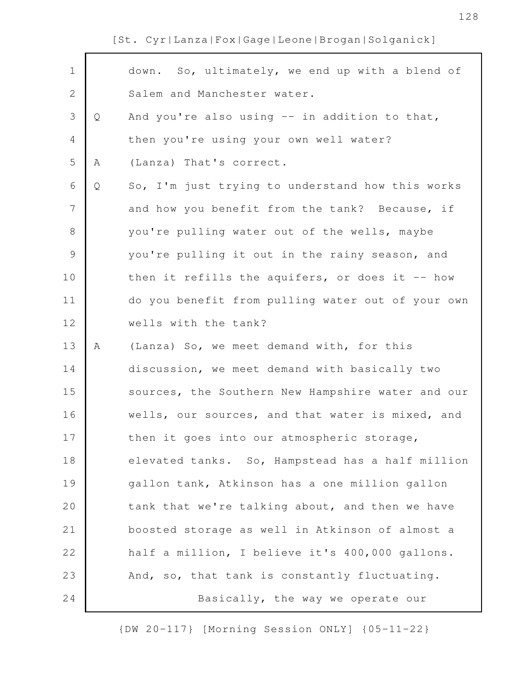$\Gamma$ 

| $\mathbf 1$   |   | down. So, ultimately, we end up with a blend of   |
|---------------|---|---------------------------------------------------|
| $\mathbf{2}$  |   | Salem and Manchester water.                       |
| 3             | Q | And you're also using -- in addition to that,     |
| 4             |   | then you're using your own well water?            |
| 5             | Α | (Lanza) That's correct.                           |
| 6             | Q | So, I'm just trying to understand how this works  |
| 7             |   | and how you benefit from the tank? Because, if    |
| $8\,$         |   | you're pulling water out of the wells, maybe      |
| $\mathcal{G}$ |   | you're pulling it out in the rainy season, and    |
| 10            |   | then it refills the aquifers, or does it $-$ how  |
| 11            |   | do you benefit from pulling water out of your own |
| 12            |   | wells with the tank?                              |
| 13            | Α | (Lanza) So, we meet demand with, for this         |
| 14            |   | discussion, we meet demand with basically two     |
| 15            |   | sources, the Southern New Hampshire water and our |
| 16            |   | wells, our sources, and that water is mixed, and  |
| 17            |   | then it goes into our atmospheric storage,        |
| 18            |   | elevated tanks. So, Hampstead has a half million  |
| 19            |   | gallon tank, Atkinson has a one million gallon    |
| 20            |   | tank that we're talking about, and then we have   |
| 21            |   | boosted storage as well in Atkinson of almost a   |
| 22            |   | half a million, I believe it's 400,000 gallons.   |
| 23            |   | And, so, that tank is constantly fluctuating.     |
|               |   |                                                   |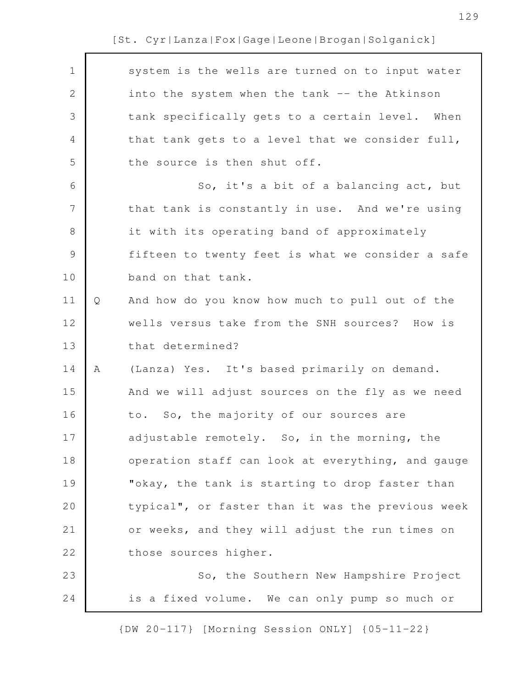| $\mathbf 1$<br>system is the wells are turned on to input water<br>$\mathbf{2}$<br>into the system when the tank -- the Atkinson<br>$\mathfrak{Z}$<br>tank specifically gets to a certain level. When<br>4<br>that tank gets to a level that we consider full,<br>5<br>the source is then shut off.<br>6<br>So, it's a bit of a balancing act, but<br>$\overline{7}$<br>that tank is constantly in use. And we're using<br>$\,8\,$<br>it with its operating band of approximately<br>$\mathcal{G}$<br>fifteen to twenty feet is what we consider a safe<br>10<br>band on that tank.<br>11<br>And how do you know how much to pull out of the<br>Q<br>12<br>wells versus take from the SNH sources? How is<br>that determined?<br>13<br>14<br>(Lanza) Yes. It's based primarily on demand.<br>Α<br>15<br>And we will adjust sources on the fly as we need<br>16<br>to. So, the majority of our sources are<br>17<br>adjustable remotely. So, in the morning, the<br>18<br>operation staff can look at everything, and gauge<br>19<br>"okay, the tank is starting to drop faster than<br>20<br>typical", or faster than it was the previous week<br>or weeks, and they will adjust the run times on<br>21<br>22<br>those sources higher.<br>23<br>So, the Southern New Hampshire Project<br>24<br>is a fixed volume. We can only pump so much or |  |  |
|------------------------------------------------------------------------------------------------------------------------------------------------------------------------------------------------------------------------------------------------------------------------------------------------------------------------------------------------------------------------------------------------------------------------------------------------------------------------------------------------------------------------------------------------------------------------------------------------------------------------------------------------------------------------------------------------------------------------------------------------------------------------------------------------------------------------------------------------------------------------------------------------------------------------------------------------------------------------------------------------------------------------------------------------------------------------------------------------------------------------------------------------------------------------------------------------------------------------------------------------------------------------------------------------------------------------------------------------|--|--|
|                                                                                                                                                                                                                                                                                                                                                                                                                                                                                                                                                                                                                                                                                                                                                                                                                                                                                                                                                                                                                                                                                                                                                                                                                                                                                                                                                |  |  |
|                                                                                                                                                                                                                                                                                                                                                                                                                                                                                                                                                                                                                                                                                                                                                                                                                                                                                                                                                                                                                                                                                                                                                                                                                                                                                                                                                |  |  |
|                                                                                                                                                                                                                                                                                                                                                                                                                                                                                                                                                                                                                                                                                                                                                                                                                                                                                                                                                                                                                                                                                                                                                                                                                                                                                                                                                |  |  |
|                                                                                                                                                                                                                                                                                                                                                                                                                                                                                                                                                                                                                                                                                                                                                                                                                                                                                                                                                                                                                                                                                                                                                                                                                                                                                                                                                |  |  |
|                                                                                                                                                                                                                                                                                                                                                                                                                                                                                                                                                                                                                                                                                                                                                                                                                                                                                                                                                                                                                                                                                                                                                                                                                                                                                                                                                |  |  |
|                                                                                                                                                                                                                                                                                                                                                                                                                                                                                                                                                                                                                                                                                                                                                                                                                                                                                                                                                                                                                                                                                                                                                                                                                                                                                                                                                |  |  |
|                                                                                                                                                                                                                                                                                                                                                                                                                                                                                                                                                                                                                                                                                                                                                                                                                                                                                                                                                                                                                                                                                                                                                                                                                                                                                                                                                |  |  |
|                                                                                                                                                                                                                                                                                                                                                                                                                                                                                                                                                                                                                                                                                                                                                                                                                                                                                                                                                                                                                                                                                                                                                                                                                                                                                                                                                |  |  |
|                                                                                                                                                                                                                                                                                                                                                                                                                                                                                                                                                                                                                                                                                                                                                                                                                                                                                                                                                                                                                                                                                                                                                                                                                                                                                                                                                |  |  |
|                                                                                                                                                                                                                                                                                                                                                                                                                                                                                                                                                                                                                                                                                                                                                                                                                                                                                                                                                                                                                                                                                                                                                                                                                                                                                                                                                |  |  |
|                                                                                                                                                                                                                                                                                                                                                                                                                                                                                                                                                                                                                                                                                                                                                                                                                                                                                                                                                                                                                                                                                                                                                                                                                                                                                                                                                |  |  |
|                                                                                                                                                                                                                                                                                                                                                                                                                                                                                                                                                                                                                                                                                                                                                                                                                                                                                                                                                                                                                                                                                                                                                                                                                                                                                                                                                |  |  |
|                                                                                                                                                                                                                                                                                                                                                                                                                                                                                                                                                                                                                                                                                                                                                                                                                                                                                                                                                                                                                                                                                                                                                                                                                                                                                                                                                |  |  |
|                                                                                                                                                                                                                                                                                                                                                                                                                                                                                                                                                                                                                                                                                                                                                                                                                                                                                                                                                                                                                                                                                                                                                                                                                                                                                                                                                |  |  |
|                                                                                                                                                                                                                                                                                                                                                                                                                                                                                                                                                                                                                                                                                                                                                                                                                                                                                                                                                                                                                                                                                                                                                                                                                                                                                                                                                |  |  |
|                                                                                                                                                                                                                                                                                                                                                                                                                                                                                                                                                                                                                                                                                                                                                                                                                                                                                                                                                                                                                                                                                                                                                                                                                                                                                                                                                |  |  |
|                                                                                                                                                                                                                                                                                                                                                                                                                                                                                                                                                                                                                                                                                                                                                                                                                                                                                                                                                                                                                                                                                                                                                                                                                                                                                                                                                |  |  |
|                                                                                                                                                                                                                                                                                                                                                                                                                                                                                                                                                                                                                                                                                                                                                                                                                                                                                                                                                                                                                                                                                                                                                                                                                                                                                                                                                |  |  |
|                                                                                                                                                                                                                                                                                                                                                                                                                                                                                                                                                                                                                                                                                                                                                                                                                                                                                                                                                                                                                                                                                                                                                                                                                                                                                                                                                |  |  |
|                                                                                                                                                                                                                                                                                                                                                                                                                                                                                                                                                                                                                                                                                                                                                                                                                                                                                                                                                                                                                                                                                                                                                                                                                                                                                                                                                |  |  |
|                                                                                                                                                                                                                                                                                                                                                                                                                                                                                                                                                                                                                                                                                                                                                                                                                                                                                                                                                                                                                                                                                                                                                                                                                                                                                                                                                |  |  |
|                                                                                                                                                                                                                                                                                                                                                                                                                                                                                                                                                                                                                                                                                                                                                                                                                                                                                                                                                                                                                                                                                                                                                                                                                                                                                                                                                |  |  |
|                                                                                                                                                                                                                                                                                                                                                                                                                                                                                                                                                                                                                                                                                                                                                                                                                                                                                                                                                                                                                                                                                                                                                                                                                                                                                                                                                |  |  |
|                                                                                                                                                                                                                                                                                                                                                                                                                                                                                                                                                                                                                                                                                                                                                                                                                                                                                                                                                                                                                                                                                                                                                                                                                                                                                                                                                |  |  |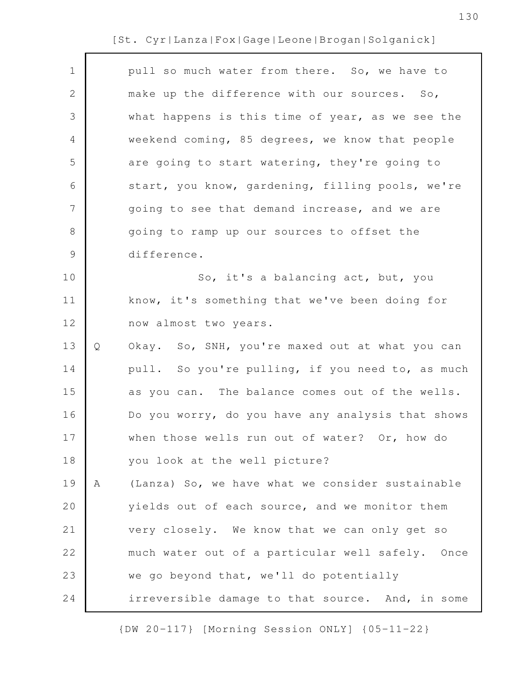| $\mathbf 1$    |   | pull so much water from there. So, we have to     |
|----------------|---|---------------------------------------------------|
| $\mathbf 2$    |   | make up the difference with our sources. So,      |
| 3              |   | what happens is this time of year, as we see the  |
| $\overline{4}$ |   | weekend coming, 85 degrees, we know that people   |
| 5              |   | are going to start watering, they're going to     |
| 6              |   | start, you know, gardening, filling pools, we're  |
| $\overline{7}$ |   | going to see that demand increase, and we are     |
| $\,8\,$        |   | going to ramp up our sources to offset the        |
| $\mathcal{G}$  |   | difference.                                       |
| 10             |   | So, it's a balancing act, but, you                |
| 11             |   | know, it's something that we've been doing for    |
| 12             |   | now almost two years.                             |
| 13             | Q | Okay. So, SNH, you're maxed out at what you can   |
| 14             |   | pull. So you're pulling, if you need to, as much  |
| 15             |   | as you can. The balance comes out of the wells.   |
| 16             |   | Do you worry, do you have any analysis that shows |
| 17             |   | when those wells run out of water? Or, how do     |
| 18             |   | you look at the well picture?                     |
| 19             | Α | (Lanza) So, we have what we consider sustainable  |
|                |   |                                                   |
| 20             |   | yields out of each source, and we monitor them    |
| 21             |   | very closely. We know that we can only get so     |
| 22             |   | much water out of a particular well safely. Once  |
| 23             |   | we go beyond that, we'll do potentially           |
| 24             |   | irreversible damage to that source. And, in some  |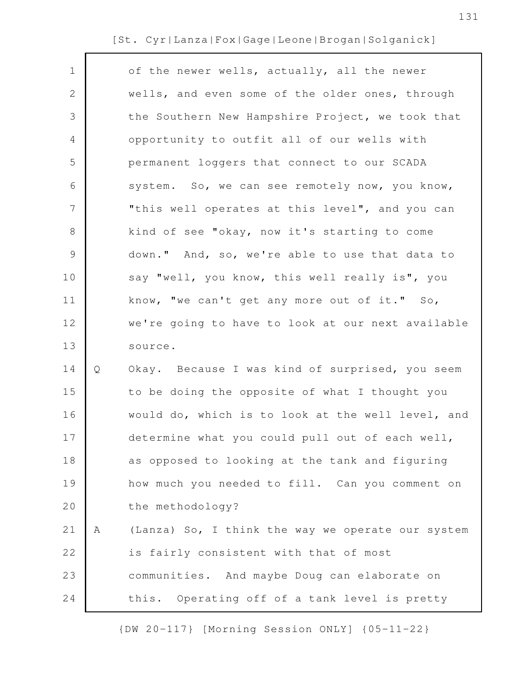| $\mathbf 1$    |   | of the newer wells, actually, all the newer       |
|----------------|---|---------------------------------------------------|
| $\mathbf{2}$   |   | wells, and even some of the older ones, through   |
| 3              |   | the Southern New Hampshire Project, we took that  |
| 4              |   | opportunity to outfit all of our wells with       |
| 5              |   | permanent loggers that connect to our SCADA       |
| 6              |   | system. So, we can see remotely now, you know,    |
| $\overline{7}$ |   | "this well operates at this level", and you can   |
| $8\,$          |   | kind of see "okay, now it's starting to come      |
| 9              |   | down." And, so, we're able to use that data to    |
| 10             |   | say "well, you know, this well really is", you    |
| 11             |   | know, "we can't get any more out of it." So,      |
| 12             |   | we're going to have to look at our next available |
| 13             |   | source.                                           |
| 14             | Q | Okay. Because I was kind of surprised, you seem   |
| 15             |   | to be doing the opposite of what I thought you    |
| 16             |   | would do, which is to look at the well level, and |
| 17             |   | determine what you could pull out of each well,   |
| 18             |   | as opposed to looking at the tank and figuring    |
| 19             |   | how much you needed to fill. Can you comment on   |
| 20             |   | the methodology?                                  |
| 21             | Α | (Lanza) So, I think the way we operate our system |
| 22             |   | is fairly consistent with that of most            |
| 23             |   | communities. And maybe Doug can elaborate on      |
| 24             |   | this. Operating off of a tank level is pretty     |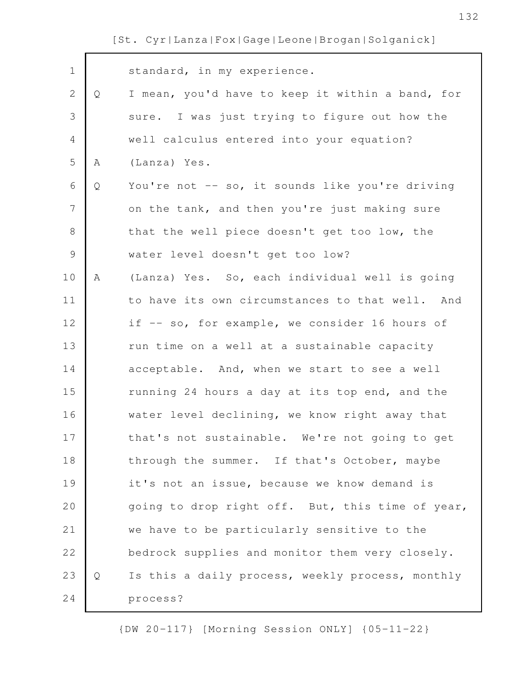| $\mathbf 1$  |   | standard, in my experience.                      |
|--------------|---|--------------------------------------------------|
| $\mathbf{2}$ | Q | I mean, you'd have to keep it within a band, for |
| 3            |   | sure. I was just trying to figure out how the    |
| 4            |   | well calculus entered into your equation?        |
| 5            | Α | (Lanza) Yes.                                     |
| 6            | Q | You're not -- so, it sounds like you're driving  |
| 7            |   | on the tank, and then you're just making sure    |
| $\,8\,$      |   | that the well piece doesn't get too low, the     |
| $\mathsf 9$  |   | water level doesn't get too low?                 |
| 10           | Α | (Lanza) Yes. So, each individual well is going   |
| 11           |   | to have its own circumstances to that well. And  |
| 12           |   | if -- so, for example, we consider 16 hours of   |
| 13           |   | run time on a well at a sustainable capacity     |
| 14           |   | acceptable. And, when we start to see a well     |
| 15           |   | running 24 hours a day at its top end, and the   |
| 16           |   | water level declining, we know right away that   |
| 17           |   | that's not sustainable. We're not going to get   |
| 18           |   | through the summer. If that's October, maybe     |
| 19           |   | it's not an issue, because we know demand is     |
| 20           |   | going to drop right off. But, this time of year, |
| 21           |   | we have to be particularly sensitive to the      |
| 22           |   | bedrock supplies and monitor them very closely.  |
| 23           | Q | Is this a daily process, weekly process, monthly |
| 24           |   | process?                                         |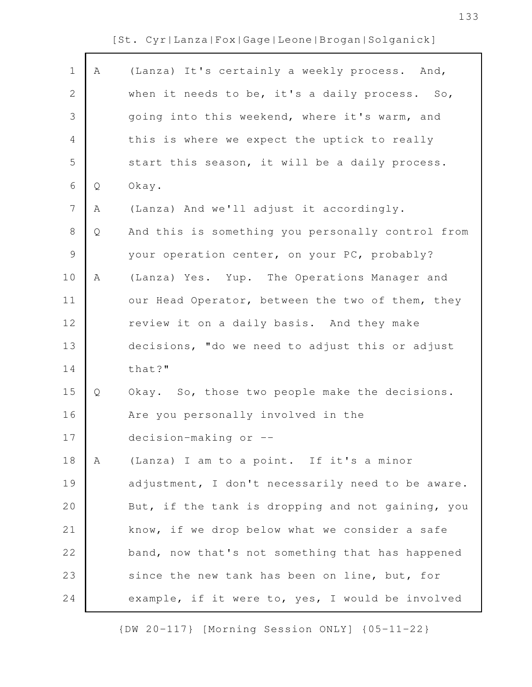$\Gamma$ 

| $\mathbf 1$   | Α | (Lanza) It's certainly a weekly process. And,     |
|---------------|---|---------------------------------------------------|
| $\mathbf{2}$  |   | when it needs to be, it's a daily process. So,    |
| 3             |   | going into this weekend, where it's warm, and     |
| 4             |   | this is where we expect the uptick to really      |
| 5             |   | start this season, it will be a daily process.    |
| 6             | Q | Okay.                                             |
| 7             | Α | (Lanza) And we'll adjust it accordingly.          |
| 8             | Q | And this is something you personally control from |
| $\mathcal{G}$ |   | your operation center, on your PC, probably?      |
| 10            | Α | (Lanza) Yes. Yup. The Operations Manager and      |
| 11            |   | our Head Operator, between the two of them, they  |
| 12            |   | review it on a daily basis. And they make         |
| 13            |   | decisions, "do we need to adjust this or adjust   |
| 14            |   | that?"                                            |
| 15            | Q | Okay. So, those two people make the decisions.    |
| 16            |   | Are you personally involved in the                |
| 17            |   | decision-making or --                             |
| 18            | A | (Lanza) I am to a point. If it's a minor          |
| 19            |   | adjustment, I don't necessarily need to be aware. |
| 20            |   | But, if the tank is dropping and not gaining, you |
| 21            |   | know, if we drop below what we consider a safe    |
| 22            |   | band, now that's not something that has happened  |
| 23            |   | since the new tank has been on line, but, for     |
| 24            |   | example, if it were to, yes, I would be involved  |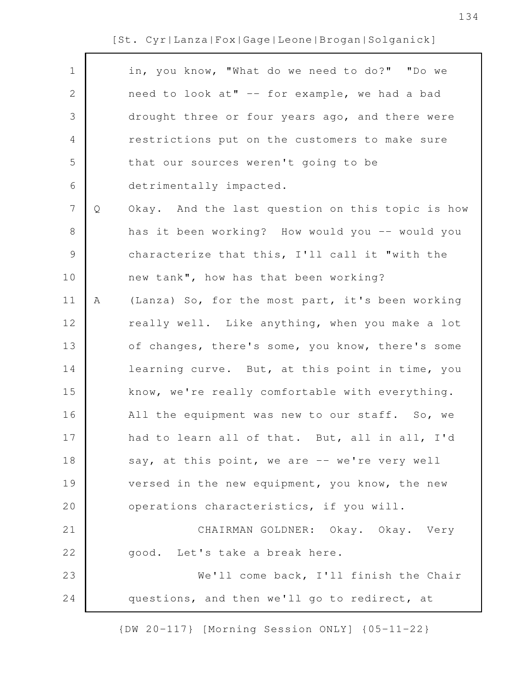| in, you know, "What do we need to do?" "Do we<br>$\mathbf 1$<br>$\mathbf{2}$<br>need to look at" -- for example, we had a bad<br>3<br>drought three or four years ago, and there were<br>restrictions put on the customers to make sure<br>4<br>5<br>that our sources weren't going to be<br>6<br>detrimentally impacted.<br>$7\phantom{.0}$<br>$\mathsf{Q}$<br>Okay. And the last question on this topic is how<br>8<br>has it been working? How would you -- would you<br>$\mathsf 9$<br>characterize that this, I'll call it "with the<br>10<br>new tank", how has that been working?<br>11<br>(Lanza) So, for the most part, it's been working<br>A<br>really well. Like anything, when you make a lot<br>12<br>13<br>of changes, there's some, you know, there's some<br>14<br>learning curve. But, at this point in time, you<br>15<br>know, we're really comfortable with everything.<br>16<br>All the equipment was new to our staff. So, we<br>17<br>had to learn all of that. But, all in all, I'd<br>18<br>say, at this point, we are -- we're very well<br>19<br>versed in the new equipment, you know, the new<br>20<br>operations characteristics, if you will. |                                        |  |
|-------------------------------------------------------------------------------------------------------------------------------------------------------------------------------------------------------------------------------------------------------------------------------------------------------------------------------------------------------------------------------------------------------------------------------------------------------------------------------------------------------------------------------------------------------------------------------------------------------------------------------------------------------------------------------------------------------------------------------------------------------------------------------------------------------------------------------------------------------------------------------------------------------------------------------------------------------------------------------------------------------------------------------------------------------------------------------------------------------------------------------------------------------------------------------|----------------------------------------|--|
|                                                                                                                                                                                                                                                                                                                                                                                                                                                                                                                                                                                                                                                                                                                                                                                                                                                                                                                                                                                                                                                                                                                                                                               |                                        |  |
|                                                                                                                                                                                                                                                                                                                                                                                                                                                                                                                                                                                                                                                                                                                                                                                                                                                                                                                                                                                                                                                                                                                                                                               |                                        |  |
|                                                                                                                                                                                                                                                                                                                                                                                                                                                                                                                                                                                                                                                                                                                                                                                                                                                                                                                                                                                                                                                                                                                                                                               |                                        |  |
|                                                                                                                                                                                                                                                                                                                                                                                                                                                                                                                                                                                                                                                                                                                                                                                                                                                                                                                                                                                                                                                                                                                                                                               |                                        |  |
|                                                                                                                                                                                                                                                                                                                                                                                                                                                                                                                                                                                                                                                                                                                                                                                                                                                                                                                                                                                                                                                                                                                                                                               |                                        |  |
|                                                                                                                                                                                                                                                                                                                                                                                                                                                                                                                                                                                                                                                                                                                                                                                                                                                                                                                                                                                                                                                                                                                                                                               |                                        |  |
|                                                                                                                                                                                                                                                                                                                                                                                                                                                                                                                                                                                                                                                                                                                                                                                                                                                                                                                                                                                                                                                                                                                                                                               |                                        |  |
|                                                                                                                                                                                                                                                                                                                                                                                                                                                                                                                                                                                                                                                                                                                                                                                                                                                                                                                                                                                                                                                                                                                                                                               |                                        |  |
|                                                                                                                                                                                                                                                                                                                                                                                                                                                                                                                                                                                                                                                                                                                                                                                                                                                                                                                                                                                                                                                                                                                                                                               |                                        |  |
|                                                                                                                                                                                                                                                                                                                                                                                                                                                                                                                                                                                                                                                                                                                                                                                                                                                                                                                                                                                                                                                                                                                                                                               |                                        |  |
|                                                                                                                                                                                                                                                                                                                                                                                                                                                                                                                                                                                                                                                                                                                                                                                                                                                                                                                                                                                                                                                                                                                                                                               |                                        |  |
|                                                                                                                                                                                                                                                                                                                                                                                                                                                                                                                                                                                                                                                                                                                                                                                                                                                                                                                                                                                                                                                                                                                                                                               |                                        |  |
|                                                                                                                                                                                                                                                                                                                                                                                                                                                                                                                                                                                                                                                                                                                                                                                                                                                                                                                                                                                                                                                                                                                                                                               |                                        |  |
|                                                                                                                                                                                                                                                                                                                                                                                                                                                                                                                                                                                                                                                                                                                                                                                                                                                                                                                                                                                                                                                                                                                                                                               |                                        |  |
|                                                                                                                                                                                                                                                                                                                                                                                                                                                                                                                                                                                                                                                                                                                                                                                                                                                                                                                                                                                                                                                                                                                                                                               |                                        |  |
|                                                                                                                                                                                                                                                                                                                                                                                                                                                                                                                                                                                                                                                                                                                                                                                                                                                                                                                                                                                                                                                                                                                                                                               |                                        |  |
|                                                                                                                                                                                                                                                                                                                                                                                                                                                                                                                                                                                                                                                                                                                                                                                                                                                                                                                                                                                                                                                                                                                                                                               |                                        |  |
|                                                                                                                                                                                                                                                                                                                                                                                                                                                                                                                                                                                                                                                                                                                                                                                                                                                                                                                                                                                                                                                                                                                                                                               |                                        |  |
|                                                                                                                                                                                                                                                                                                                                                                                                                                                                                                                                                                                                                                                                                                                                                                                                                                                                                                                                                                                                                                                                                                                                                                               |                                        |  |
|                                                                                                                                                                                                                                                                                                                                                                                                                                                                                                                                                                                                                                                                                                                                                                                                                                                                                                                                                                                                                                                                                                                                                                               |                                        |  |
| 21                                                                                                                                                                                                                                                                                                                                                                                                                                                                                                                                                                                                                                                                                                                                                                                                                                                                                                                                                                                                                                                                                                                                                                            | CHAIRMAN GOLDNER: Okay. Okay. Very     |  |
| 22<br>good. Let's take a break here.                                                                                                                                                                                                                                                                                                                                                                                                                                                                                                                                                                                                                                                                                                                                                                                                                                                                                                                                                                                                                                                                                                                                          |                                        |  |
| 23                                                                                                                                                                                                                                                                                                                                                                                                                                                                                                                                                                                                                                                                                                                                                                                                                                                                                                                                                                                                                                                                                                                                                                            | We'll come back, I'll finish the Chair |  |
| 24<br>questions, and then we'll go to redirect, at                                                                                                                                                                                                                                                                                                                                                                                                                                                                                                                                                                                                                                                                                                                                                                                                                                                                                                                                                                                                                                                                                                                            |                                        |  |